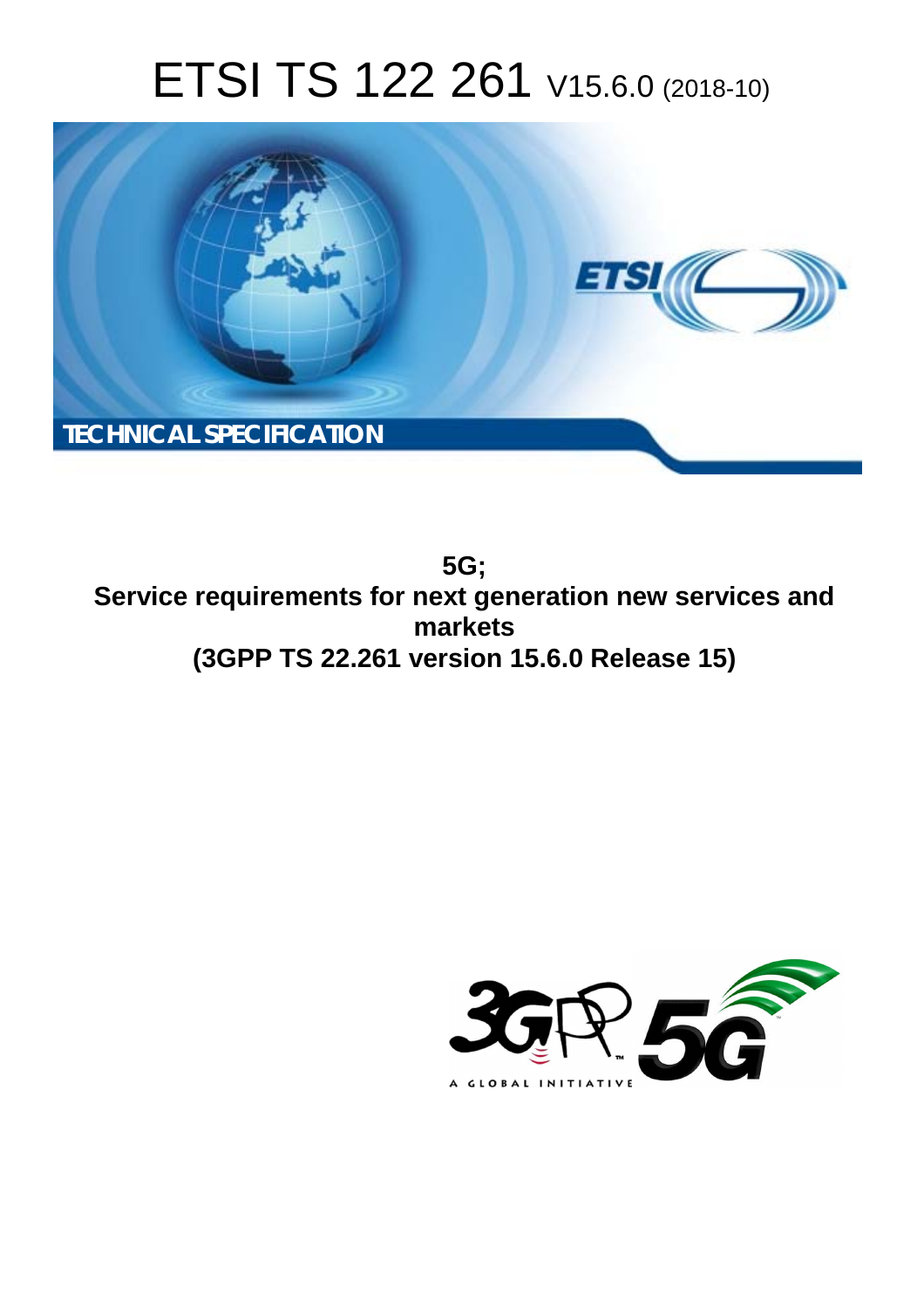# ETSI TS 122 261 V15.6.0 (2018-10)



**5G; Service requirements for next generation new services and markets (3GPP TS 22.261 version 15.6.0 Release 15)** 

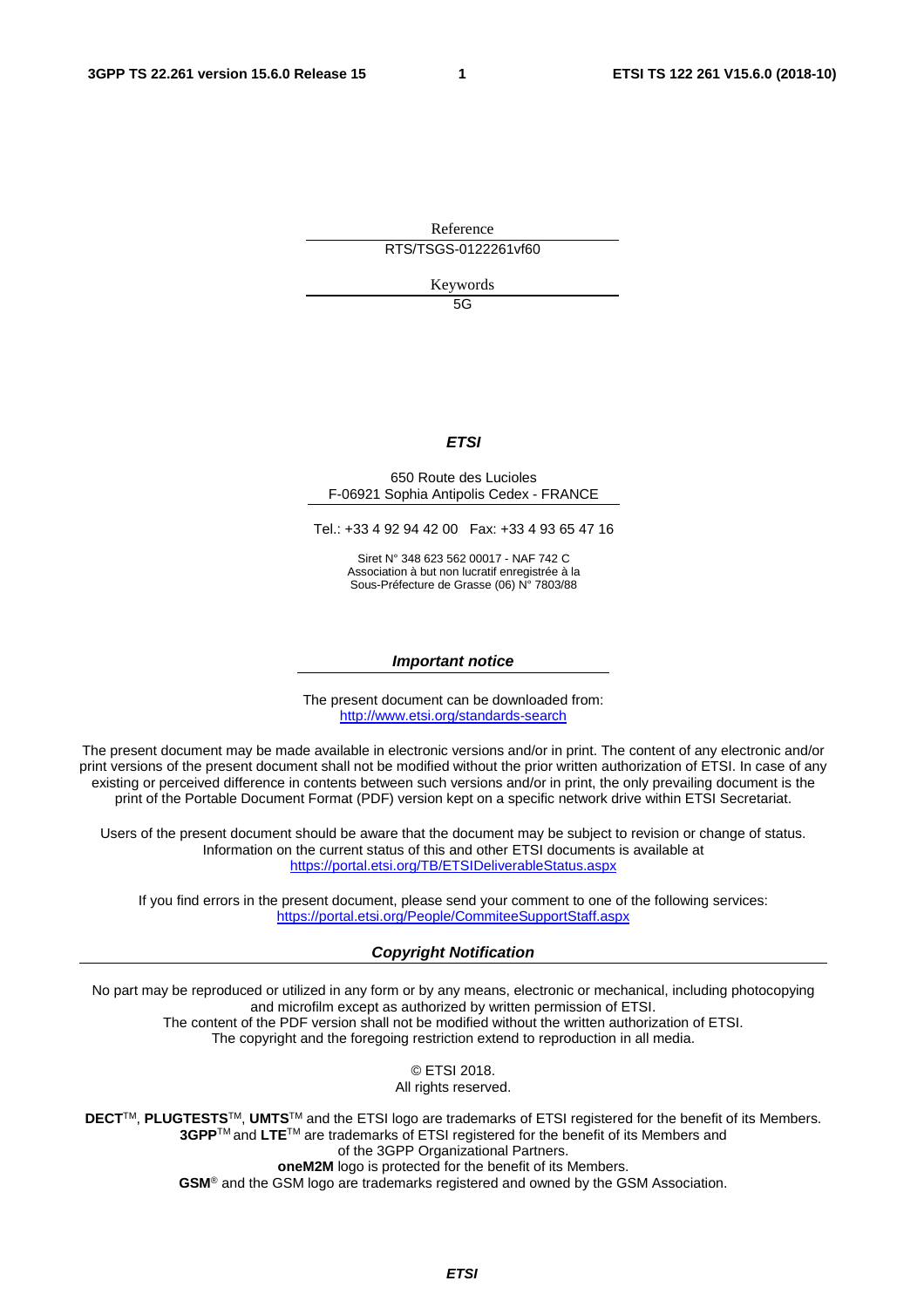Reference RTS/TSGS-0122261vf60

Keywords

 $5G$ 

#### *ETSI*

#### 650 Route des Lucioles F-06921 Sophia Antipolis Cedex - FRANCE

Tel.: +33 4 92 94 42 00 Fax: +33 4 93 65 47 16

Siret N° 348 623 562 00017 - NAF 742 C Association à but non lucratif enregistrée à la Sous-Préfecture de Grasse (06) N° 7803/88

#### *Important notice*

The present document can be downloaded from: <http://www.etsi.org/standards-search>

The present document may be made available in electronic versions and/or in print. The content of any electronic and/or print versions of the present document shall not be modified without the prior written authorization of ETSI. In case of any existing or perceived difference in contents between such versions and/or in print, the only prevailing document is the print of the Portable Document Format (PDF) version kept on a specific network drive within ETSI Secretariat.

Users of the present document should be aware that the document may be subject to revision or change of status. Information on the current status of this and other ETSI documents is available at <https://portal.etsi.org/TB/ETSIDeliverableStatus.aspx>

If you find errors in the present document, please send your comment to one of the following services: <https://portal.etsi.org/People/CommiteeSupportStaff.aspx>

#### *Copyright Notification*

No part may be reproduced or utilized in any form or by any means, electronic or mechanical, including photocopying and microfilm except as authorized by written permission of ETSI. The content of the PDF version shall not be modified without the written authorization of ETSI. The copyright and the foregoing restriction extend to reproduction in all media.

> © ETSI 2018. All rights reserved.

**DECT**TM, **PLUGTESTS**TM, **UMTS**TM and the ETSI logo are trademarks of ETSI registered for the benefit of its Members. **3GPP**TM and **LTE**TM are trademarks of ETSI registered for the benefit of its Members and of the 3GPP Organizational Partners. **oneM2M** logo is protected for the benefit of its Members.

**GSM**® and the GSM logo are trademarks registered and owned by the GSM Association.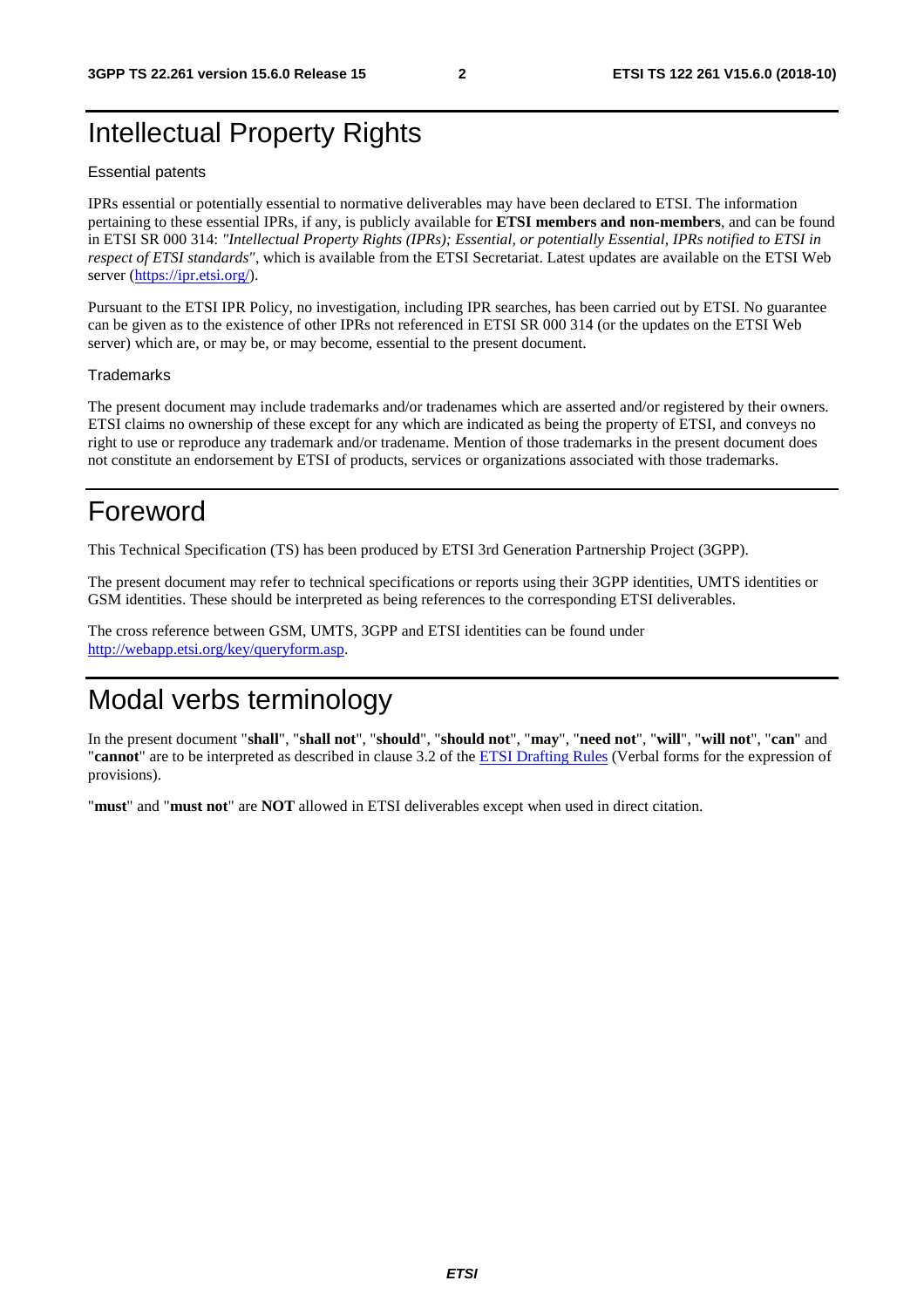## Intellectual Property Rights

#### Essential patents

IPRs essential or potentially essential to normative deliverables may have been declared to ETSI. The information pertaining to these essential IPRs, if any, is publicly available for **ETSI members and non-members**, and can be found in ETSI SR 000 314: *"Intellectual Property Rights (IPRs); Essential, or potentially Essential, IPRs notified to ETSI in respect of ETSI standards"*, which is available from the ETSI Secretariat. Latest updates are available on the ETSI Web server ([https://ipr.etsi.org/\)](https://ipr.etsi.org/).

Pursuant to the ETSI IPR Policy, no investigation, including IPR searches, has been carried out by ETSI. No guarantee can be given as to the existence of other IPRs not referenced in ETSI SR 000 314 (or the updates on the ETSI Web server) which are, or may be, or may become, essential to the present document.

#### **Trademarks**

The present document may include trademarks and/or tradenames which are asserted and/or registered by their owners. ETSI claims no ownership of these except for any which are indicated as being the property of ETSI, and conveys no right to use or reproduce any trademark and/or tradename. Mention of those trademarks in the present document does not constitute an endorsement by ETSI of products, services or organizations associated with those trademarks.

## Foreword

This Technical Specification (TS) has been produced by ETSI 3rd Generation Partnership Project (3GPP).

The present document may refer to technical specifications or reports using their 3GPP identities, UMTS identities or GSM identities. These should be interpreted as being references to the corresponding ETSI deliverables.

The cross reference between GSM, UMTS, 3GPP and ETSI identities can be found under [http://webapp.etsi.org/key/queryform.asp.](http://webapp.etsi.org/key/queryform.asp)

## Modal verbs terminology

In the present document "**shall**", "**shall not**", "**should**", "**should not**", "**may**", "**need not**", "**will**", "**will not**", "**can**" and "**cannot**" are to be interpreted as described in clause 3.2 of the [ETSI Drafting Rules](https://portal.etsi.org/Services/editHelp!/Howtostart/ETSIDraftingRules.aspx) (Verbal forms for the expression of provisions).

"**must**" and "**must not**" are **NOT** allowed in ETSI deliverables except when used in direct citation.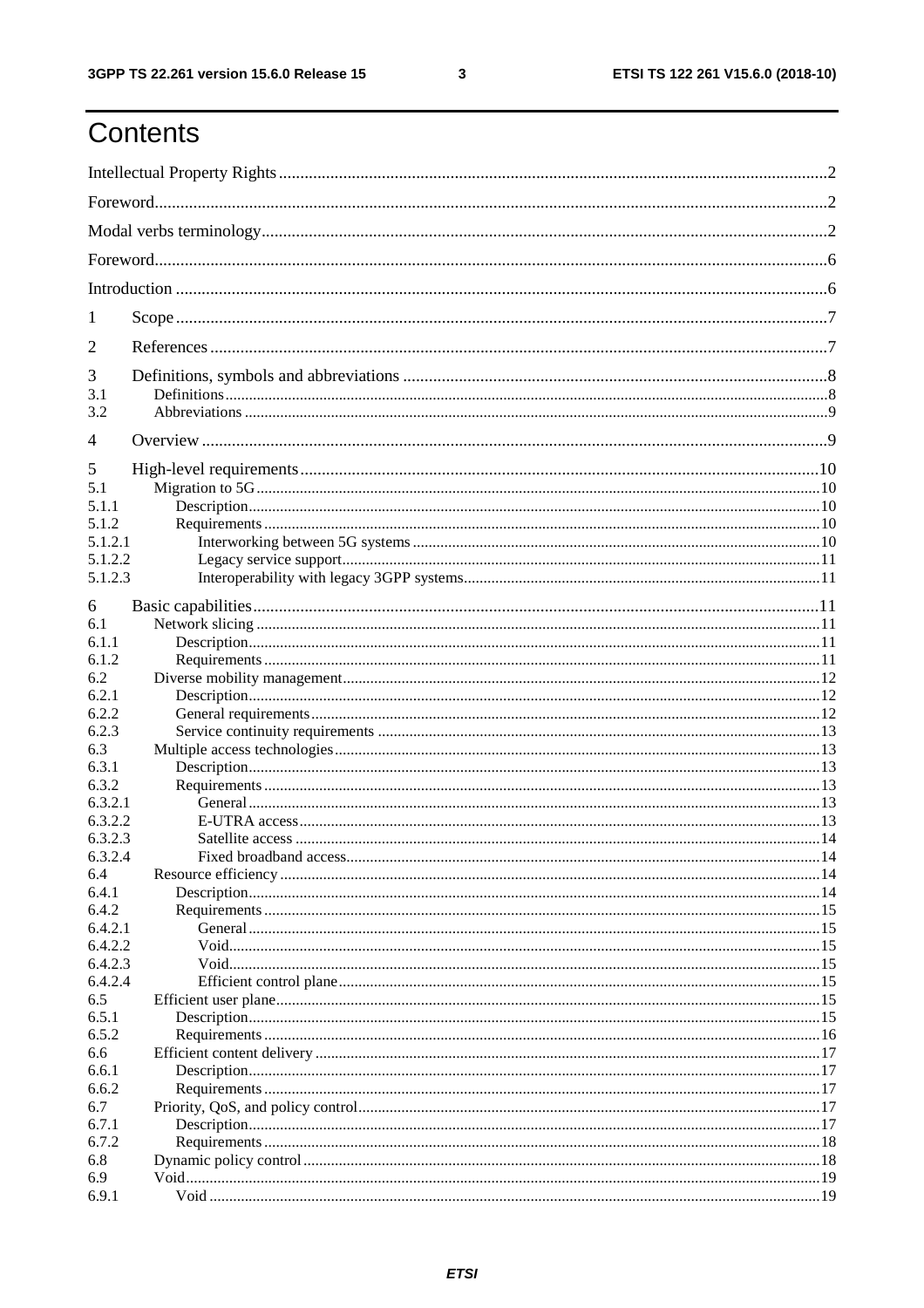## Contents

| 1                  |  |  |  |  |
|--------------------|--|--|--|--|
| 2                  |  |  |  |  |
| 3                  |  |  |  |  |
| 3.1                |  |  |  |  |
| 3.2                |  |  |  |  |
| $\overline{4}$     |  |  |  |  |
| 5                  |  |  |  |  |
| 5.1                |  |  |  |  |
| 5.1.1              |  |  |  |  |
| 5.1.2              |  |  |  |  |
| 5.1.2.1            |  |  |  |  |
| 5.1.2.2            |  |  |  |  |
| 5.1.2.3            |  |  |  |  |
| 6                  |  |  |  |  |
| 6.1                |  |  |  |  |
| 6.1.1              |  |  |  |  |
| 6.1.2              |  |  |  |  |
| 6.2                |  |  |  |  |
| 6.2.1              |  |  |  |  |
| 6.2.2              |  |  |  |  |
| 6.2.3              |  |  |  |  |
| 6.3                |  |  |  |  |
| 6.3.1              |  |  |  |  |
| 6.3.2              |  |  |  |  |
| 6.3.2.1            |  |  |  |  |
| 6.3.2.2            |  |  |  |  |
| 6.3.2.3            |  |  |  |  |
| 6.3.2.4            |  |  |  |  |
| 6.4                |  |  |  |  |
| 6.4.1              |  |  |  |  |
| 6.4.2              |  |  |  |  |
| 6.4.2.1<br>6.4.2.2 |  |  |  |  |
| 6.4.2.3            |  |  |  |  |
| 6.4.2.4            |  |  |  |  |
| 6.5                |  |  |  |  |
| 6.5.1              |  |  |  |  |
| 6.5.2              |  |  |  |  |
| 6.6                |  |  |  |  |
| 6.6.1              |  |  |  |  |
| 6.6.2              |  |  |  |  |
| 6.7                |  |  |  |  |
| 6.7.1              |  |  |  |  |
| 6.7.2              |  |  |  |  |
| 6.8                |  |  |  |  |
| 6.9                |  |  |  |  |
| 6.9.1              |  |  |  |  |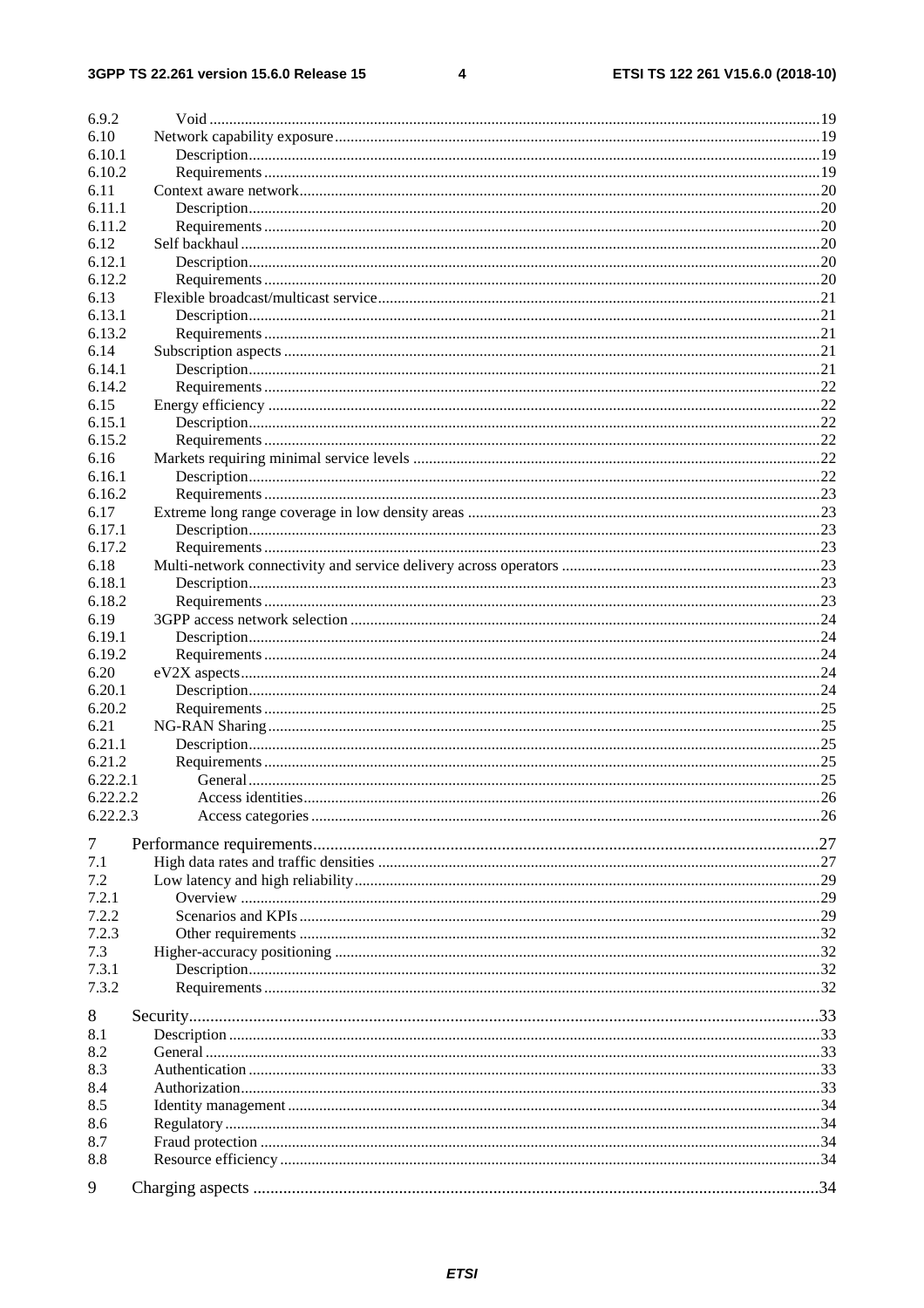$\overline{\mathbf{4}}$ 

| 6.9.2    |  |
|----------|--|
| 6.10     |  |
| 6.10.1   |  |
| 6.10.2   |  |
| 6.11     |  |
| 6.11.1   |  |
| 6.11.2   |  |
| 6.12     |  |
| 6.12.1   |  |
| 6.12.2   |  |
| 6.13     |  |
|          |  |
| 6.13.1   |  |
| 6.13.2   |  |
| 6.14     |  |
| 6.14.1   |  |
| 6.14.2   |  |
| 6.15     |  |
| 6.15.1   |  |
| 6.15.2   |  |
| 6.16     |  |
| 6.16.1   |  |
| 6.16.2   |  |
| 6.17     |  |
| 6.17.1   |  |
| 6.17.2   |  |
| 6.18     |  |
| 6.18.1   |  |
| 6.18.2   |  |
| 6.19     |  |
| 6.19.1   |  |
| 6.19.2   |  |
| 6.20     |  |
| 6.20.1   |  |
| 6.20.2   |  |
| 6.21     |  |
| 6.21.1   |  |
| 6.21.2   |  |
| 6.22.2.1 |  |
| 6.22.2.2 |  |
| 6.22.2.3 |  |
|          |  |
| 7        |  |
| 7.1      |  |
| 7.2      |  |
| 7.2.1    |  |
| 7.2.2    |  |
| 7.2.3    |  |
| 7.3      |  |
| 7.3.1    |  |
| 7.3.2    |  |
|          |  |
| 8        |  |
| 8.1      |  |
| 8.2      |  |
| 8.3      |  |
| 8.4      |  |
| 8.5      |  |
| 8.6      |  |
| 8.7      |  |
| 8.8      |  |
|          |  |
| 9        |  |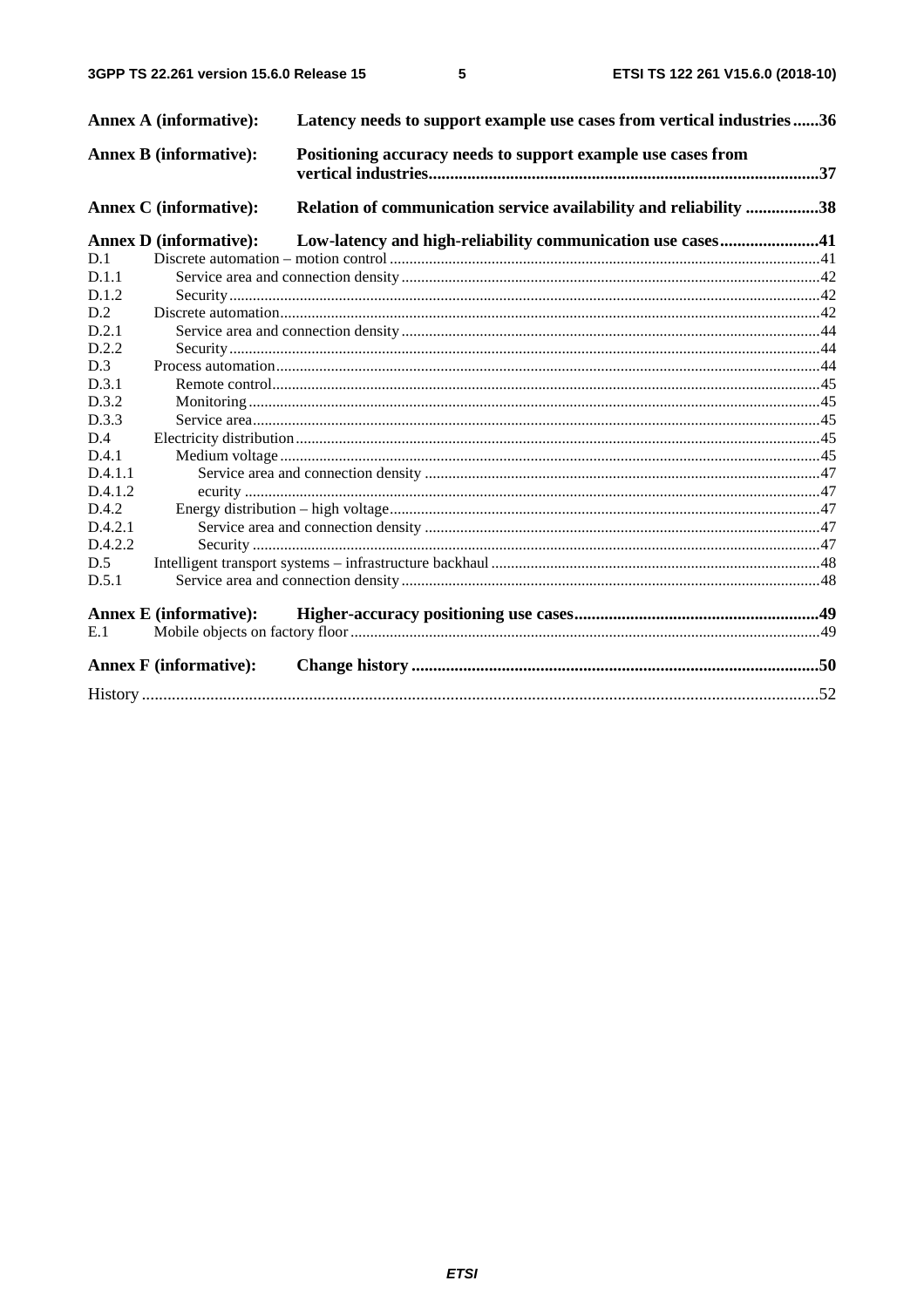$5\phantom{a}$ 

|         | <b>Annex A (informative):</b> | Latency needs to support example use cases from vertical industries36 |  |
|---------|-------------------------------|-----------------------------------------------------------------------|--|
|         | <b>Annex B (informative):</b> | Positioning accuracy needs to support example use cases from          |  |
|         | <b>Annex C</b> (informative): | Relation of communication service availability and reliability 38     |  |
|         | <b>Annex D</b> (informative): | Low-latency and high-reliability communication use cases41            |  |
| D.1     |                               |                                                                       |  |
| D.1.1   |                               |                                                                       |  |
| D.1.2   |                               |                                                                       |  |
| D.2     |                               |                                                                       |  |
| D.2.1   |                               |                                                                       |  |
| D.2.2   |                               |                                                                       |  |
| D.3     |                               |                                                                       |  |
| D.3.1   |                               |                                                                       |  |
| D.3.2   |                               |                                                                       |  |
| D.3.3   |                               |                                                                       |  |
| D.4     |                               |                                                                       |  |
| D.4.1   |                               |                                                                       |  |
| D.4.1.1 |                               |                                                                       |  |
| D.4.1.2 |                               |                                                                       |  |
| D.4.2   |                               |                                                                       |  |
| D.4.2.1 |                               |                                                                       |  |
| D.4.2.2 |                               |                                                                       |  |
| D.5     |                               |                                                                       |  |
| D.5.1   |                               |                                                                       |  |
|         |                               |                                                                       |  |
| E.1     | <b>Annex E</b> (informative): |                                                                       |  |
|         |                               |                                                                       |  |
|         | <b>Annex F</b> (informative): |                                                                       |  |
|         |                               |                                                                       |  |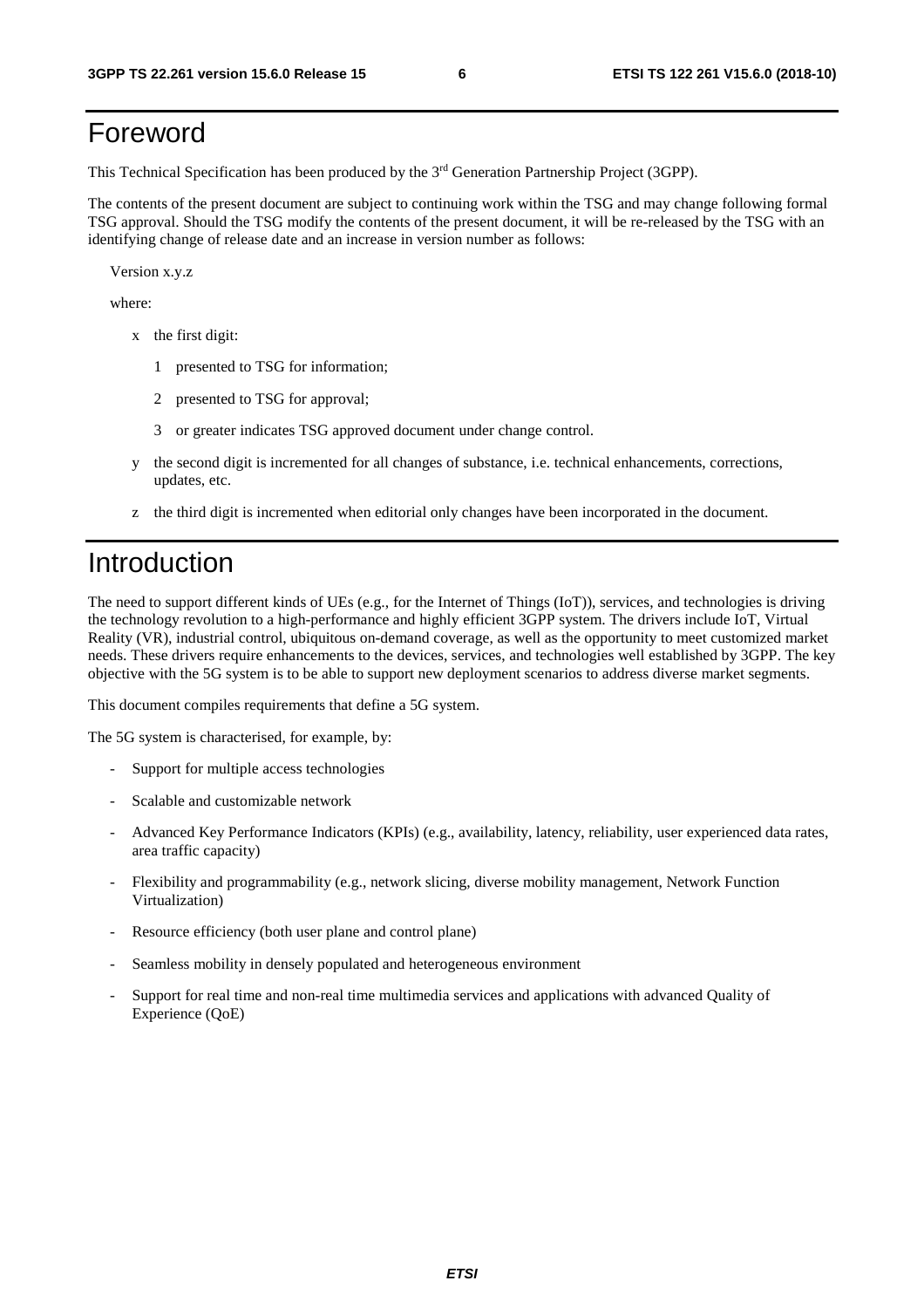## Foreword

This Technical Specification has been produced by the 3rd Generation Partnership Project (3GPP).

The contents of the present document are subject to continuing work within the TSG and may change following formal TSG approval. Should the TSG modify the contents of the present document, it will be re-released by the TSG with an identifying change of release date and an increase in version number as follows:

Version x.y.z

where:

- x the first digit:
	- 1 presented to TSG for information;
	- 2 presented to TSG for approval;
	- 3 or greater indicates TSG approved document under change control.
- y the second digit is incremented for all changes of substance, i.e. technical enhancements, corrections, updates, etc.
- z the third digit is incremented when editorial only changes have been incorporated in the document.

## Introduction

The need to support different kinds of UEs (e.g., for the Internet of Things (IoT)), services, and technologies is driving the technology revolution to a high-performance and highly efficient 3GPP system. The drivers include IoT, Virtual Reality (VR), industrial control, ubiquitous on-demand coverage, as well as the opportunity to meet customized market needs. These drivers require enhancements to the devices, services, and technologies well established by 3GPP. The key objective with the 5G system is to be able to support new deployment scenarios to address diverse market segments.

This document compiles requirements that define a 5G system.

The 5G system is characterised, for example, by:

- Support for multiple access technologies
- Scalable and customizable network
- Advanced Key Performance Indicators (KPIs) (e.g., availability, latency, reliability, user experienced data rates, area traffic capacity)
- Flexibility and programmability (e.g., network slicing, diverse mobility management, Network Function Virtualization)
- Resource efficiency (both user plane and control plane)
- Seamless mobility in densely populated and heterogeneous environment
- Support for real time and non-real time multimedia services and applications with advanced Quality of Experience (QoE)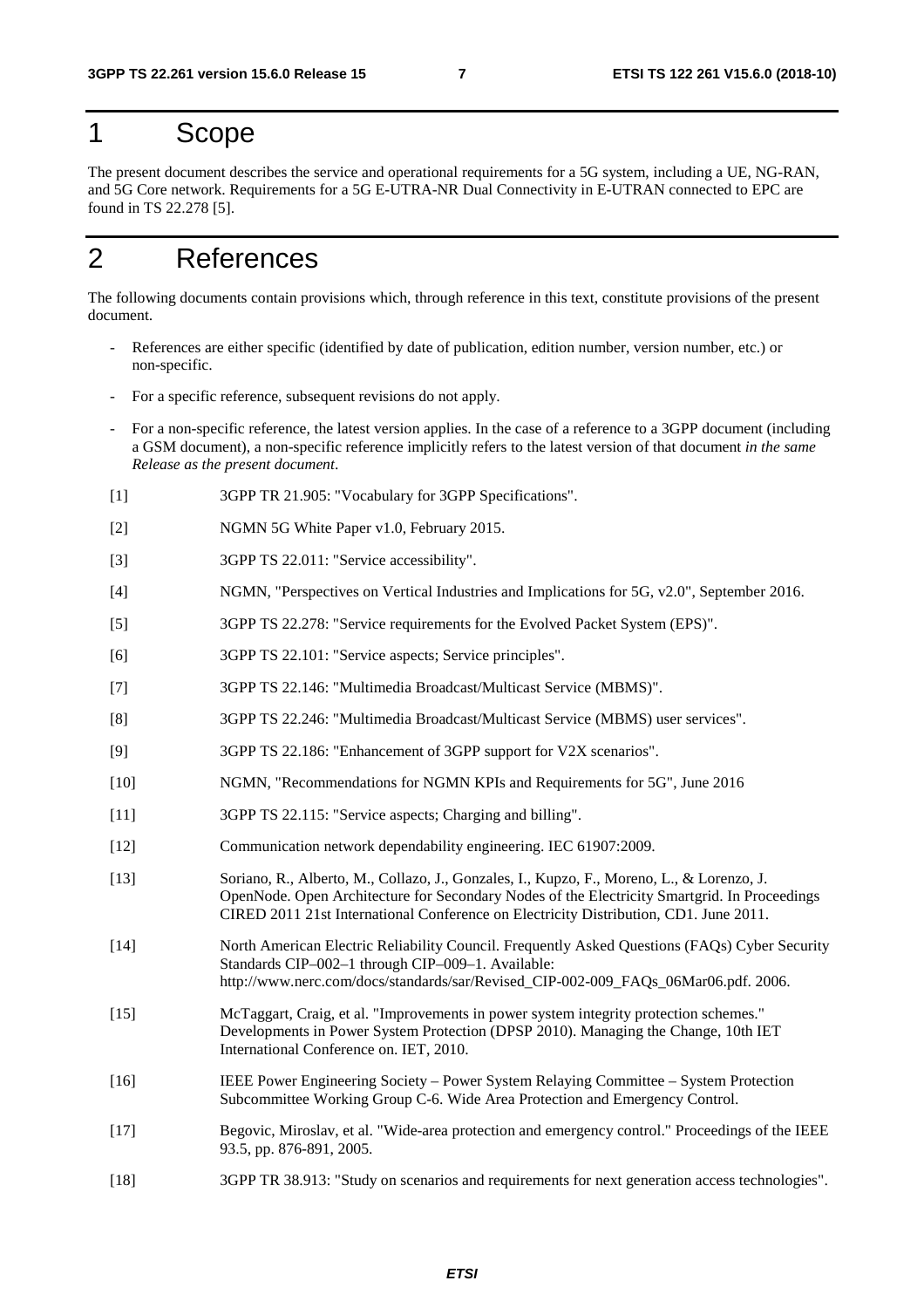## 1 Scope

The present document describes the service and operational requirements for a 5G system, including a UE, NG-RAN, and 5G Core network. Requirements for a 5G E-UTRA-NR Dual Connectivity in E-UTRAN connected to EPC are found in TS 22.278 [5].

## 2 References

The following documents contain provisions which, through reference in this text, constitute provisions of the present document.

- References are either specific (identified by date of publication, edition number, version number, etc.) or non-specific.
- For a specific reference, subsequent revisions do not apply.
- For a non-specific reference, the latest version applies. In the case of a reference to a 3GPP document (including a GSM document), a non-specific reference implicitly refers to the latest version of that document *in the same Release as the present document*.
- [1] 3GPP TR 21.905: "Vocabulary for 3GPP Specifications".
- [2] NGMN 5G White Paper v1.0, February 2015.
- [3] 3GPP TS 22.011: "Service accessibility".
- [4] NGMN, "Perspectives on Vertical Industries and Implications for 5G, v2.0", September 2016.
- [5] 3GPP TS 22.278: "Service requirements for the Evolved Packet System (EPS)".
- [6] 3GPP TS 22.101: "Service aspects; Service principles".
- [7] 3GPP TS 22.146: "Multimedia Broadcast/Multicast Service (MBMS)".
- [8] 3GPP TS 22.246: "Multimedia Broadcast/Multicast Service (MBMS) user services".
- [9] 3GPP TS 22.186: "Enhancement of 3GPP support for V2X scenarios".
- [10] NGMN, "Recommendations for NGMN KPIs and Requirements for 5G", June 2016
- [11] 3GPP TS 22.115: "Service aspects; Charging and billing".
- [12] Communication network dependability engineering. IEC 61907:2009.
- [13] Soriano, R., Alberto, M., Collazo, J., Gonzales, I., Kupzo, F., Moreno, L., & Lorenzo, J. OpenNode. Open Architecture for Secondary Nodes of the Electricity Smartgrid. In Proceedings CIRED 2011 21st International Conference on Electricity Distribution, CD1. June 2011.
- [14] North American Electric Reliability Council. Frequently Asked Questions (FAQs) Cyber Security Standards CIP–002–1 through CIP–009–1. Available: http://www.nerc.com/docs/standards/sar/Revised\_CIP-002-009\_FAQs\_06Mar06.pdf. 2006.
- [15] McTaggart, Craig, et al. "Improvements in power system integrity protection schemes." Developments in Power System Protection (DPSP 2010). Managing the Change, 10th IET International Conference on. IET, 2010.
- [16] IEEE Power Engineering Society Power System Relaying Committee System Protection Subcommittee Working Group C-6. Wide Area Protection and Emergency Control.
- [17] Begovic, Miroslav, et al. "Wide-area protection and emergency control." Proceedings of the IEEE 93.5, pp. 876-891, 2005.
- [18] 3GPP TR 38.913: "Study on scenarios and requirements for next generation access technologies".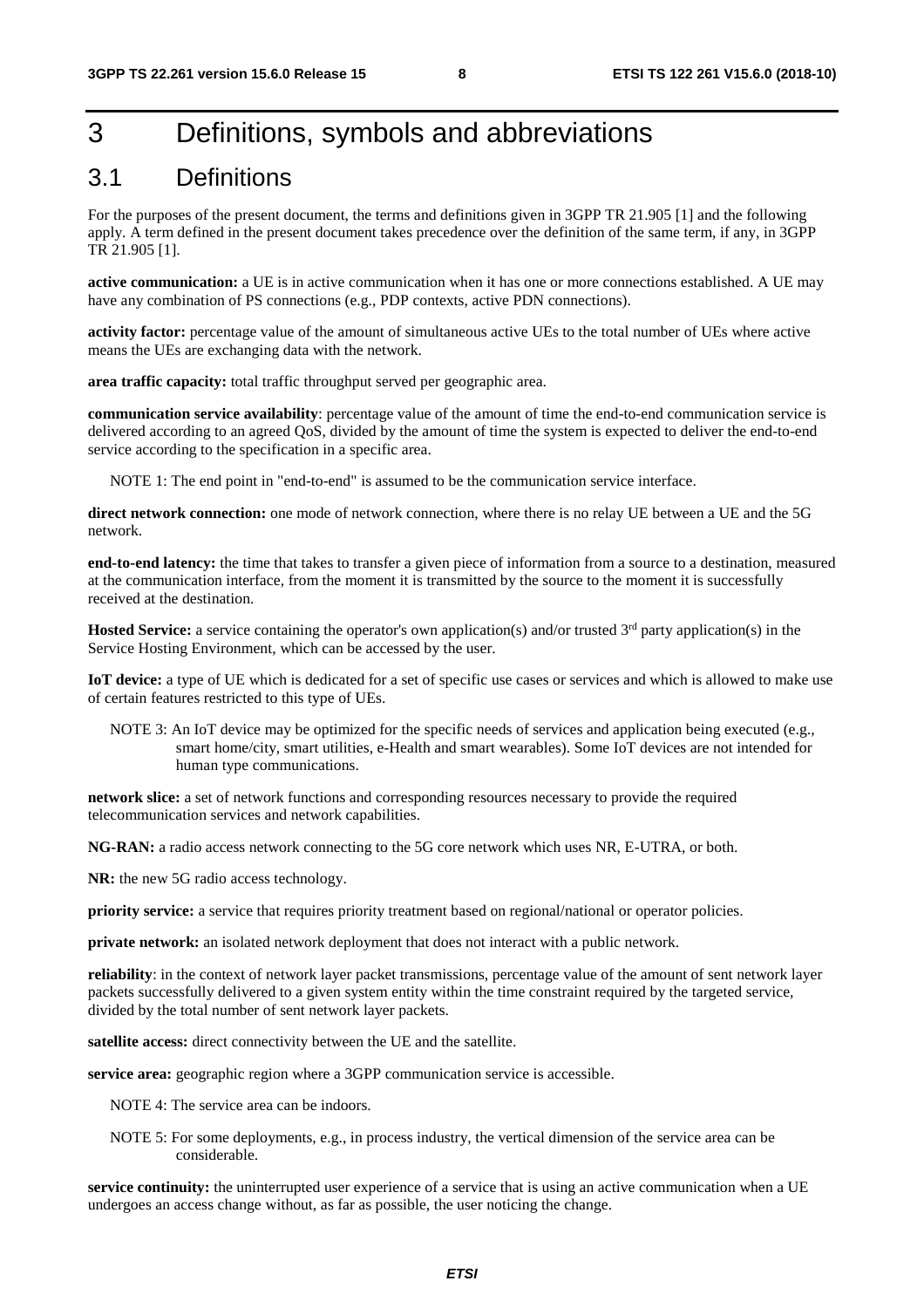## 3 Definitions, symbols and abbreviations

### 3.1 Definitions

For the purposes of the present document, the terms and definitions given in 3GPP TR 21.905 [1] and the following apply. A term defined in the present document takes precedence over the definition of the same term, if any, in 3GPP TR 21.905 [1].

**active communication:** a UE is in active communication when it has one or more connections established. A UE may have any combination of PS connections (e.g., PDP contexts, active PDN connections).

**activity factor:** percentage value of the amount of simultaneous active UEs to the total number of UEs where active means the UEs are exchanging data with the network.

**area traffic capacity:** total traffic throughput served per geographic area.

**communication service availability**: percentage value of the amount of time the end-to-end communication service is delivered according to an agreed QoS, divided by the amount of time the system is expected to deliver the end-to-end service according to the specification in a specific area.

NOTE 1: The end point in "end-to-end" is assumed to be the communication service interface.

**direct network connection:** one mode of network connection, where there is no relay UE between a UE and the 5G network.

**end-to-end latency:** the time that takes to transfer a given piece of information from a source to a destination, measured at the communication interface, from the moment it is transmitted by the source to the moment it is successfully received at the destination.

**Hosted Service:** a service containing the operator's own application(s) and/or trusted 3<sup>rd</sup> party application(s) in the Service Hosting Environment, which can be accessed by the user.

**IoT device:** a type of UE which is dedicated for a set of specific use cases or services and which is allowed to make use of certain features restricted to this type of UEs.

NOTE 3: An IoT device may be optimized for the specific needs of services and application being executed (e.g., smart home/city, smart utilities, e-Health and smart wearables). Some IoT devices are not intended for human type communications.

**network slice:** a set of network functions and corresponding resources necessary to provide the required telecommunication services and network capabilities.

**NG-RAN:** a radio access network connecting to the 5G core network which uses NR, E-UTRA, or both.

**NR:** the new 5G radio access technology.

**priority service:** a service that requires priority treatment based on regional/national or operator policies.

**private network:** an isolated network deployment that does not interact with a public network.

**reliability**: in the context of network layer packet transmissions, percentage value of the amount of sent network layer packets successfully delivered to a given system entity within the time constraint required by the targeted service, divided by the total number of sent network layer packets.

**satellite access:** direct connectivity between the UE and the satellite.

**service area:** geographic region where a 3GPP communication service is accessible.

NOTE 4: The service area can be indoors.

NOTE 5: For some deployments, e.g., in process industry, the vertical dimension of the service area can be considerable.

**service continuity:** the uninterrupted user experience of a service that is using an active communication when a UE undergoes an access change without, as far as possible, the user noticing the change.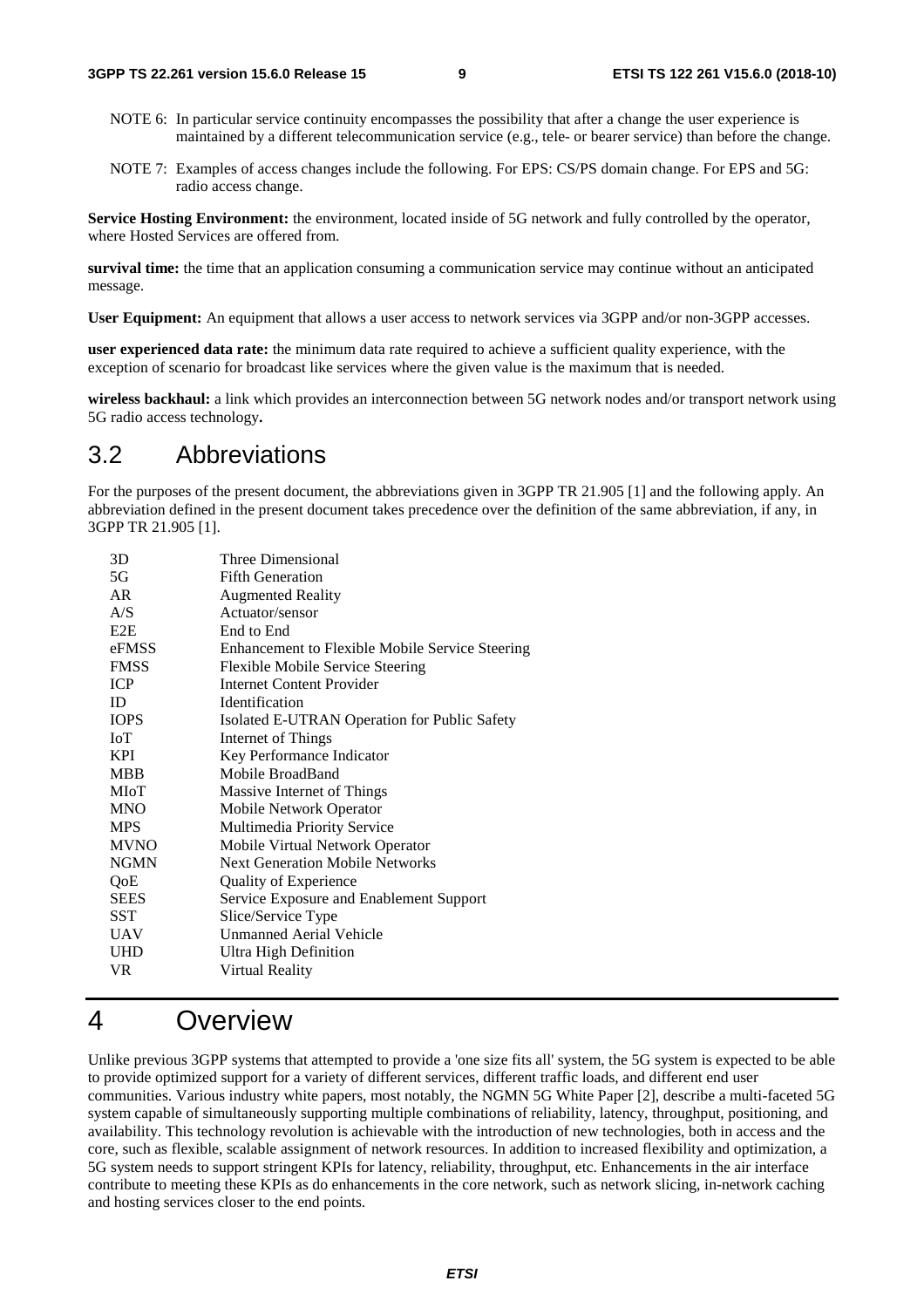- NOTE 6: In particular service continuity encompasses the possibility that after a change the user experience is maintained by a different telecommunication service (e.g., tele- or bearer service) than before the change.
- NOTE 7: Examples of access changes include the following. For EPS: CS/PS domain change. For EPS and 5G: radio access change.

**Service Hosting Environment:** the environment, located inside of 5G network and fully controlled by the operator, where Hosted Services are offered from.

**survival time:** the time that an application consuming a communication service may continue without an anticipated message.

**User Equipment:** An equipment that allows a user access to network services via 3GPP and/or non-3GPP accesses.

**user experienced data rate:** the minimum data rate required to achieve a sufficient quality experience, with the exception of scenario for broadcast like services where the given value is the maximum that is needed.

**wireless backhaul:** a link which provides an interconnection between 5G network nodes and/or transport network using 5G radio access technology**.** 

### 3.2 Abbreviations

For the purposes of the present document, the abbreviations given in 3GPP TR 21.905 [1] and the following apply. An abbreviation defined in the present document takes precedence over the definition of the same abbreviation, if any, in 3GPP TR 21.905 [1].

| 3D          | Three Dimensional                               |
|-------------|-------------------------------------------------|
| 5G          | <b>Fifth Generation</b>                         |
| AR          | <b>Augmented Reality</b>                        |
| A/S         | Actuator/sensor                                 |
| E2E         | End to End                                      |
| eFMSS       | Enhancement to Flexible Mobile Service Steering |
| <b>FMSS</b> | <b>Flexible Mobile Service Steering</b>         |
| <b>ICP</b>  | <b>Internet Content Provider</b>                |
| ID          | <b>Identification</b>                           |
| <b>IOPS</b> | Isolated E-UTRAN Operation for Public Safety    |
| <b>ToT</b>  | Internet of Things                              |
| <b>KPI</b>  | Key Performance Indicator                       |
| <b>MBB</b>  | Mobile BroadBand                                |
| MIoT        | Massive Internet of Things                      |
| <b>MNO</b>  | Mobile Network Operator                         |
| <b>MPS</b>  | Multimedia Priority Service                     |
| <b>MVNO</b> | Mobile Virtual Network Operator                 |
| <b>NGMN</b> | <b>Next Generation Mobile Networks</b>          |
| QoE         | <b>Quality of Experience</b>                    |
| <b>SEES</b> | Service Exposure and Enablement Support         |
| SST         | Slice/Service Type                              |
| <b>UAV</b>  | <b>Unmanned Aerial Vehicle</b>                  |
| UHD         | Ultra High Definition                           |
| VR.         | Virtual Reality                                 |
|             |                                                 |

### 4 Overview

Unlike previous 3GPP systems that attempted to provide a 'one size fits all' system, the 5G system is expected to be able to provide optimized support for a variety of different services, different traffic loads, and different end user communities. Various industry white papers, most notably, the NGMN 5G White Paper [2], describe a multi-faceted 5G system capable of simultaneously supporting multiple combinations of reliability, latency, throughput, positioning, and availability. This technology revolution is achievable with the introduction of new technologies, both in access and the core, such as flexible, scalable assignment of network resources. In addition to increased flexibility and optimization, a 5G system needs to support stringent KPIs for latency, reliability, throughput, etc. Enhancements in the air interface contribute to meeting these KPIs as do enhancements in the core network, such as network slicing, in-network caching and hosting services closer to the end points.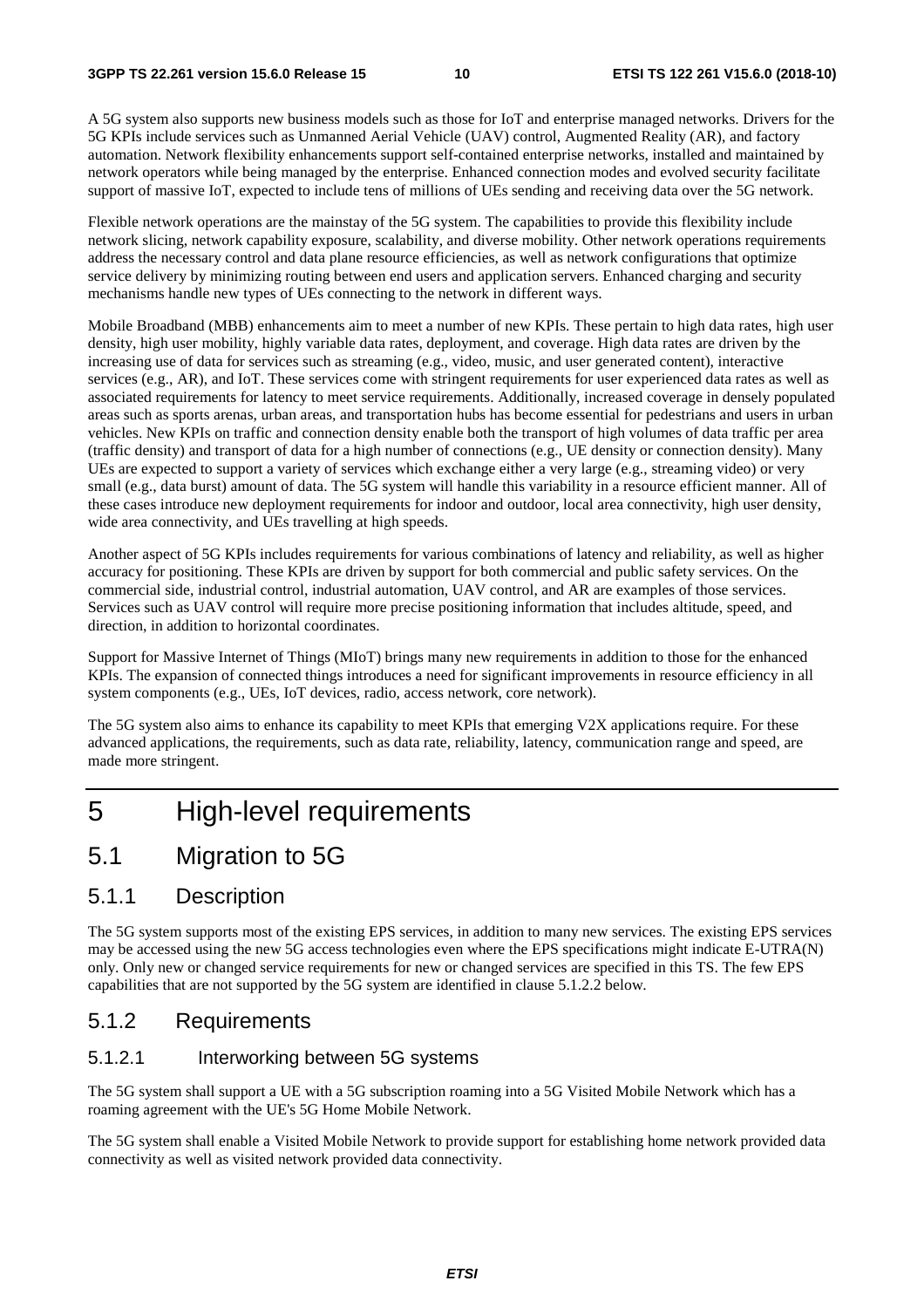A 5G system also supports new business models such as those for IoT and enterprise managed networks. Drivers for the 5G KPIs include services such as Unmanned Aerial Vehicle (UAV) control, Augmented Reality (AR), and factory automation. Network flexibility enhancements support self-contained enterprise networks, installed and maintained by network operators while being managed by the enterprise. Enhanced connection modes and evolved security facilitate support of massive IoT, expected to include tens of millions of UEs sending and receiving data over the 5G network.

Flexible network operations are the mainstay of the 5G system. The capabilities to provide this flexibility include network slicing, network capability exposure, scalability, and diverse mobility. Other network operations requirements address the necessary control and data plane resource efficiencies, as well as network configurations that optimize service delivery by minimizing routing between end users and application servers. Enhanced charging and security mechanisms handle new types of UEs connecting to the network in different ways.

Mobile Broadband (MBB) enhancements aim to meet a number of new KPIs. These pertain to high data rates, high user density, high user mobility, highly variable data rates, deployment, and coverage. High data rates are driven by the increasing use of data for services such as streaming (e.g., video, music, and user generated content), interactive services (e.g., AR), and IoT. These services come with stringent requirements for user experienced data rates as well as associated requirements for latency to meet service requirements. Additionally, increased coverage in densely populated areas such as sports arenas, urban areas, and transportation hubs has become essential for pedestrians and users in urban vehicles. New KPIs on traffic and connection density enable both the transport of high volumes of data traffic per area (traffic density) and transport of data for a high number of connections (e.g., UE density or connection density). Many UEs are expected to support a variety of services which exchange either a very large (e.g., streaming video) or very small (e.g., data burst) amount of data. The 5G system will handle this variability in a resource efficient manner. All of these cases introduce new deployment requirements for indoor and outdoor, local area connectivity, high user density, wide area connectivity, and UEs travelling at high speeds.

Another aspect of 5G KPIs includes requirements for various combinations of latency and reliability, as well as higher accuracy for positioning. These KPIs are driven by support for both commercial and public safety services. On the commercial side, industrial control, industrial automation, UAV control, and AR are examples of those services. Services such as UAV control will require more precise positioning information that includes altitude, speed, and direction, in addition to horizontal coordinates.

Support for Massive Internet of Things (MIoT) brings many new requirements in addition to those for the enhanced KPIs. The expansion of connected things introduces a need for significant improvements in resource efficiency in all system components (e.g., UEs, IoT devices, radio, access network, core network).

The 5G system also aims to enhance its capability to meet KPIs that emerging V2X applications require. For these advanced applications, the requirements, such as data rate, reliability, latency, communication range and speed, are made more stringent.

## 5 High-level requirements

### 5.1 Migration to 5G

#### 5.1.1 Description

The 5G system supports most of the existing EPS services, in addition to many new services. The existing EPS services may be accessed using the new 5G access technologies even where the EPS specifications might indicate E-UTRA(N) only. Only new or changed service requirements for new or changed services are specified in this TS. The few EPS capabilities that are not supported by the 5G system are identified in clause 5.1.2.2 below.

#### 5.1.2 Requirements

#### 5.1.2.1 Interworking between 5G systems

The 5G system shall support a UE with a 5G subscription roaming into a 5G Visited Mobile Network which has a roaming agreement with the UE's 5G Home Mobile Network.

The 5G system shall enable a Visited Mobile Network to provide support for establishing home network provided data connectivity as well as visited network provided data connectivity.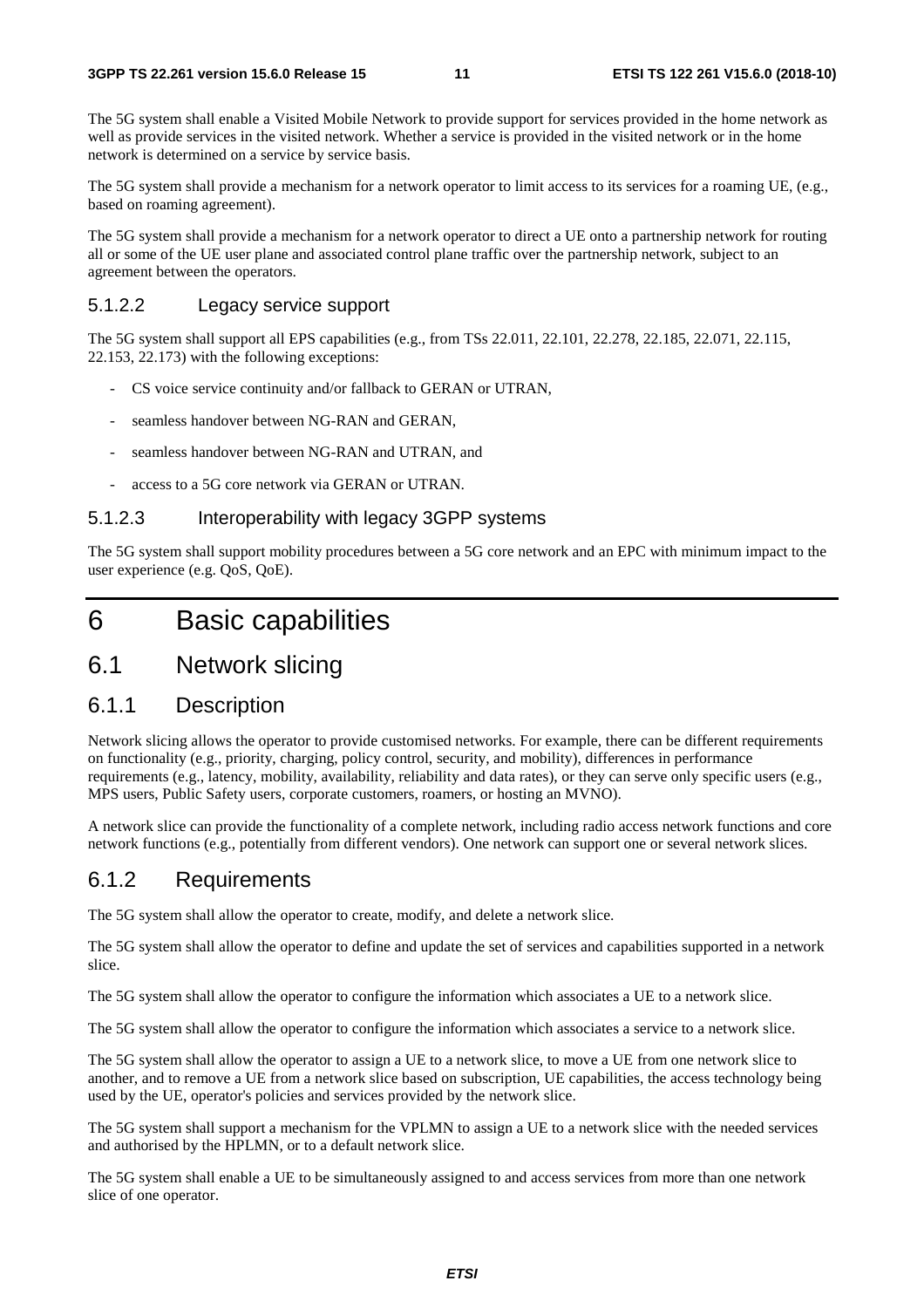The 5G system shall enable a Visited Mobile Network to provide support for services provided in the home network as well as provide services in the visited network. Whether a service is provided in the visited network or in the home network is determined on a service by service basis.

The 5G system shall provide a mechanism for a network operator to limit access to its services for a roaming UE, (e.g., based on roaming agreement).

The 5G system shall provide a mechanism for a network operator to direct a UE onto a partnership network for routing all or some of the UE user plane and associated control plane traffic over the partnership network, subject to an agreement between the operators.

#### 5.1.2.2 Legacy service support

The 5G system shall support all EPS capabilities (e.g., from TSs 22.011, 22.101, 22.278, 22.185, 22.071, 22.115, 22.153, 22.173) with the following exceptions:

- CS voice service continuity and/or fallback to GERAN or UTRAN,
- seamless handover between NG-RAN and GERAN,
- seamless handover between NG-RAN and UTRAN, and
- access to a 5G core network via GERAN or UTRAN.

#### 5.1.2.3 Interoperability with legacy 3GPP systems

The 5G system shall support mobility procedures between a 5G core network and an EPC with minimum impact to the user experience (e.g. QoS, QoE).

## 6 Basic capabilities

### 6.1 Network slicing

#### 6.1.1 Description

Network slicing allows the operator to provide customised networks. For example, there can be different requirements on functionality (e.g., priority, charging, policy control, security, and mobility), differences in performance requirements (e.g., latency, mobility, availability, reliability and data rates), or they can serve only specific users (e.g., MPS users, Public Safety users, corporate customers, roamers, or hosting an MVNO).

A network slice can provide the functionality of a complete network, including radio access network functions and core network functions (e.g., potentially from different vendors). One network can support one or several network slices.

#### 6.1.2 Requirements

The 5G system shall allow the operator to create, modify, and delete a network slice.

The 5G system shall allow the operator to define and update the set of services and capabilities supported in a network slice.

The 5G system shall allow the operator to configure the information which associates a UE to a network slice.

The 5G system shall allow the operator to configure the information which associates a service to a network slice.

The 5G system shall allow the operator to assign a UE to a network slice, to move a UE from one network slice to another, and to remove a UE from a network slice based on subscription, UE capabilities, the access technology being used by the UE, operator's policies and services provided by the network slice.

The 5G system shall support a mechanism for the VPLMN to assign a UE to a network slice with the needed services and authorised by the HPLMN, or to a default network slice.

The 5G system shall enable a UE to be simultaneously assigned to and access services from more than one network slice of one operator.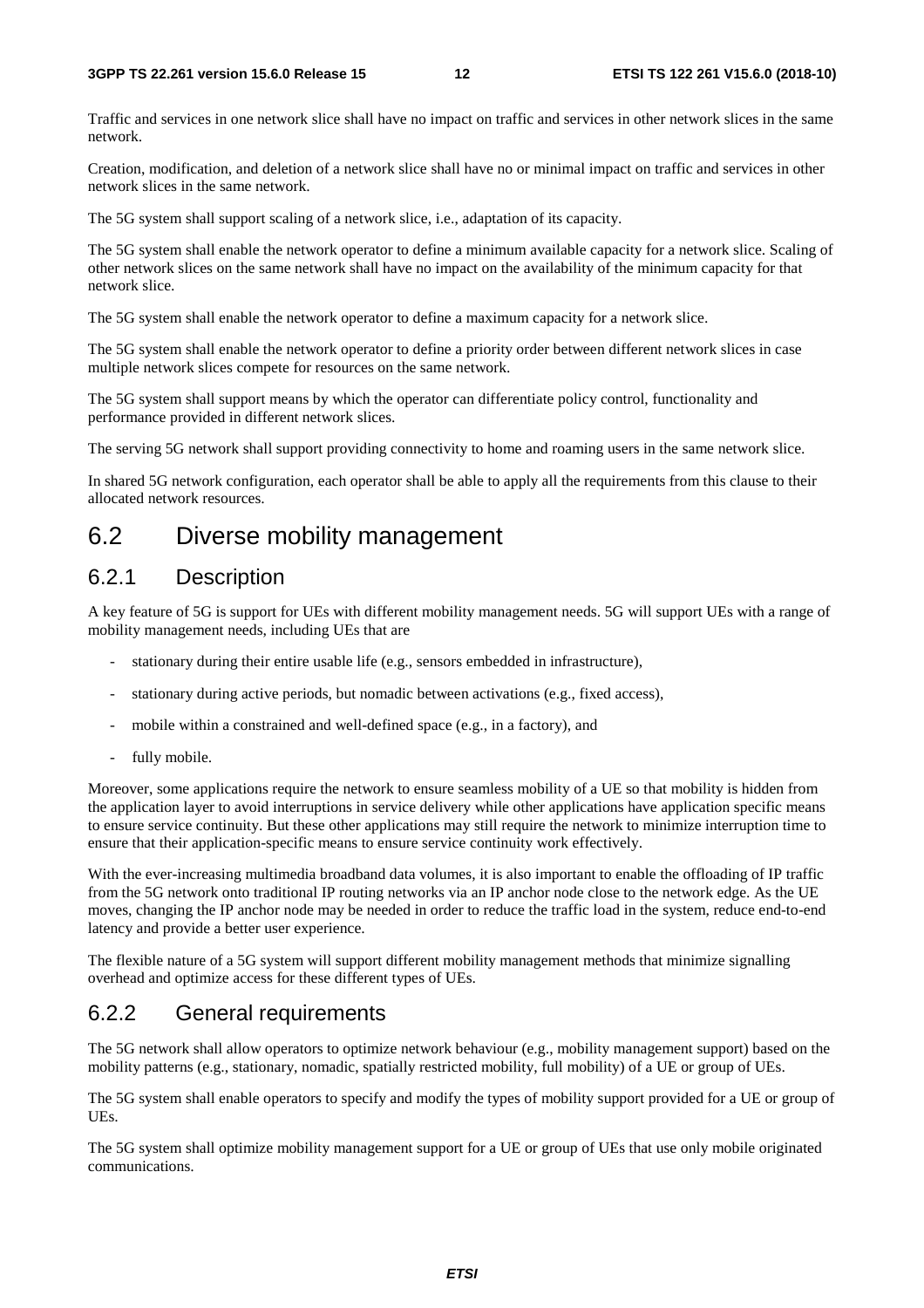Traffic and services in one network slice shall have no impact on traffic and services in other network slices in the same network.

Creation, modification, and deletion of a network slice shall have no or minimal impact on traffic and services in other network slices in the same network.

The 5G system shall support scaling of a network slice, i.e., adaptation of its capacity.

The 5G system shall enable the network operator to define a minimum available capacity for a network slice. Scaling of other network slices on the same network shall have no impact on the availability of the minimum capacity for that network slice.

The 5G system shall enable the network operator to define a maximum capacity for a network slice.

The 5G system shall enable the network operator to define a priority order between different network slices in case multiple network slices compete for resources on the same network.

The 5G system shall support means by which the operator can differentiate policy control, functionality and performance provided in different network slices.

The serving 5G network shall support providing connectivity to home and roaming users in the same network slice.

In shared 5G network configuration, each operator shall be able to apply all the requirements from this clause to their allocated network resources.

### 6.2 Diverse mobility management

#### 6.2.1 Description

A key feature of 5G is support for UEs with different mobility management needs. 5G will support UEs with a range of mobility management needs, including UEs that are

- stationary during their entire usable life (e.g., sensors embedded in infrastructure),
- stationary during active periods, but nomadic between activations (e.g., fixed access),
- mobile within a constrained and well-defined space (e.g., in a factory), and
- fully mobile.

Moreover, some applications require the network to ensure seamless mobility of a UE so that mobility is hidden from the application layer to avoid interruptions in service delivery while other applications have application specific means to ensure service continuity. But these other applications may still require the network to minimize interruption time to ensure that their application-specific means to ensure service continuity work effectively.

With the ever-increasing multimedia broadband data volumes, it is also important to enable the offloading of IP traffic from the 5G network onto traditional IP routing networks via an IP anchor node close to the network edge. As the UE moves, changing the IP anchor node may be needed in order to reduce the traffic load in the system, reduce end-to-end latency and provide a better user experience.

The flexible nature of a 5G system will support different mobility management methods that minimize signalling overhead and optimize access for these different types of UEs.

### 6.2.2 General requirements

The 5G network shall allow operators to optimize network behaviour (e.g., mobility management support) based on the mobility patterns (e.g., stationary, nomadic, spatially restricted mobility, full mobility) of a UE or group of UEs.

The 5G system shall enable operators to specify and modify the types of mobility support provided for a UE or group of UEs.

The 5G system shall optimize mobility management support for a UE or group of UEs that use only mobile originated communications.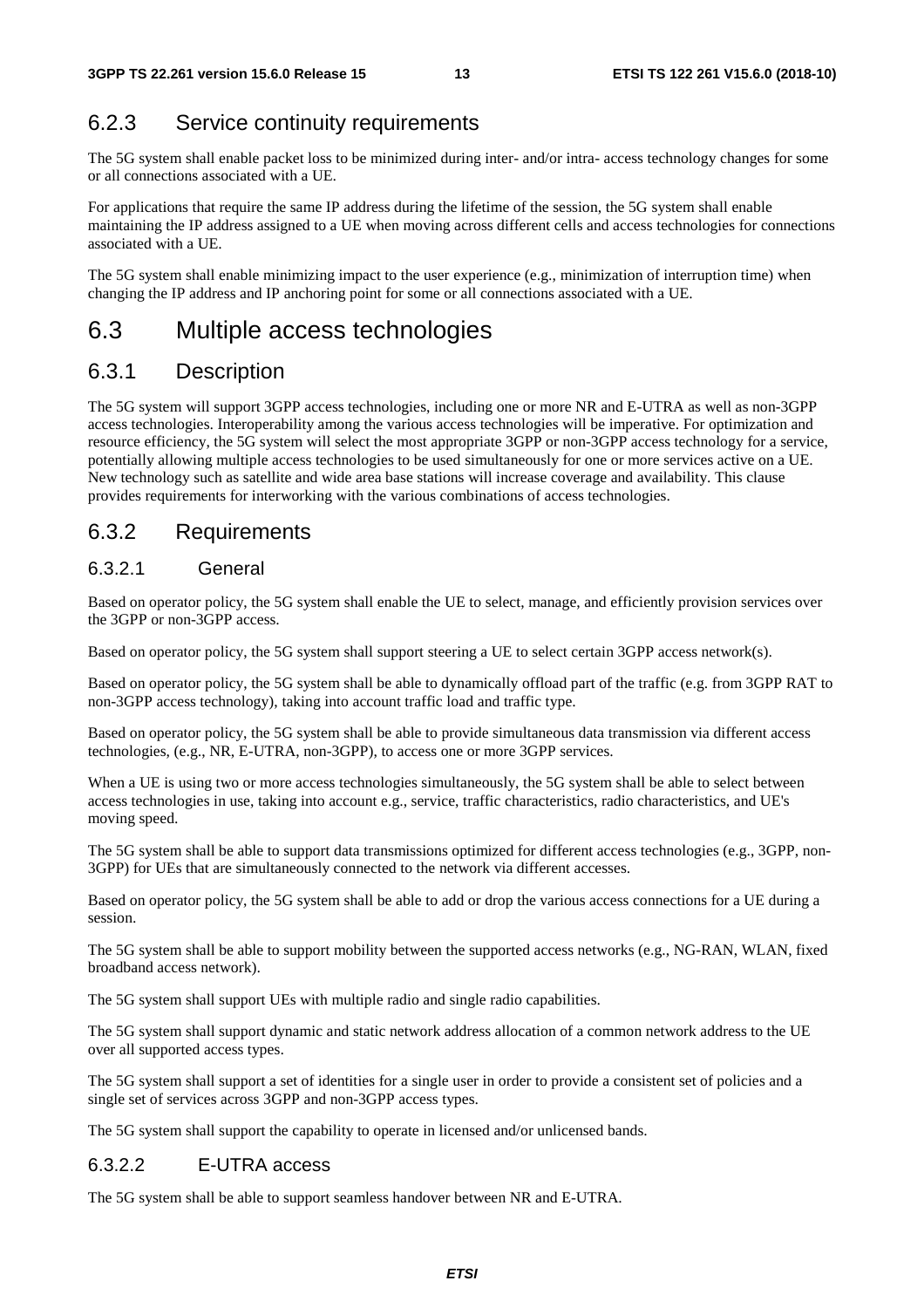### 6.2.3 Service continuity requirements

The 5G system shall enable packet loss to be minimized during inter- and/or intra- access technology changes for some or all connections associated with a UE.

For applications that require the same IP address during the lifetime of the session, the 5G system shall enable maintaining the IP address assigned to a UE when moving across different cells and access technologies for connections associated with a UE.

The 5G system shall enable minimizing impact to the user experience (e.g., minimization of interruption time) when changing the IP address and IP anchoring point for some or all connections associated with a UE.

### 6.3 Multiple access technologies

#### 6.3.1 Description

The 5G system will support 3GPP access technologies, including one or more NR and E-UTRA as well as non-3GPP access technologies. Interoperability among the various access technologies will be imperative. For optimization and resource efficiency, the 5G system will select the most appropriate 3GPP or non-3GPP access technology for a service, potentially allowing multiple access technologies to be used simultaneously for one or more services active on a UE. New technology such as satellite and wide area base stations will increase coverage and availability. This clause provides requirements for interworking with the various combinations of access technologies.

#### 6.3.2 Requirements

#### 6.3.2.1 General

Based on operator policy, the 5G system shall enable the UE to select, manage, and efficiently provision services over the 3GPP or non-3GPP access.

Based on operator policy, the 5G system shall support steering a UE to select certain 3GPP access network(s).

Based on operator policy, the 5G system shall be able to dynamically offload part of the traffic (e.g. from 3GPP RAT to non-3GPP access technology), taking into account traffic load and traffic type.

Based on operator policy, the 5G system shall be able to provide simultaneous data transmission via different access technologies, (e.g., NR, E-UTRA, non-3GPP), to access one or more 3GPP services.

When a UE is using two or more access technologies simultaneously, the 5G system shall be able to select between access technologies in use, taking into account e.g., service, traffic characteristics, radio characteristics, and UE's moving speed.

The 5G system shall be able to support data transmissions optimized for different access technologies (e.g., 3GPP, non-3GPP) for UEs that are simultaneously connected to the network via different accesses.

Based on operator policy, the 5G system shall be able to add or drop the various access connections for a UE during a session.

The 5G system shall be able to support mobility between the supported access networks (e.g., NG-RAN, WLAN, fixed broadband access network).

The 5G system shall support UEs with multiple radio and single radio capabilities.

The 5G system shall support dynamic and static network address allocation of a common network address to the UE over all supported access types.

The 5G system shall support a set of identities for a single user in order to provide a consistent set of policies and a single set of services across 3GPP and non-3GPP access types.

The 5G system shall support the capability to operate in licensed and/or unlicensed bands.

#### 6.3.2.2 E-UTRA access

The 5G system shall be able to support seamless handover between NR and E-UTRA.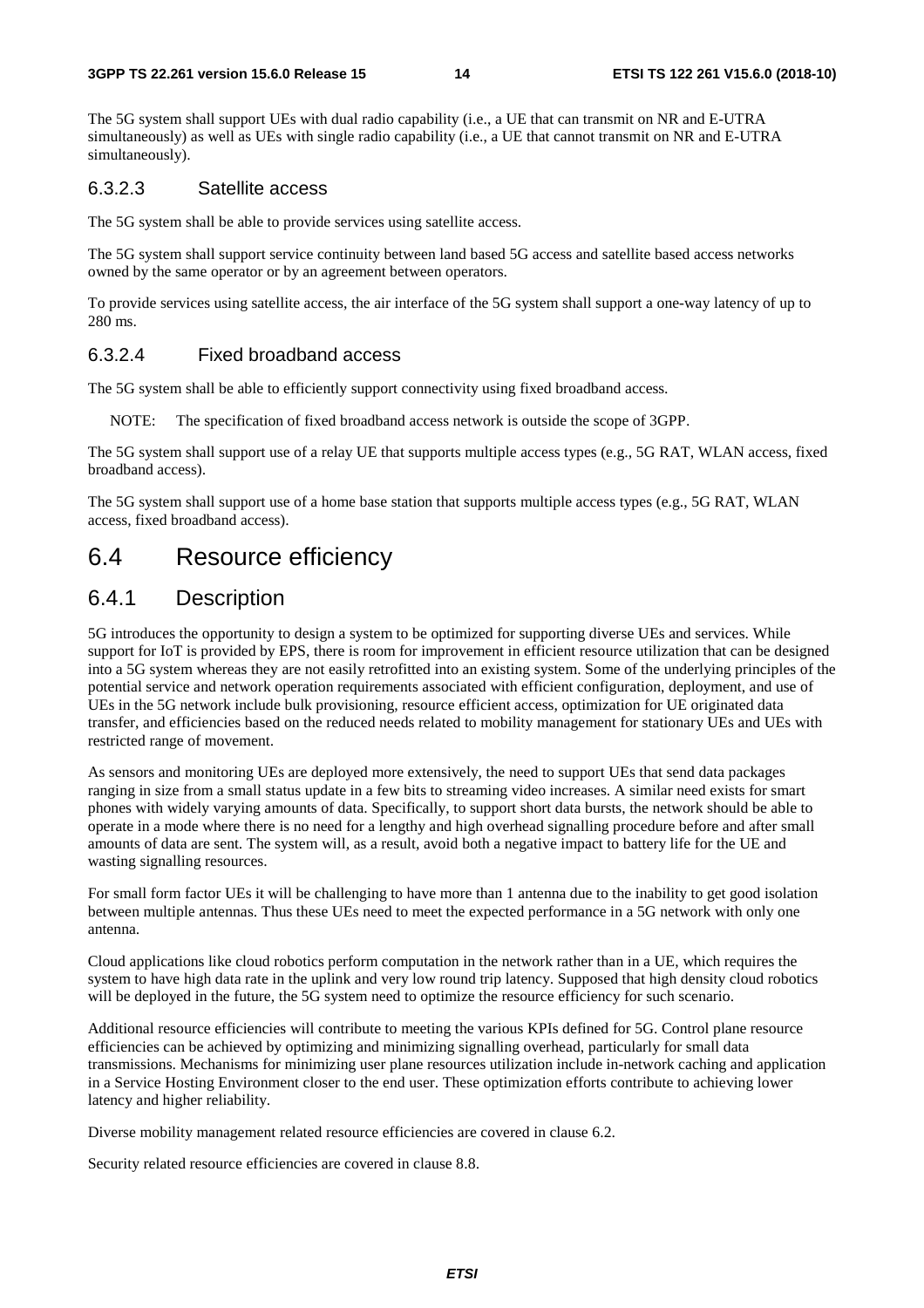The 5G system shall support UEs with dual radio capability (i.e., a UE that can transmit on NR and E-UTRA simultaneously) as well as UEs with single radio capability (i.e., a UE that cannot transmit on NR and E-UTRA simultaneously).

#### 6.3.2.3 Satellite access

The 5G system shall be able to provide services using satellite access.

The 5G system shall support service continuity between land based 5G access and satellite based access networks owned by the same operator or by an agreement between operators.

To provide services using satellite access, the air interface of the 5G system shall support a one-way latency of up to 280 ms.

#### 6.3.2.4 Fixed broadband access

The 5G system shall be able to efficiently support connectivity using fixed broadband access.

NOTE: The specification of fixed broadband access network is outside the scope of 3GPP.

The 5G system shall support use of a relay UE that supports multiple access types (e.g., 5G RAT, WLAN access, fixed broadband access).

The 5G system shall support use of a home base station that supports multiple access types (e.g., 5G RAT, WLAN access, fixed broadband access).

### 6.4 Resource efficiency

#### 6.4.1 Description

5G introduces the opportunity to design a system to be optimized for supporting diverse UEs and services. While support for IoT is provided by EPS, there is room for improvement in efficient resource utilization that can be designed into a 5G system whereas they are not easily retrofitted into an existing system. Some of the underlying principles of the potential service and network operation requirements associated with efficient configuration, deployment, and use of UEs in the 5G network include bulk provisioning, resource efficient access, optimization for UE originated data transfer, and efficiencies based on the reduced needs related to mobility management for stationary UEs and UEs with restricted range of movement.

As sensors and monitoring UEs are deployed more extensively, the need to support UEs that send data packages ranging in size from a small status update in a few bits to streaming video increases. A similar need exists for smart phones with widely varying amounts of data. Specifically, to support short data bursts, the network should be able to operate in a mode where there is no need for a lengthy and high overhead signalling procedure before and after small amounts of data are sent. The system will, as a result, avoid both a negative impact to battery life for the UE and wasting signalling resources.

For small form factor UEs it will be challenging to have more than 1 antenna due to the inability to get good isolation between multiple antennas. Thus these UEs need to meet the expected performance in a 5G network with only one antenna.

Cloud applications like cloud robotics perform computation in the network rather than in a UE, which requires the system to have high data rate in the uplink and very low round trip latency. Supposed that high density cloud robotics will be deployed in the future, the 5G system need to optimize the resource efficiency for such scenario.

Additional resource efficiencies will contribute to meeting the various KPIs defined for 5G. Control plane resource efficiencies can be achieved by optimizing and minimizing signalling overhead, particularly for small data transmissions. Mechanisms for minimizing user plane resources utilization include in-network caching and application in a Service Hosting Environment closer to the end user. These optimization efforts contribute to achieving lower latency and higher reliability.

Diverse mobility management related resource efficiencies are covered in clause 6.2.

Security related resource efficiencies are covered in clause 8.8.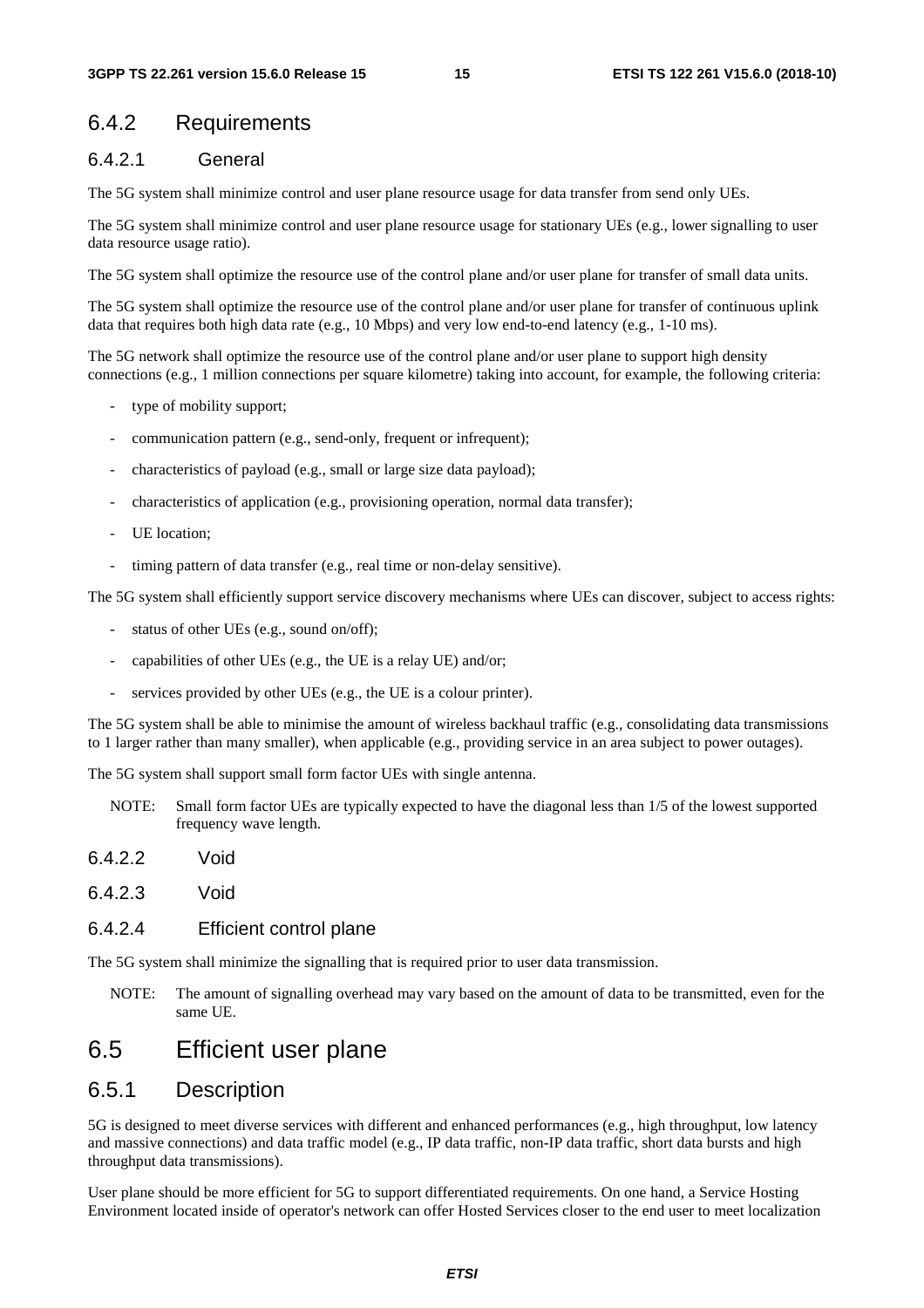#### 6.4.2 Requirements

#### 6.4.2.1 General

The 5G system shall minimize control and user plane resource usage for data transfer from send only UEs.

The 5G system shall minimize control and user plane resource usage for stationary UEs (e.g., lower signalling to user data resource usage ratio).

The 5G system shall optimize the resource use of the control plane and/or user plane for transfer of small data units.

The 5G system shall optimize the resource use of the control plane and/or user plane for transfer of continuous uplink data that requires both high data rate (e.g., 10 Mbps) and very low end-to-end latency (e.g., 1-10 ms).

The 5G network shall optimize the resource use of the control plane and/or user plane to support high density connections (e.g., 1 million connections per square kilometre) taking into account, for example, the following criteria:

- type of mobility support;
- communication pattern (e.g., send-only, frequent or infrequent);
- characteristics of payload (e.g., small or large size data payload);
- characteristics of application (e.g., provisioning operation, normal data transfer);
- UE location:
- timing pattern of data transfer (e.g., real time or non-delay sensitive).

The 5G system shall efficiently support service discovery mechanisms where UEs can discover, subject to access rights:

- status of other UEs (e.g., sound on/off);
- capabilities of other UEs (e.g., the UE is a relay UE) and/or;
- services provided by other UEs (e.g., the UE is a colour printer).

The 5G system shall be able to minimise the amount of wireless backhaul traffic (e.g., consolidating data transmissions to 1 larger rather than many smaller), when applicable (e.g., providing service in an area subject to power outages).

The 5G system shall support small form factor UEs with single antenna.

- NOTE: Small form factor UEs are typically expected to have the diagonal less than 1/5 of the lowest supported frequency wave length.
- 6.4.2.2 Void
- 6.4.2.3 Void

#### 6.4.2.4 Efficient control plane

The 5G system shall minimize the signalling that is required prior to user data transmission.

NOTE: The amount of signalling overhead may vary based on the amount of data to be transmitted, even for the same UE.

### 6.5 Efficient user plane

#### 6.5.1 Description

5G is designed to meet diverse services with different and enhanced performances (e.g., high throughput, low latency and massive connections) and data traffic model (e.g., IP data traffic, non-IP data traffic, short data bursts and high throughput data transmissions).

User plane should be more efficient for 5G to support differentiated requirements. On one hand, a Service Hosting Environment located inside of operator's network can offer Hosted Services closer to the end user to meet localization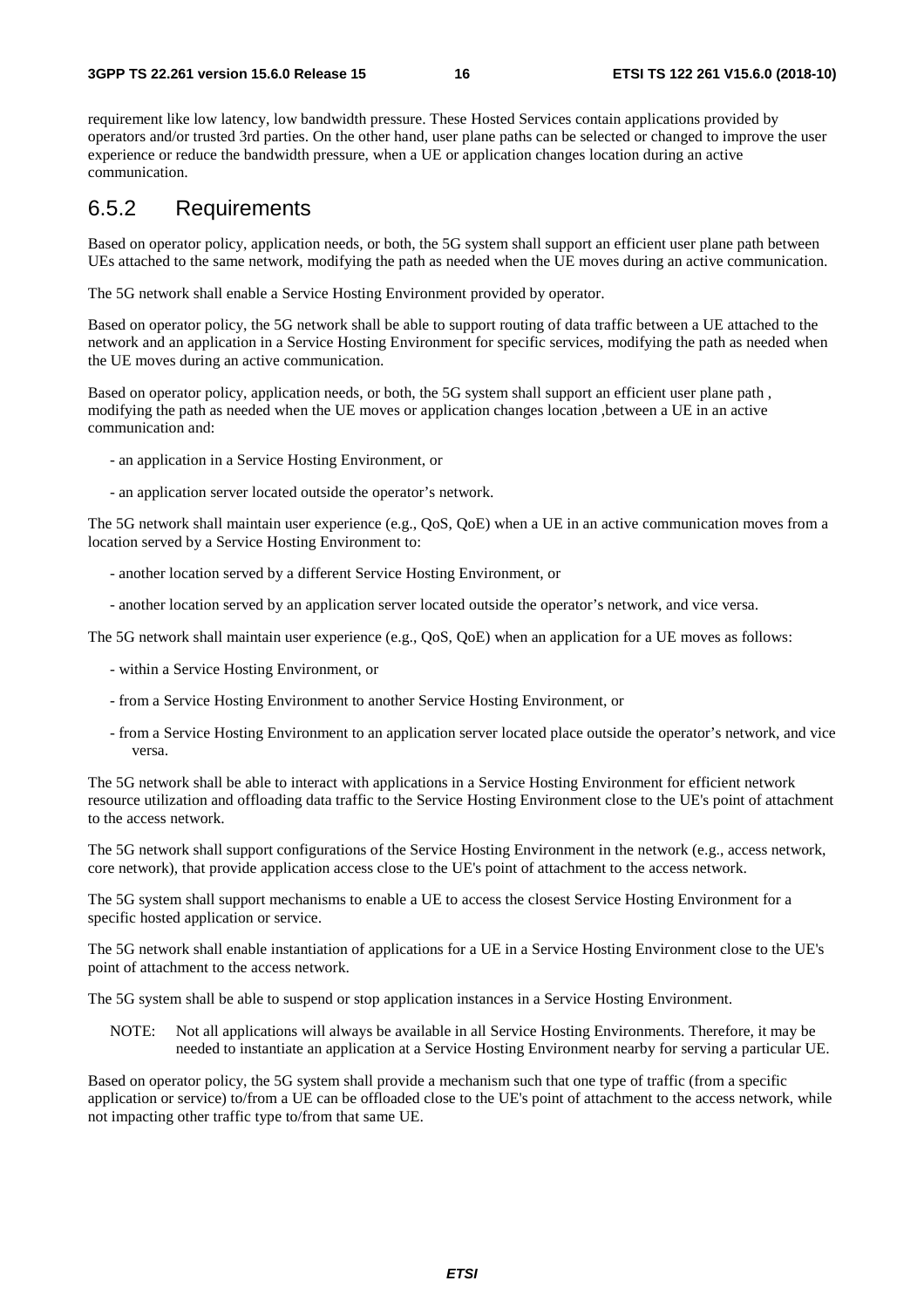requirement like low latency, low bandwidth pressure. These Hosted Services contain applications provided by operators and/or trusted 3rd parties. On the other hand, user plane paths can be selected or changed to improve the user experience or reduce the bandwidth pressure, when a UE or application changes location during an active communication.

#### 6.5.2 Requirements

Based on operator policy, application needs, or both, the 5G system shall support an efficient user plane path between UEs attached to the same network, modifying the path as needed when the UE moves during an active communication.

The 5G network shall enable a Service Hosting Environment provided by operator.

Based on operator policy, the 5G network shall be able to support routing of data traffic between a UE attached to the network and an application in a Service Hosting Environment for specific services, modifying the path as needed when the UE moves during an active communication.

Based on operator policy, application needs, or both, the 5G system shall support an efficient user plane path , modifying the path as needed when the UE moves or application changes location ,between a UE in an active communication and:

- an application in a Service Hosting Environment, or
- an application server located outside the operator's network.

The 5G network shall maintain user experience (e.g., QoS, QoE) when a UE in an active communication moves from a location served by a Service Hosting Environment to:

- another location served by a different Service Hosting Environment, or
- another location served by an application server located outside the operator's network, and vice versa.

The 5G network shall maintain user experience (e.g., QoS, QoE) when an application for a UE moves as follows:

- within a Service Hosting Environment, or
- from a Service Hosting Environment to another Service Hosting Environment, or
- from a Service Hosting Environment to an application server located place outside the operator's network, and vice versa.

The 5G network shall be able to interact with applications in a Service Hosting Environment for efficient network resource utilization and offloading data traffic to the Service Hosting Environment close to the UE's point of attachment to the access network.

The 5G network shall support configurations of the Service Hosting Environment in the network (e.g., access network, core network), that provide application access close to the UE's point of attachment to the access network.

The 5G system shall support mechanisms to enable a UE to access the closest Service Hosting Environment for a specific hosted application or service.

The 5G network shall enable instantiation of applications for a UE in a Service Hosting Environment close to the UE's point of attachment to the access network.

The 5G system shall be able to suspend or stop application instances in a Service Hosting Environment.

NOTE: Not all applications will always be available in all Service Hosting Environments. Therefore, it may be needed to instantiate an application at a Service Hosting Environment nearby for serving a particular UE.

Based on operator policy, the 5G system shall provide a mechanism such that one type of traffic (from a specific application or service) to/from a UE can be offloaded close to the UE's point of attachment to the access network, while not impacting other traffic type to/from that same UE.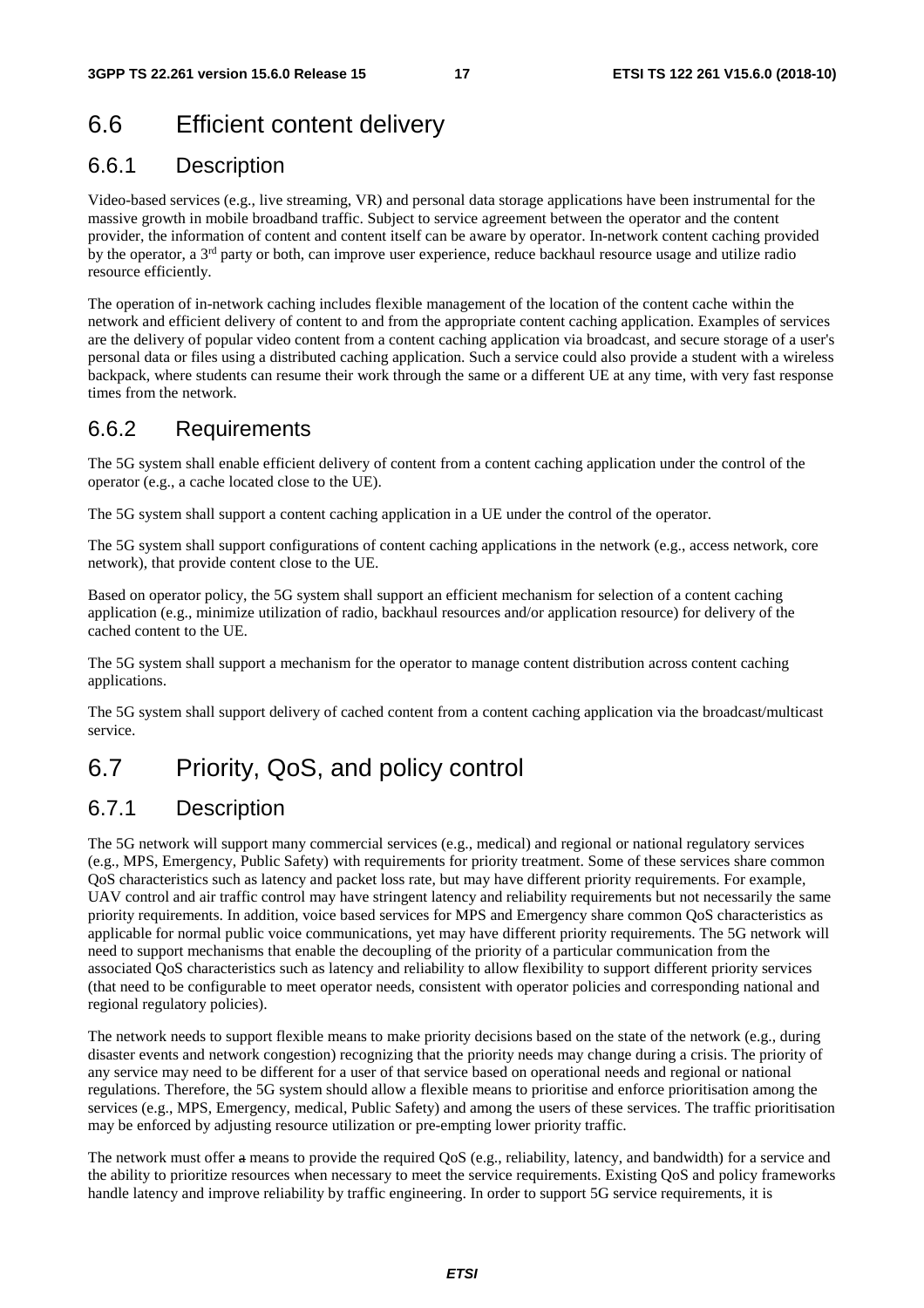## 6.6 Efficient content delivery

#### 6.6.1 Description

Video-based services (e.g., live streaming, VR) and personal data storage applications have been instrumental for the massive growth in mobile broadband traffic. Subject to service agreement between the operator and the content provider, the information of content and content itself can be aware by operator. In-network content caching provided by the operator, a  $3<sup>rd</sup>$  party or both, can improve user experience, reduce backhaul resource usage and utilize radio resource efficiently.

The operation of in-network caching includes flexible management of the location of the content cache within the network and efficient delivery of content to and from the appropriate content caching application. Examples of services are the delivery of popular video content from a content caching application via broadcast, and secure storage of a user's personal data or files using a distributed caching application. Such a service could also provide a student with a wireless backpack, where students can resume their work through the same or a different UE at any time, with very fast response times from the network.

### 6.6.2 Requirements

The 5G system shall enable efficient delivery of content from a content caching application under the control of the operator (e.g., a cache located close to the UE).

The 5G system shall support a content caching application in a UE under the control of the operator.

The 5G system shall support configurations of content caching applications in the network (e.g., access network, core network), that provide content close to the UE.

Based on operator policy, the 5G system shall support an efficient mechanism for selection of a content caching application (e.g., minimize utilization of radio, backhaul resources and/or application resource) for delivery of the cached content to the UE.

The 5G system shall support a mechanism for the operator to manage content distribution across content caching applications.

The 5G system shall support delivery of cached content from a content caching application via the broadcast/multicast service.

## 6.7 Priority, QoS, and policy control

### 6.7.1 Description

The 5G network will support many commercial services (e.g., medical) and regional or national regulatory services (e.g., MPS, Emergency, Public Safety) with requirements for priority treatment. Some of these services share common QoS characteristics such as latency and packet loss rate, but may have different priority requirements. For example, UAV control and air traffic control may have stringent latency and reliability requirements but not necessarily the same priority requirements. In addition, voice based services for MPS and Emergency share common QoS characteristics as applicable for normal public voice communications, yet may have different priority requirements. The 5G network will need to support mechanisms that enable the decoupling of the priority of a particular communication from the associated QoS characteristics such as latency and reliability to allow flexibility to support different priority services (that need to be configurable to meet operator needs, consistent with operator policies and corresponding national and regional regulatory policies).

The network needs to support flexible means to make priority decisions based on the state of the network (e.g., during disaster events and network congestion) recognizing that the priority needs may change during a crisis. The priority of any service may need to be different for a user of that service based on operational needs and regional or national regulations. Therefore, the 5G system should allow a flexible means to prioritise and enforce prioritisation among the services (e.g., MPS, Emergency, medical, Public Safety) and among the users of these services. The traffic prioritisation may be enforced by adjusting resource utilization or pre-empting lower priority traffic.

The network must offer a means to provide the required QoS (e.g., reliability, latency, and bandwidth) for a service and the ability to prioritize resources when necessary to meet the service requirements. Existing QoS and policy frameworks handle latency and improve reliability by traffic engineering. In order to support 5G service requirements, it is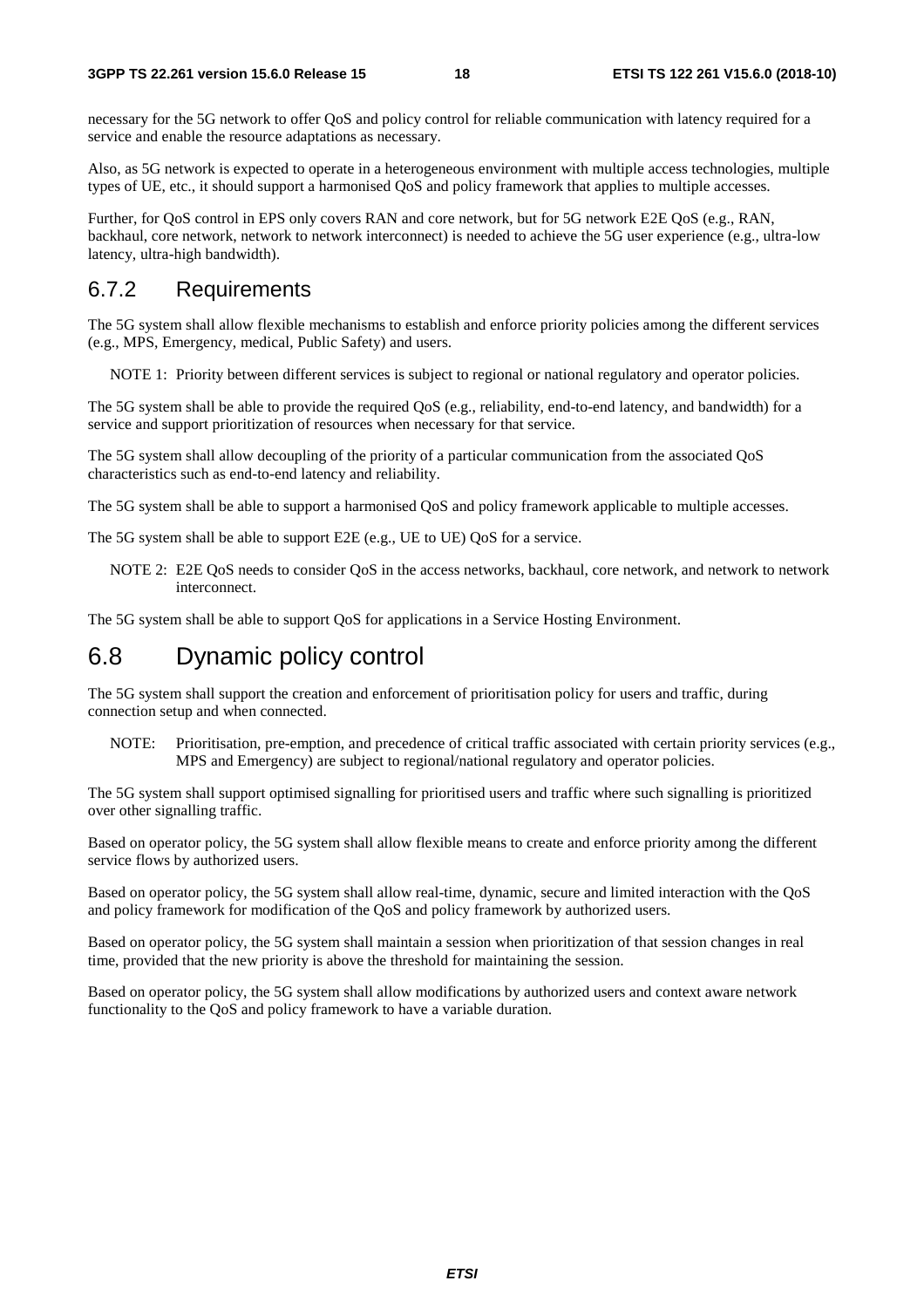necessary for the 5G network to offer QoS and policy control for reliable communication with latency required for a service and enable the resource adaptations as necessary.

Also, as 5G network is expected to operate in a heterogeneous environment with multiple access technologies, multiple types of UE, etc., it should support a harmonised QoS and policy framework that applies to multiple accesses.

Further, for QoS control in EPS only covers RAN and core network, but for 5G network E2E QoS (e.g., RAN, backhaul, core network, network to network interconnect) is needed to achieve the 5G user experience (e.g., ultra-low latency, ultra-high bandwidth).

#### 6.7.2 Requirements

The 5G system shall allow flexible mechanisms to establish and enforce priority policies among the different services (e.g., MPS, Emergency, medical, Public Safety) and users.

NOTE 1: Priority between different services is subject to regional or national regulatory and operator policies.

The 5G system shall be able to provide the required QoS (e.g., reliability, end-to-end latency, and bandwidth) for a service and support prioritization of resources when necessary for that service.

The 5G system shall allow decoupling of the priority of a particular communication from the associated QoS characteristics such as end-to-end latency and reliability.

The 5G system shall be able to support a harmonised QoS and policy framework applicable to multiple accesses.

The 5G system shall be able to support E2E (e.g., UE to UE) QoS for a service.

NOTE 2: E2E QoS needs to consider QoS in the access networks, backhaul, core network, and network to network interconnect.

The 5G system shall be able to support QoS for applications in a Service Hosting Environment.

### 6.8 Dynamic policy control

The 5G system shall support the creation and enforcement of prioritisation policy for users and traffic, during connection setup and when connected.

NOTE: Prioritisation, pre-emption, and precedence of critical traffic associated with certain priority services (e.g., MPS and Emergency) are subject to regional/national regulatory and operator policies.

The 5G system shall support optimised signalling for prioritised users and traffic where such signalling is prioritized over other signalling traffic.

Based on operator policy, the 5G system shall allow flexible means to create and enforce priority among the different service flows by authorized users.

Based on operator policy, the 5G system shall allow real-time, dynamic, secure and limited interaction with the QoS and policy framework for modification of the QoS and policy framework by authorized users.

Based on operator policy, the 5G system shall maintain a session when prioritization of that session changes in real time, provided that the new priority is above the threshold for maintaining the session.

Based on operator policy, the 5G system shall allow modifications by authorized users and context aware network functionality to the QoS and policy framework to have a variable duration.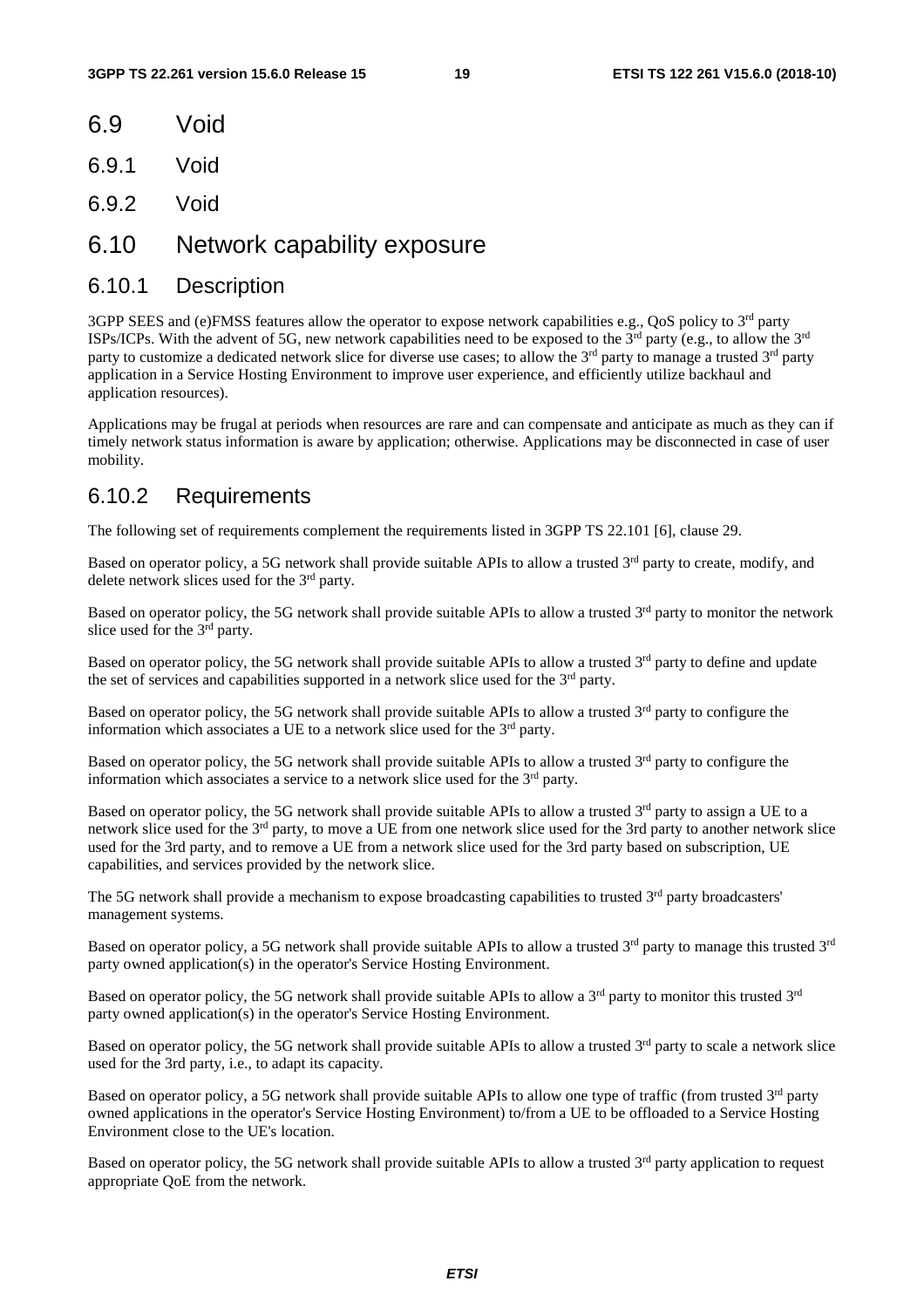- 6.9 Void
- 6.9.1 Void
- 6.9.2 Void
- 6.10 Network capability exposure

#### 6.10.1 Description

3GPP SEES and (e)FMSS features allow the operator to expose network capabilities e.g., QoS policy to 3rd party ISPs/ICPs. With the advent of 5G, new network capabilities need to be exposed to the  $3^{rd}$  party (e.g., to allow the  $3^{rd}$ party to customize a dedicated network slice for diverse use cases; to allow the 3<sup>rd</sup> party to manage a trusted 3<sup>rd</sup> party application in a Service Hosting Environment to improve user experience, and efficiently utilize backhaul and application resources).

Applications may be frugal at periods when resources are rare and can compensate and anticipate as much as they can if timely network status information is aware by application; otherwise. Applications may be disconnected in case of user mobility.

#### 6.10.2 Requirements

The following set of requirements complement the requirements listed in 3GPP TS 22.101 [6], clause 29.

Based on operator policy, a 5G network shall provide suitable APIs to allow a trusted  $3<sup>rd</sup>$  party to create, modify, and delete network slices used for the 3rd party.

Based on operator policy, the 5G network shall provide suitable APIs to allow a trusted  $3<sup>rd</sup>$  party to monitor the network slice used for the 3<sup>rd</sup> party.

Based on operator policy, the 5G network shall provide suitable APIs to allow a trusted  $3<sup>rd</sup>$  party to define and update the set of services and capabilities supported in a network slice used for the  $3<sup>rd</sup>$  party.

Based on operator policy, the 5G network shall provide suitable APIs to allow a trusted 3<sup>rd</sup> party to configure the information which associates a UE to a network slice used for the  $3<sup>rd</sup>$  party.

Based on operator policy, the 5G network shall provide suitable APIs to allow a trusted  $3<sup>rd</sup>$  party to configure the information which associates a service to a network slice used for the 3rd party.

Based on operator policy, the 5G network shall provide suitable APIs to allow a trusted  $3^{rd}$  party to assign a UE to a network slice used for the 3rd party, to move a UE from one network slice used for the 3rd party to another network slice used for the 3rd party, and to remove a UE from a network slice used for the 3rd party based on subscription, UE capabilities, and services provided by the network slice.

The 5G network shall provide a mechanism to expose broadcasting capabilities to trusted 3<sup>rd</sup> party broadcasters' management systems.

Based on operator policy, a 5G network shall provide suitable APIs to allow a trusted  $3<sup>rd</sup>$  party to manage this trusted  $3<sup>rd</sup>$ party owned application(s) in the operator's Service Hosting Environment.

Based on operator policy, the 5G network shall provide suitable APIs to allow a 3<sup>rd</sup> party to monitor this trusted 3<sup>rd</sup> party owned application(s) in the operator's Service Hosting Environment.

Based on operator policy, the 5G network shall provide suitable APIs to allow a trusted  $3<sup>rd</sup>$  party to scale a network slice used for the 3rd party, i.e., to adapt its capacity.

Based on operator policy, a 5G network shall provide suitable APIs to allow one type of traffic (from trusted 3rd party owned applications in the operator's Service Hosting Environment) to/from a UE to be offloaded to a Service Hosting Environment close to the UE's location.

Based on operator policy, the 5G network shall provide suitable APIs to allow a trusted 3<sup>rd</sup> party application to request appropriate QoE from the network.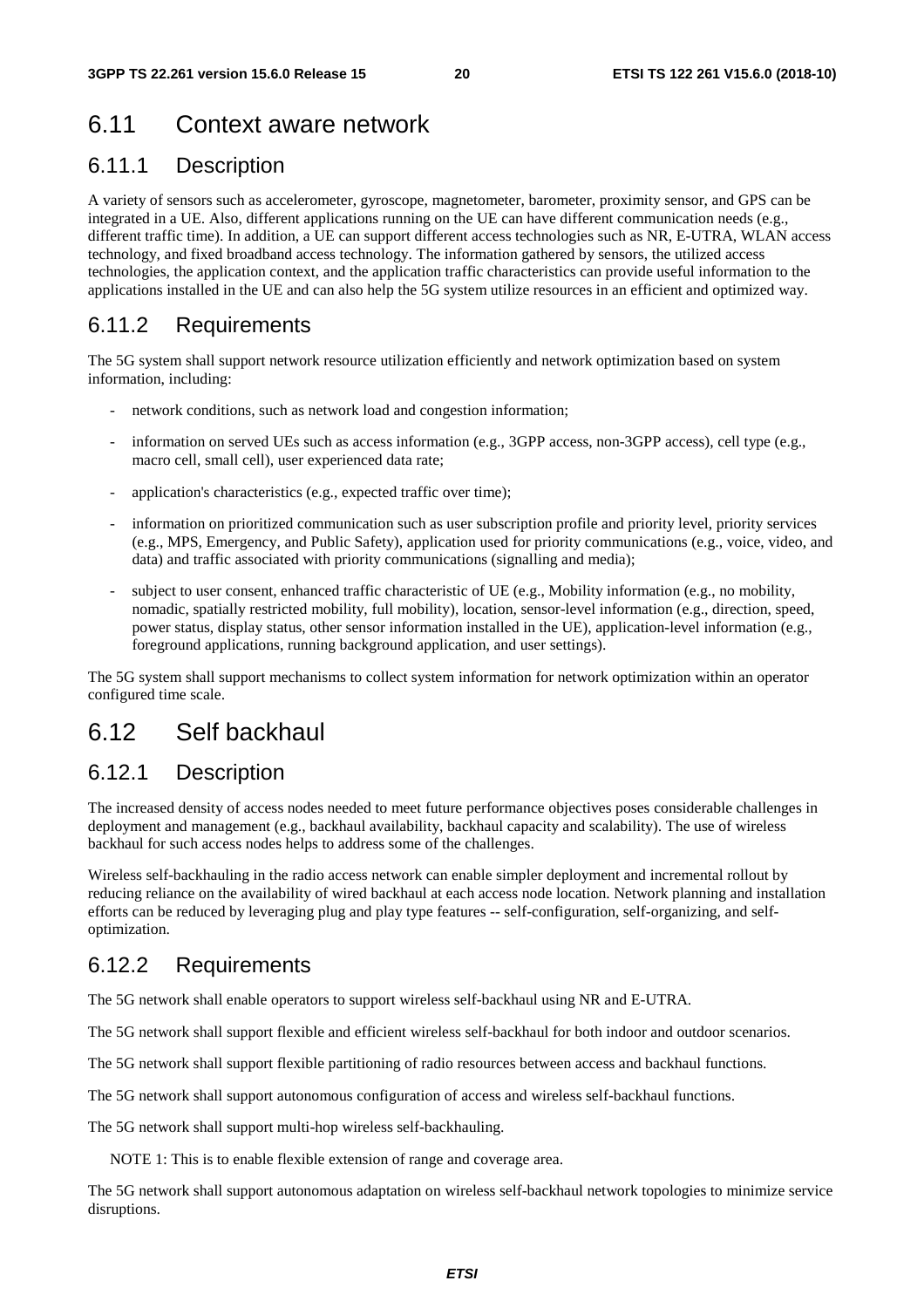## 6.11 Context aware network

### 6.11.1 Description

A variety of sensors such as accelerometer, gyroscope, magnetometer, barometer, proximity sensor, and GPS can be integrated in a UE. Also, different applications running on the UE can have different communication needs (e.g., different traffic time). In addition, a UE can support different access technologies such as NR, E-UTRA, WLAN access technology, and fixed broadband access technology. The information gathered by sensors, the utilized access technologies, the application context, and the application traffic characteristics can provide useful information to the applications installed in the UE and can also help the 5G system utilize resources in an efficient and optimized way.

### 6.11.2 Requirements

The 5G system shall support network resource utilization efficiently and network optimization based on system information, including:

- network conditions, such as network load and congestion information;
- information on served UEs such as access information (e.g., 3GPP access, non-3GPP access), cell type (e.g., macro cell, small cell), user experienced data rate;
- application's characteristics (e.g., expected traffic over time);
- information on prioritized communication such as user subscription profile and priority level, priority services (e.g., MPS, Emergency, and Public Safety), application used for priority communications (e.g., voice, video, and data) and traffic associated with priority communications (signalling and media);
- subject to user consent, enhanced traffic characteristic of UE (e.g., Mobility information (e.g., no mobility, nomadic, spatially restricted mobility, full mobility), location, sensor-level information (e.g., direction, speed, power status, display status, other sensor information installed in the UE), application-level information (e.g., foreground applications, running background application, and user settings).

The 5G system shall support mechanisms to collect system information for network optimization within an operator configured time scale.

### 6.12 Self backhaul

#### 6.12.1 Description

The increased density of access nodes needed to meet future performance objectives poses considerable challenges in deployment and management (e.g., backhaul availability, backhaul capacity and scalability). The use of wireless backhaul for such access nodes helps to address some of the challenges.

Wireless self-backhauling in the radio access network can enable simpler deployment and incremental rollout by reducing reliance on the availability of wired backhaul at each access node location. Network planning and installation efforts can be reduced by leveraging plug and play type features -- self-configuration, self-organizing, and selfoptimization.

#### 6.12.2 Requirements

The 5G network shall enable operators to support wireless self-backhaul using NR and E-UTRA.

The 5G network shall support flexible and efficient wireless self-backhaul for both indoor and outdoor scenarios.

The 5G network shall support flexible partitioning of radio resources between access and backhaul functions.

The 5G network shall support autonomous configuration of access and wireless self-backhaul functions.

The 5G network shall support multi-hop wireless self-backhauling.

NOTE 1: This is to enable flexible extension of range and coverage area.

The 5G network shall support autonomous adaptation on wireless self-backhaul network topologies to minimize service disruptions.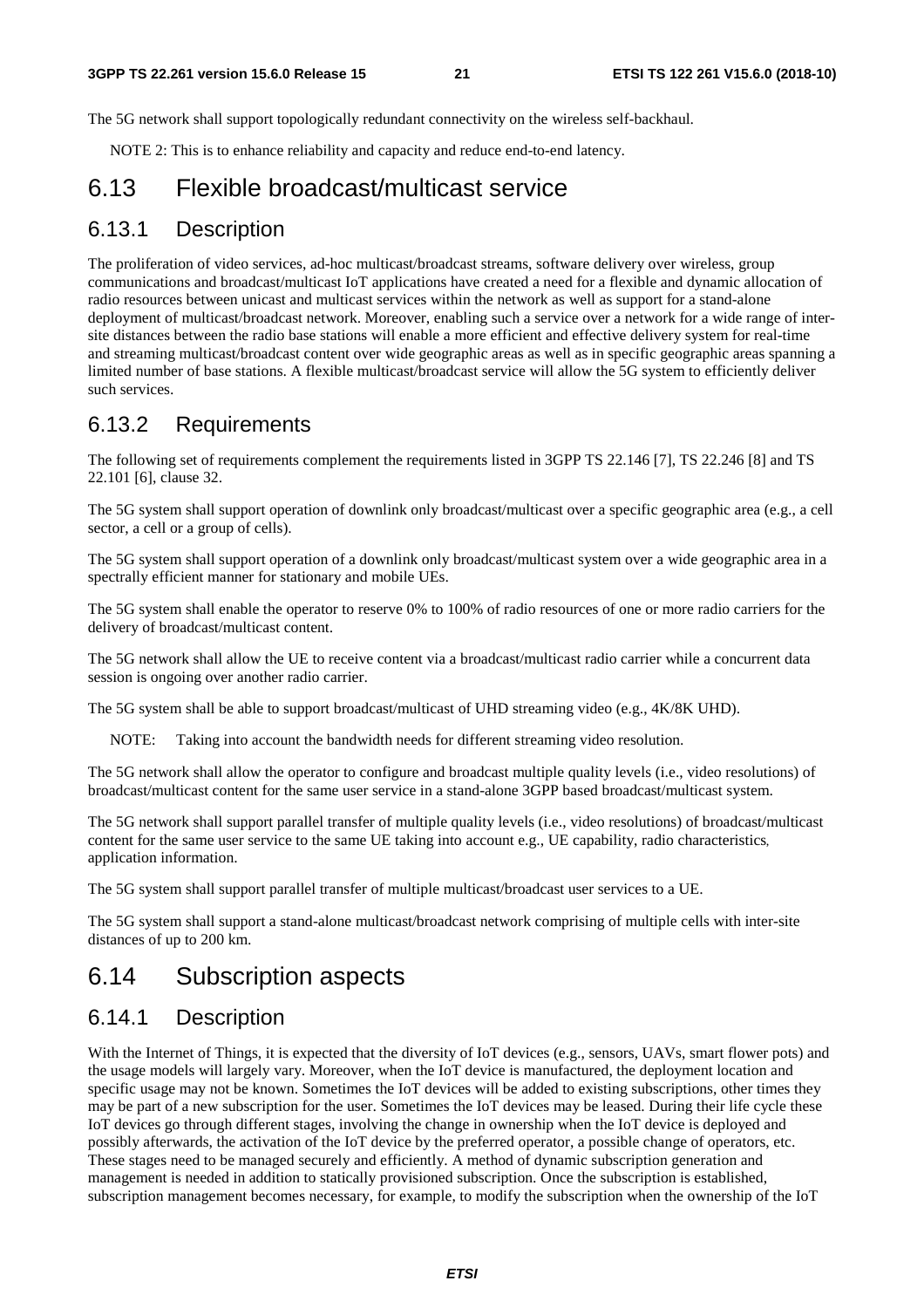The 5G network shall support topologically redundant connectivity on the wireless self-backhaul.

NOTE 2: This is to enhance reliability and capacity and reduce end-to-end latency.

### 6.13 Flexible broadcast/multicast service

#### 6.13.1 Description

The proliferation of video services, ad-hoc multicast/broadcast streams, software delivery over wireless, group communications and broadcast/multicast IoT applications have created a need for a flexible and dynamic allocation of radio resources between unicast and multicast services within the network as well as support for a stand-alone deployment of multicast/broadcast network. Moreover, enabling such a service over a network for a wide range of intersite distances between the radio base stations will enable a more efficient and effective delivery system for real-time and streaming multicast/broadcast content over wide geographic areas as well as in specific geographic areas spanning a limited number of base stations. A flexible multicast/broadcast service will allow the 5G system to efficiently deliver such services.

#### 6.13.2 Requirements

The following set of requirements complement the requirements listed in 3GPP TS 22.146 [7], TS 22.246 [8] and TS 22.101 [6], clause 32.

The 5G system shall support operation of downlink only broadcast/multicast over a specific geographic area (e.g., a cell sector, a cell or a group of cells).

The 5G system shall support operation of a downlink only broadcast/multicast system over a wide geographic area in a spectrally efficient manner for stationary and mobile UEs.

The 5G system shall enable the operator to reserve 0% to 100% of radio resources of one or more radio carriers for the delivery of broadcast/multicast content.

The 5G network shall allow the UE to receive content via a broadcast/multicast radio carrier while a concurrent data session is ongoing over another radio carrier.

The 5G system shall be able to support broadcast/multicast of UHD streaming video (e.g., 4K/8K UHD).

NOTE: Taking into account the bandwidth needs for different streaming video resolution.

The 5G network shall allow the operator to configure and broadcast multiple quality levels (i.e., video resolutions) of broadcast/multicast content for the same user service in a stand-alone 3GPP based broadcast/multicast system.

The 5G network shall support parallel transfer of multiple quality levels (i.e., video resolutions) of broadcast/multicast content for the same user service to the same UE taking into account e.g., UE capability, radio characteristics, application information.

The 5G system shall support parallel transfer of multiple multicast/broadcast user services to a UE.

The 5G system shall support a stand-alone multicast/broadcast network comprising of multiple cells with inter-site distances of up to 200 km.

### 6.14 Subscription aspects

#### 6.14.1 Description

With the Internet of Things, it is expected that the diversity of IoT devices (e.g., sensors, UAVs, smart flower pots) and the usage models will largely vary. Moreover, when the IoT device is manufactured, the deployment location and specific usage may not be known. Sometimes the IoT devices will be added to existing subscriptions, other times they may be part of a new subscription for the user. Sometimes the IoT devices may be leased. During their life cycle these IoT devices go through different stages, involving the change in ownership when the IoT device is deployed and possibly afterwards, the activation of the IoT device by the preferred operator, a possible change of operators, etc. These stages need to be managed securely and efficiently. A method of dynamic subscription generation and management is needed in addition to statically provisioned subscription. Once the subscription is established, subscription management becomes necessary, for example, to modify the subscription when the ownership of the IoT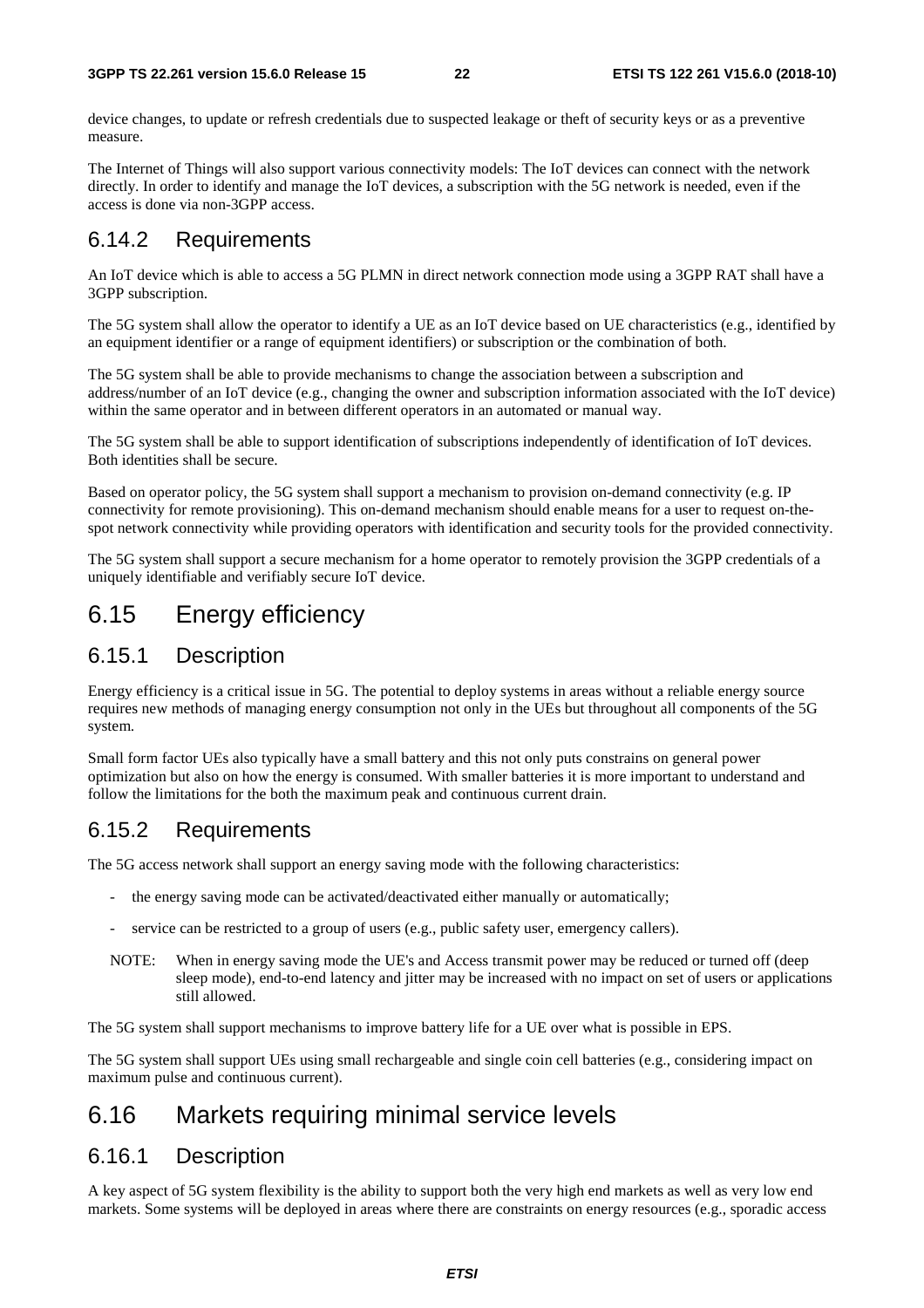device changes, to update or refresh credentials due to suspected leakage or theft of security keys or as a preventive measure.

The Internet of Things will also support various connectivity models: The IoT devices can connect with the network directly. In order to identify and manage the IoT devices, a subscription with the 5G network is needed, even if the access is done via non-3GPP access.

#### 6.14.2 Requirements

An IoT device which is able to access a 5G PLMN in direct network connection mode using a 3GPP RAT shall have a 3GPP subscription.

The 5G system shall allow the operator to identify a UE as an IoT device based on UE characteristics (e.g., identified by an equipment identifier or a range of equipment identifiers) or subscription or the combination of both.

The 5G system shall be able to provide mechanisms to change the association between a subscription and address/number of an IoT device (e.g., changing the owner and subscription information associated with the IoT device) within the same operator and in between different operators in an automated or manual way.

The 5G system shall be able to support identification of subscriptions independently of identification of IoT devices. Both identities shall be secure.

Based on operator policy, the 5G system shall support a mechanism to provision on-demand connectivity (e.g. IP connectivity for remote provisioning). This on-demand mechanism should enable means for a user to request on-thespot network connectivity while providing operators with identification and security tools for the provided connectivity.

The 5G system shall support a secure mechanism for a home operator to remotely provision the 3GPP credentials of a uniquely identifiable and verifiably secure IoT device.

### 6.15 Energy efficiency

#### 6.15.1 Description

Energy efficiency is a critical issue in 5G. The potential to deploy systems in areas without a reliable energy source requires new methods of managing energy consumption not only in the UEs but throughout all components of the 5G system.

Small form factor UEs also typically have a small battery and this not only puts constrains on general power optimization but also on how the energy is consumed. With smaller batteries it is more important to understand and follow the limitations for the both the maximum peak and continuous current drain.

#### 6.15.2 Requirements

The 5G access network shall support an energy saving mode with the following characteristics:

- the energy saving mode can be activated/deactivated either manually or automatically;
- service can be restricted to a group of users (e.g., public safety user, emergency callers).
- NOTE: When in energy saving mode the UE's and Access transmit power may be reduced or turned off (deep sleep mode), end-to-end latency and jitter may be increased with no impact on set of users or applications still allowed.

The 5G system shall support mechanisms to improve battery life for a UE over what is possible in EPS.

The 5G system shall support UEs using small rechargeable and single coin cell batteries (e.g., considering impact on maximum pulse and continuous current).

### 6.16 Markets requiring minimal service levels

#### 6.16.1 Description

A key aspect of 5G system flexibility is the ability to support both the very high end markets as well as very low end markets. Some systems will be deployed in areas where there are constraints on energy resources (e.g., sporadic access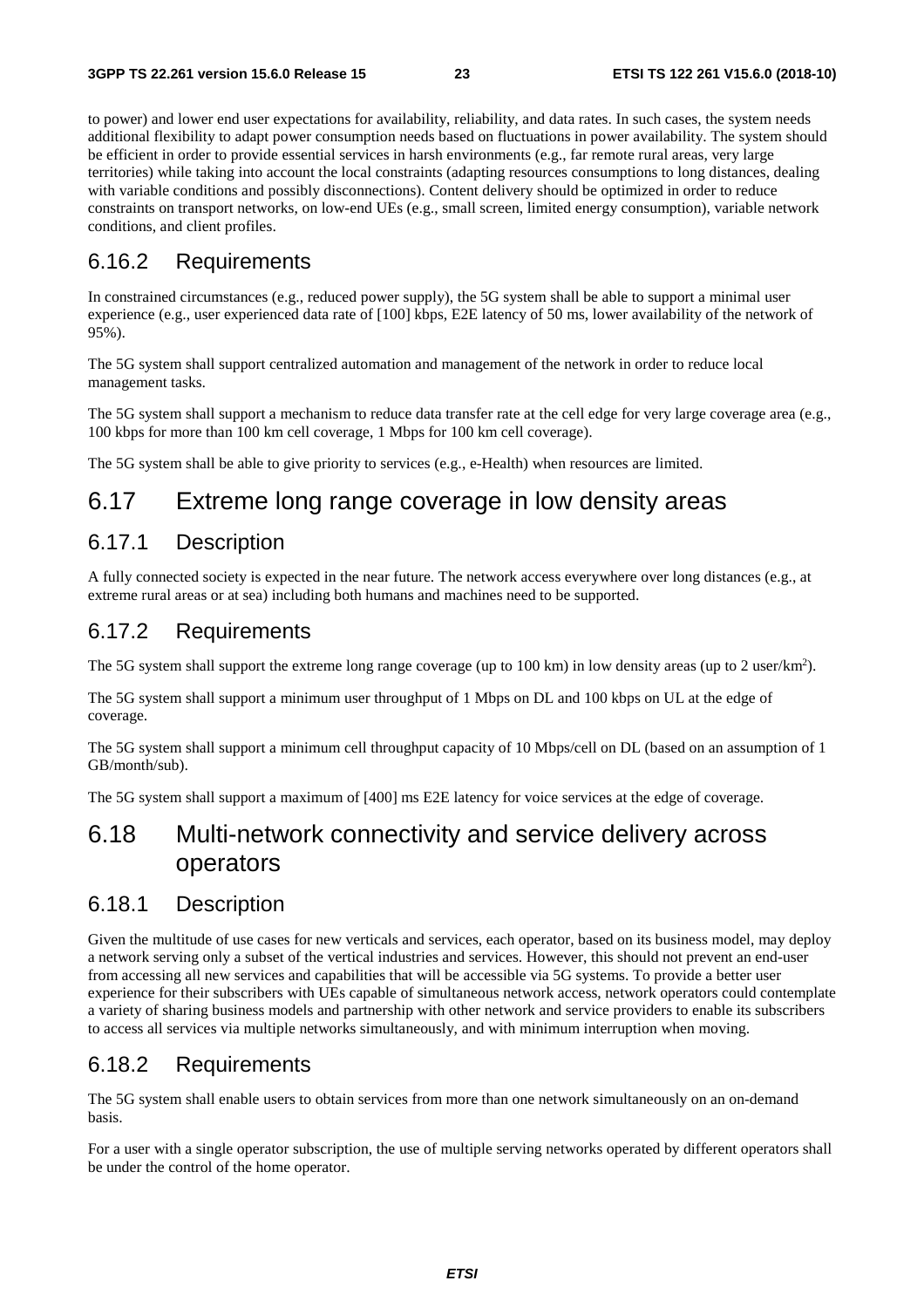to power) and lower end user expectations for availability, reliability, and data rates. In such cases, the system needs additional flexibility to adapt power consumption needs based on fluctuations in power availability. The system should be efficient in order to provide essential services in harsh environments (e.g., far remote rural areas, very large territories) while taking into account the local constraints (adapting resources consumptions to long distances, dealing with variable conditions and possibly disconnections). Content delivery should be optimized in order to reduce constraints on transport networks, on low-end UEs (e.g., small screen, limited energy consumption), variable network conditions, and client profiles.

#### 6.16.2 Requirements

In constrained circumstances (e.g., reduced power supply), the 5G system shall be able to support a minimal user experience (e.g., user experienced data rate of [100] kbps, E2E latency of 50 ms, lower availability of the network of 95%).

The 5G system shall support centralized automation and management of the network in order to reduce local management tasks.

The 5G system shall support a mechanism to reduce data transfer rate at the cell edge for very large coverage area (e.g., 100 kbps for more than 100 km cell coverage, 1 Mbps for 100 km cell coverage).

The 5G system shall be able to give priority to services (e.g., e-Health) when resources are limited.

### 6.17 Extreme long range coverage in low density areas

#### 6.17.1 Description

A fully connected society is expected in the near future. The network access everywhere over long distances (e.g., at extreme rural areas or at sea) including both humans and machines need to be supported.

#### 6.17.2 Requirements

The 5G system shall support the extreme long range coverage (up to 100 km) in low density areas (up to 2 user/km<sup>2</sup>).

The 5G system shall support a minimum user throughput of 1 Mbps on DL and 100 kbps on UL at the edge of coverage.

The 5G system shall support a minimum cell throughput capacity of 10 Mbps/cell on DL (based on an assumption of 1 GB/month/sub).

The 5G system shall support a maximum of [400] ms E2E latency for voice services at the edge of coverage.

### 6.18 Multi-network connectivity and service delivery across operators

#### 6.18.1 Description

Given the multitude of use cases for new verticals and services, each operator, based on its business model, may deploy a network serving only a subset of the vertical industries and services. However, this should not prevent an end-user from accessing all new services and capabilities that will be accessible via 5G systems. To provide a better user experience for their subscribers with UEs capable of simultaneous network access, network operators could contemplate a variety of sharing business models and partnership with other network and service providers to enable its subscribers to access all services via multiple networks simultaneously, and with minimum interruption when moving.

#### 6.18.2 Requirements

The 5G system shall enable users to obtain services from more than one network simultaneously on an on-demand basis.

For a user with a single operator subscription, the use of multiple serving networks operated by different operators shall be under the control of the home operator.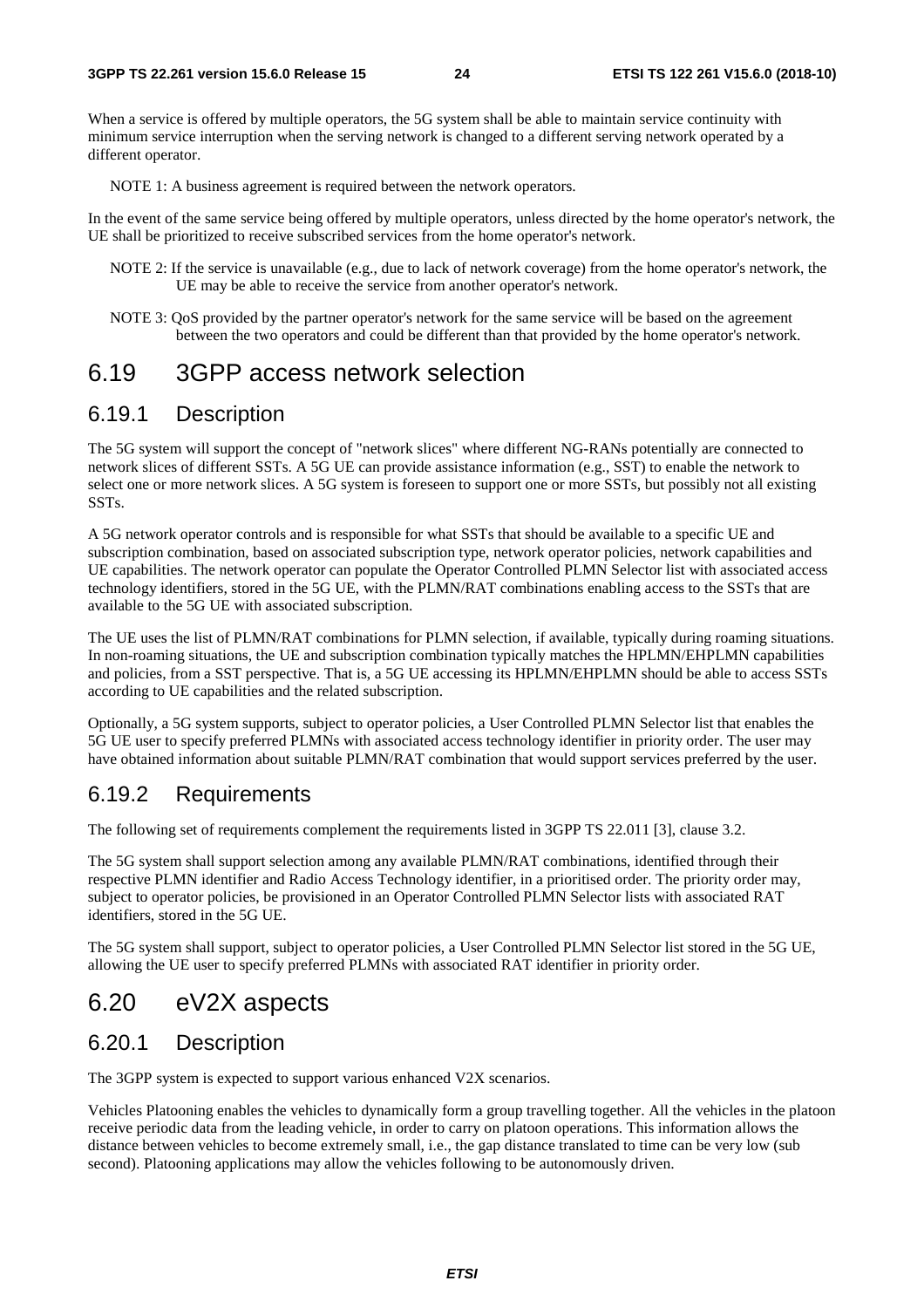When a service is offered by multiple operators, the 5G system shall be able to maintain service continuity with minimum service interruption when the serving network is changed to a different serving network operated by a different operator.

NOTE 1: A business agreement is required between the network operators.

In the event of the same service being offered by multiple operators, unless directed by the home operator's network, the UE shall be prioritized to receive subscribed services from the home operator's network.

- NOTE 2: If the service is unavailable (e.g., due to lack of network coverage) from the home operator's network, the UE may be able to receive the service from another operator's network.
- NOTE 3: QoS provided by the partner operator's network for the same service will be based on the agreement between the two operators and could be different than that provided by the home operator's network.

### 6.19 3GPP access network selection

#### 6.19.1 Description

The 5G system will support the concept of "network slices" where different NG-RANs potentially are connected to network slices of different SSTs. A 5G UE can provide assistance information (e.g., SST) to enable the network to select one or more network slices. A 5G system is foreseen to support one or more SSTs, but possibly not all existing SSTs.

A 5G network operator controls and is responsible for what SSTs that should be available to a specific UE and subscription combination, based on associated subscription type, network operator policies, network capabilities and UE capabilities. The network operator can populate the Operator Controlled PLMN Selector list with associated access technology identifiers, stored in the 5G UE, with the PLMN/RAT combinations enabling access to the SSTs that are available to the 5G UE with associated subscription.

The UE uses the list of PLMN/RAT combinations for PLMN selection, if available, typically during roaming situations. In non-roaming situations, the UE and subscription combination typically matches the HPLMN/EHPLMN capabilities and policies, from a SST perspective. That is, a 5G UE accessing its HPLMN/EHPLMN should be able to access SSTs according to UE capabilities and the related subscription.

Optionally, a 5G system supports, subject to operator policies, a User Controlled PLMN Selector list that enables the 5G UE user to specify preferred PLMNs with associated access technology identifier in priority order. The user may have obtained information about suitable PLMN/RAT combination that would support services preferred by the user.

#### 6.19.2 Requirements

The following set of requirements complement the requirements listed in 3GPP TS 22.011 [3], clause 3.2.

The 5G system shall support selection among any available PLMN/RAT combinations, identified through their respective PLMN identifier and Radio Access Technology identifier, in a prioritised order. The priority order may, subject to operator policies, be provisioned in an Operator Controlled PLMN Selector lists with associated RAT identifiers, stored in the 5G UE.

The 5G system shall support, subject to operator policies, a User Controlled PLMN Selector list stored in the 5G UE, allowing the UE user to specify preferred PLMNs with associated RAT identifier in priority order.

### 6.20 eV2X aspects

#### 6.20.1 Description

The 3GPP system is expected to support various enhanced V2X scenarios.

Vehicles Platooning enables the vehicles to dynamically form a group travelling together. All the vehicles in the platoon receive periodic data from the leading vehicle, in order to carry on platoon operations. This information allows the distance between vehicles to become extremely small, i.e., the gap distance translated to time can be very low (sub second). Platooning applications may allow the vehicles following to be autonomously driven.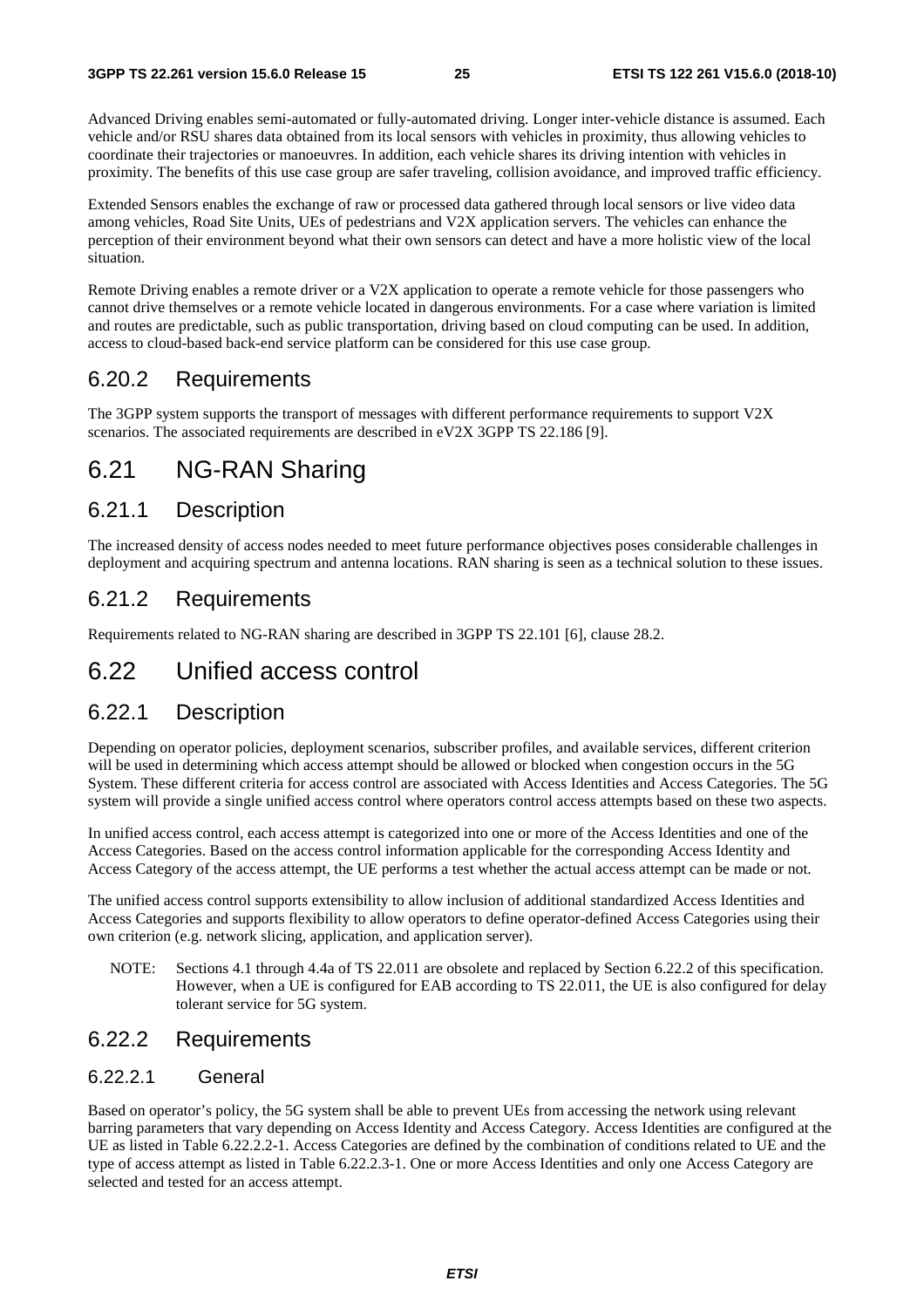Advanced Driving enables semi-automated or fully-automated driving. Longer inter-vehicle distance is assumed. Each vehicle and/or RSU shares data obtained from its local sensors with vehicles in proximity, thus allowing vehicles to coordinate their trajectories or manoeuvres. In addition, each vehicle shares its driving intention with vehicles in proximity. The benefits of this use case group are safer traveling, collision avoidance, and improved traffic efficiency.

Extended Sensors enables the exchange of raw or processed data gathered through local sensors or live video data among vehicles, Road Site Units, UEs of pedestrians and V2X application servers. The vehicles can enhance the perception of their environment beyond what their own sensors can detect and have a more holistic view of the local situation.

Remote Driving enables a remote driver or a V2X application to operate a remote vehicle for those passengers who cannot drive themselves or a remote vehicle located in dangerous environments. For a case where variation is limited and routes are predictable, such as public transportation, driving based on cloud computing can be used. In addition, access to cloud-based back-end service platform can be considered for this use case group.

#### 6.20.2 Requirements

The 3GPP system supports the transport of messages with different performance requirements to support V2X scenarios. The associated requirements are described in eV2X 3GPP TS 22.186 [9].

## 6.21 NG-RAN Sharing

#### 6.21.1 Description

The increased density of access nodes needed to meet future performance objectives poses considerable challenges in deployment and acquiring spectrum and antenna locations. RAN sharing is seen as a technical solution to these issues.

#### 6.21.2 Requirements

Requirements related to NG-RAN sharing are described in 3GPP TS 22.101 [6], clause 28.2.

### 6.22 Unified access control

#### 6.22.1 Description

Depending on operator policies, deployment scenarios, subscriber profiles, and available services, different criterion will be used in determining which access attempt should be allowed or blocked when congestion occurs in the 5G System. These different criteria for access control are associated with Access Identities and Access Categories. The 5G system will provide a single unified access control where operators control access attempts based on these two aspects.

In unified access control, each access attempt is categorized into one or more of the Access Identities and one of the Access Categories. Based on the access control information applicable for the corresponding Access Identity and Access Category of the access attempt, the UE performs a test whether the actual access attempt can be made or not.

The unified access control supports extensibility to allow inclusion of additional standardized Access Identities and Access Categories and supports flexibility to allow operators to define operator-defined Access Categories using their own criterion (e.g. network slicing, application, and application server).

NOTE: Sections 4.1 through 4.4a of TS 22.011 are obsolete and replaced by Section 6.22.2 of this specification. However, when a UE is configured for EAB according to TS 22.011, the UE is also configured for delay tolerant service for 5G system.

#### 6.22.2 Requirements

#### 6.22.2.1 General

Based on operator's policy, the 5G system shall be able to prevent UEs from accessing the network using relevant barring parameters that vary depending on Access Identity and Access Category. Access Identities are configured at the UE as listed in Table 6.22.2.2-1. Access Categories are defined by the combination of conditions related to UE and the type of access attempt as listed in Table 6.22.2.3-1. One or more Access Identities and only one Access Category are selected and tested for an access attempt.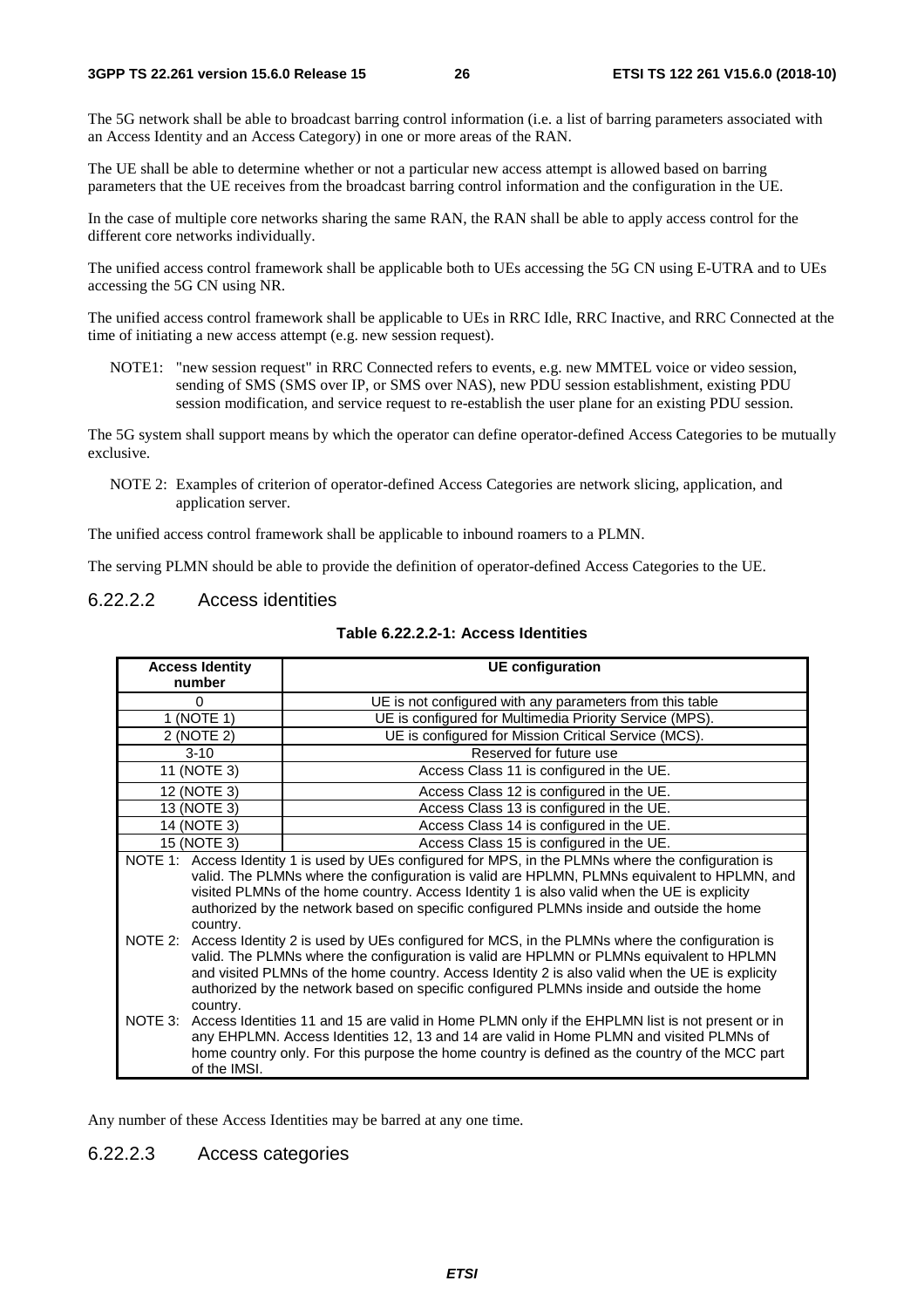The 5G network shall be able to broadcast barring control information (i.e. a list of barring parameters associated with an Access Identity and an Access Category) in one or more areas of the RAN.

The UE shall be able to determine whether or not a particular new access attempt is allowed based on barring parameters that the UE receives from the broadcast barring control information and the configuration in the UE.

In the case of multiple core networks sharing the same RAN, the RAN shall be able to apply access control for the different core networks individually.

The unified access control framework shall be applicable both to UEs accessing the 5G CN using E-UTRA and to UEs accessing the 5G CN using NR.

The unified access control framework shall be applicable to UEs in RRC Idle, RRC Inactive, and RRC Connected at the time of initiating a new access attempt (e.g. new session request).

NOTE1: "new session request" in RRC Connected refers to events, e.g. new MMTEL voice or video session, sending of SMS (SMS over IP, or SMS over NAS), new PDU session establishment, existing PDU session modification, and service request to re-establish the user plane for an existing PDU session.

The 5G system shall support means by which the operator can define operator-defined Access Categories to be mutually exclusive.

NOTE 2: Examples of criterion of operator-defined Access Categories are network slicing, application, and application server.

The unified access control framework shall be applicable to inbound roamers to a PLMN.

The serving PLMN should be able to provide the definition of operator-defined Access Categories to the UE.

#### 6.22.2.2 Access identities

| <b>Access Identity</b>  | <b>UE</b> configuration                                                                                                                                                                                                                                                                                                                                                                         |
|-------------------------|-------------------------------------------------------------------------------------------------------------------------------------------------------------------------------------------------------------------------------------------------------------------------------------------------------------------------------------------------------------------------------------------------|
| number                  |                                                                                                                                                                                                                                                                                                                                                                                                 |
| $\Omega$                | UE is not configured with any parameters from this table                                                                                                                                                                                                                                                                                                                                        |
| 1 (NOTE 1)              | UE is configured for Multimedia Priority Service (MPS).                                                                                                                                                                                                                                                                                                                                         |
| 2 (NOTE 2)              | UE is configured for Mission Critical Service (MCS).                                                                                                                                                                                                                                                                                                                                            |
| $3 - 10$                | Reserved for future use                                                                                                                                                                                                                                                                                                                                                                         |
| 11 (NOTE 3)             | Access Class 11 is configured in the UE.                                                                                                                                                                                                                                                                                                                                                        |
| 12 (NOTE 3)             | Access Class 12 is configured in the UE.                                                                                                                                                                                                                                                                                                                                                        |
| 13 (NOTE 3)             | Access Class 13 is configured in the UE.                                                                                                                                                                                                                                                                                                                                                        |
| 14 (NOTE 3)             | Access Class 14 is configured in the UE.                                                                                                                                                                                                                                                                                                                                                        |
| 15 (NOTE 3)             | Access Class 15 is configured in the UE.                                                                                                                                                                                                                                                                                                                                                        |
| country.                | NOTE 1: Access Identity 1 is used by UEs configured for MPS, in the PLMNs where the configuration is<br>valid. The PLMNs where the configuration is valid are HPLMN, PLMNs equivalent to HPLMN, and<br>visited PLMNs of the home country. Access Identity 1 is also valid when the UE is explicity<br>authorized by the network based on specific configured PLMNs inside and outside the home  |
| country.                | NOTE 2: Access Identity 2 is used by UEs configured for MCS, in the PLMNs where the configuration is<br>valid. The PLMNs where the configuration is valid are HPLMN or PLMNs equivalent to HPLMN<br>and visited PLMNs of the home country. Access Identity 2 is also valid when the UE is explicity<br>authorized by the network based on specific configured PLMNs inside and outside the home |
| NOTE 3:<br>of the IMSI. | Access Identities 11 and 15 are valid in Home PLMN only if the EHPLMN list is not present or in<br>any EHPLMN. Access Identities 12, 13 and 14 are valid in Home PLMN and visited PLMNs of<br>home country only. For this purpose the home country is defined as the country of the MCC part                                                                                                    |

#### **Table 6.22.2.2-1: Access Identities**

Any number of these Access Identities may be barred at any one time.

#### 6.22.2.3 Access categories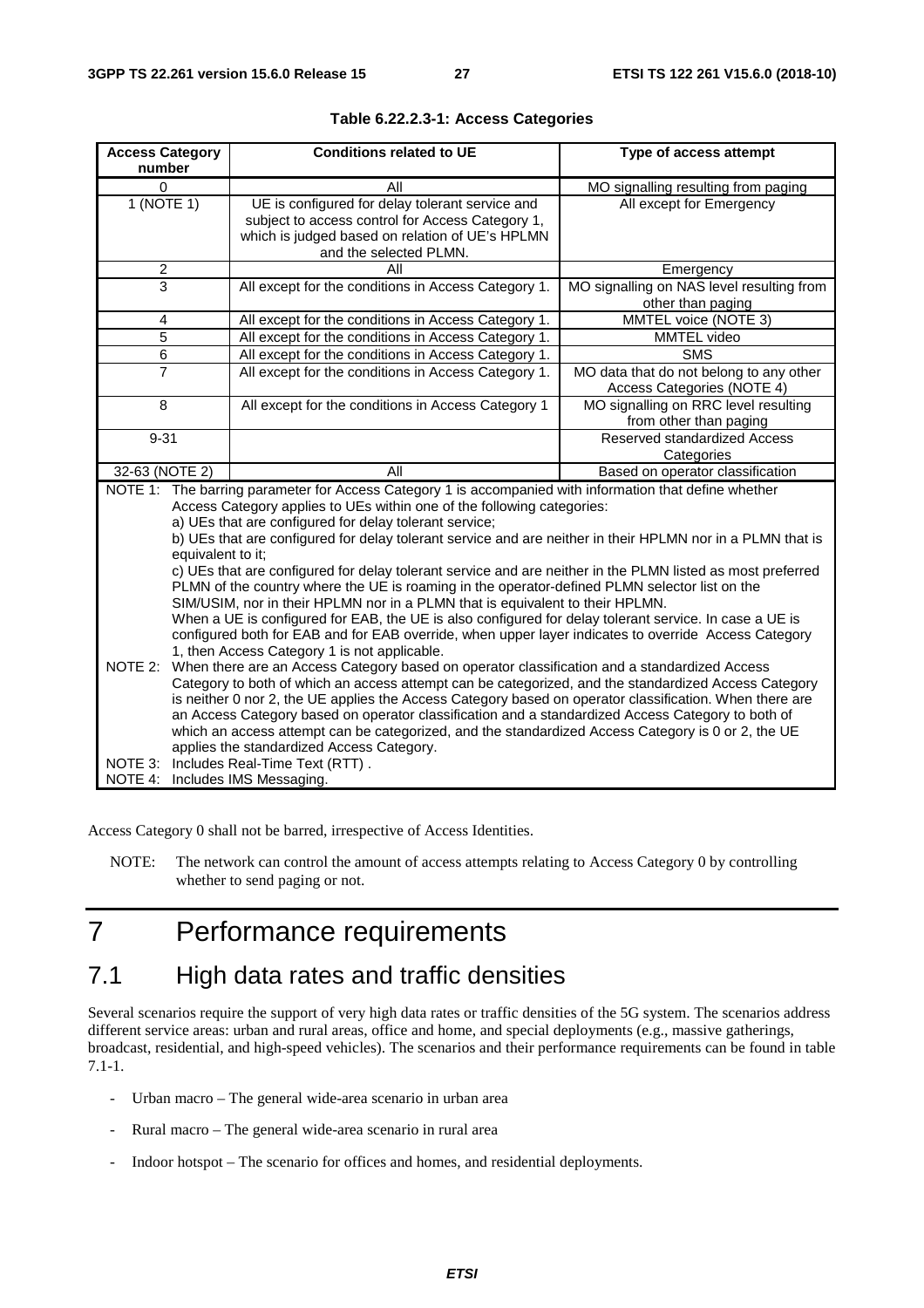| <b>Access Category</b><br>number           | <b>Conditions related to UE</b>                                                                                                                                                                                                                                                                                                                                                                                                                                                                                                                                                                                                                                                                                                                                                                                                                                                                                                                                                                                                                                                                                                                                                                                                                                                                                                                                                                                                                                                                        | Type of access attempt                                                |  |
|--------------------------------------------|--------------------------------------------------------------------------------------------------------------------------------------------------------------------------------------------------------------------------------------------------------------------------------------------------------------------------------------------------------------------------------------------------------------------------------------------------------------------------------------------------------------------------------------------------------------------------------------------------------------------------------------------------------------------------------------------------------------------------------------------------------------------------------------------------------------------------------------------------------------------------------------------------------------------------------------------------------------------------------------------------------------------------------------------------------------------------------------------------------------------------------------------------------------------------------------------------------------------------------------------------------------------------------------------------------------------------------------------------------------------------------------------------------------------------------------------------------------------------------------------------------|-----------------------------------------------------------------------|--|
| 0                                          | All                                                                                                                                                                                                                                                                                                                                                                                                                                                                                                                                                                                                                                                                                                                                                                                                                                                                                                                                                                                                                                                                                                                                                                                                                                                                                                                                                                                                                                                                                                    | MO signalling resulting from paging                                   |  |
| 1 (NOTE 1)                                 | UE is configured for delay tolerant service and<br>subject to access control for Access Category 1,<br>which is judged based on relation of UE's HPLMN<br>and the selected PLMN.                                                                                                                                                                                                                                                                                                                                                                                                                                                                                                                                                                                                                                                                                                                                                                                                                                                                                                                                                                                                                                                                                                                                                                                                                                                                                                                       | All except for Emergency                                              |  |
| 2                                          | Αll                                                                                                                                                                                                                                                                                                                                                                                                                                                                                                                                                                                                                                                                                                                                                                                                                                                                                                                                                                                                                                                                                                                                                                                                                                                                                                                                                                                                                                                                                                    | Emergency                                                             |  |
| 3                                          | All except for the conditions in Access Category 1.                                                                                                                                                                                                                                                                                                                                                                                                                                                                                                                                                                                                                                                                                                                                                                                                                                                                                                                                                                                                                                                                                                                                                                                                                                                                                                                                                                                                                                                    | MO signalling on NAS level resulting from<br>other than paging        |  |
| 4                                          | All except for the conditions in Access Category 1.                                                                                                                                                                                                                                                                                                                                                                                                                                                                                                                                                                                                                                                                                                                                                                                                                                                                                                                                                                                                                                                                                                                                                                                                                                                                                                                                                                                                                                                    | MMTEL voice (NOTE 3)                                                  |  |
| 5                                          | All except for the conditions in Access Category 1.                                                                                                                                                                                                                                                                                                                                                                                                                                                                                                                                                                                                                                                                                                                                                                                                                                                                                                                                                                                                                                                                                                                                                                                                                                                                                                                                                                                                                                                    | MMTEL video                                                           |  |
| 6                                          | All except for the conditions in Access Category 1.                                                                                                                                                                                                                                                                                                                                                                                                                                                                                                                                                                                                                                                                                                                                                                                                                                                                                                                                                                                                                                                                                                                                                                                                                                                                                                                                                                                                                                                    | <b>SMS</b>                                                            |  |
| $\overline{7}$                             | All except for the conditions in Access Category 1.                                                                                                                                                                                                                                                                                                                                                                                                                                                                                                                                                                                                                                                                                                                                                                                                                                                                                                                                                                                                                                                                                                                                                                                                                                                                                                                                                                                                                                                    | MO data that do not belong to any other<br>Access Categories (NOTE 4) |  |
| 8                                          | All except for the conditions in Access Category 1                                                                                                                                                                                                                                                                                                                                                                                                                                                                                                                                                                                                                                                                                                                                                                                                                                                                                                                                                                                                                                                                                                                                                                                                                                                                                                                                                                                                                                                     | MO signalling on RRC level resulting<br>from other than paging        |  |
| $9 - 31$                                   |                                                                                                                                                                                                                                                                                                                                                                                                                                                                                                                                                                                                                                                                                                                                                                                                                                                                                                                                                                                                                                                                                                                                                                                                                                                                                                                                                                                                                                                                                                        | Reserved standardized Access<br>Categories                            |  |
| 32-63 (NOTE 2)                             | All                                                                                                                                                                                                                                                                                                                                                                                                                                                                                                                                                                                                                                                                                                                                                                                                                                                                                                                                                                                                                                                                                                                                                                                                                                                                                                                                                                                                                                                                                                    | Based on operator classification                                      |  |
| equivalent to it;<br>NOTE 2:               | NOTE 1: The barring parameter for Access Category 1 is accompanied with information that define whether<br>Access Category applies to UEs within one of the following categories:<br>a) UEs that are configured for delay tolerant service;<br>b) UEs that are configured for delay tolerant service and are neither in their HPLMN nor in a PLMN that is<br>c) UEs that are configured for delay tolerant service and are neither in the PLMN listed as most preferred<br>PLMN of the country where the UE is roaming in the operator-defined PLMN selector list on the<br>SIM/USIM, nor in their HPLMN nor in a PLMN that is equivalent to their HPLMN.<br>When a UE is configured for EAB, the UE is also configured for delay tolerant service. In case a UE is<br>configured both for EAB and for EAB override, when upper layer indicates to override Access Category<br>1, then Access Category 1 is not applicable.<br>When there are an Access Category based on operator classification and a standardized Access<br>Category to both of which an access attempt can be categorized, and the standardized Access Category<br>is neither 0 nor 2, the UE applies the Access Category based on operator classification. When there are<br>an Access Category based on operator classification and a standardized Access Category to both of<br>which an access attempt can be categorized, and the standardized Access Category is 0 or 2, the UE<br>applies the standardized Access Category. |                                                                       |  |
| NOTE 3:<br>NOTE 4: Includes IMS Messaging. | Includes Real-Time Text (RTT).                                                                                                                                                                                                                                                                                                                                                                                                                                                                                                                                                                                                                                                                                                                                                                                                                                                                                                                                                                                                                                                                                                                                                                                                                                                                                                                                                                                                                                                                         |                                                                       |  |

Access Category 0 shall not be barred, irrespective of Access Identities.

NOTE: The network can control the amount of access attempts relating to Access Category 0 by controlling whether to send paging or not.

## 7 Performance requirements

## 7.1 High data rates and traffic densities

Several scenarios require the support of very high data rates or traffic densities of the 5G system. The scenarios address different service areas: urban and rural areas, office and home, and special deployments (e.g., massive gatherings, broadcast, residential, and high-speed vehicles). The scenarios and their performance requirements can be found in table 7.1-1.

- Urban macro The general wide-area scenario in urban area
- Rural macro The general wide-area scenario in rural area
- Indoor hotspot The scenario for offices and homes, and residential deployments.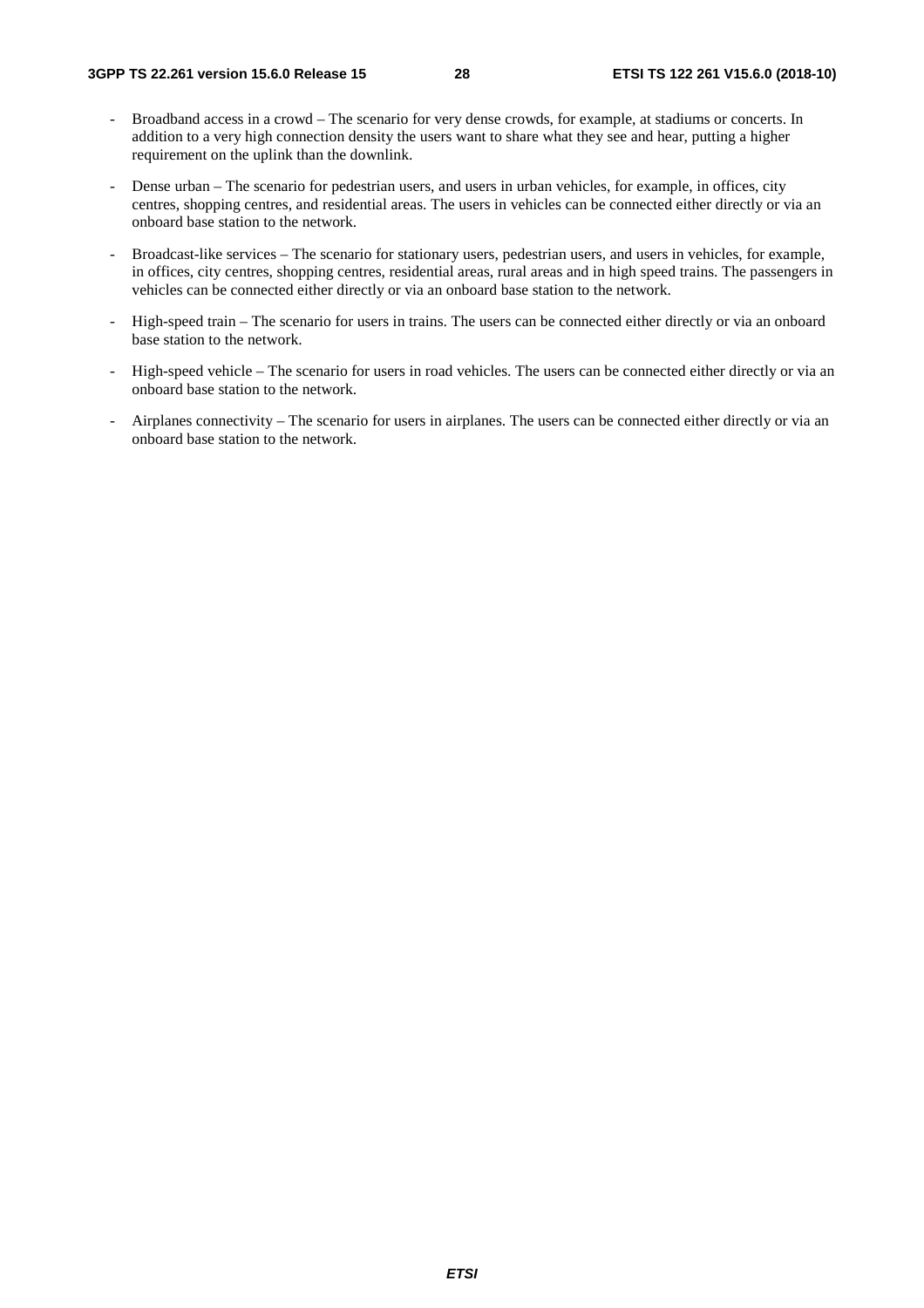- Broadband access in a crowd The scenario for very dense crowds, for example, at stadiums or concerts. In addition to a very high connection density the users want to share what they see and hear, putting a higher requirement on the uplink than the downlink.
- Dense urban The scenario for pedestrian users, and users in urban vehicles, for example, in offices, city centres, shopping centres, and residential areas. The users in vehicles can be connected either directly or via an onboard base station to the network.
- Broadcast-like services The scenario for stationary users, pedestrian users, and users in vehicles, for example, in offices, city centres, shopping centres, residential areas, rural areas and in high speed trains. The passengers in vehicles can be connected either directly or via an onboard base station to the network.
- High-speed train The scenario for users in trains. The users can be connected either directly or via an onboard base station to the network.
- High-speed vehicle The scenario for users in road vehicles. The users can be connected either directly or via an onboard base station to the network.
- Airplanes connectivity The scenario for users in airplanes. The users can be connected either directly or via an onboard base station to the network.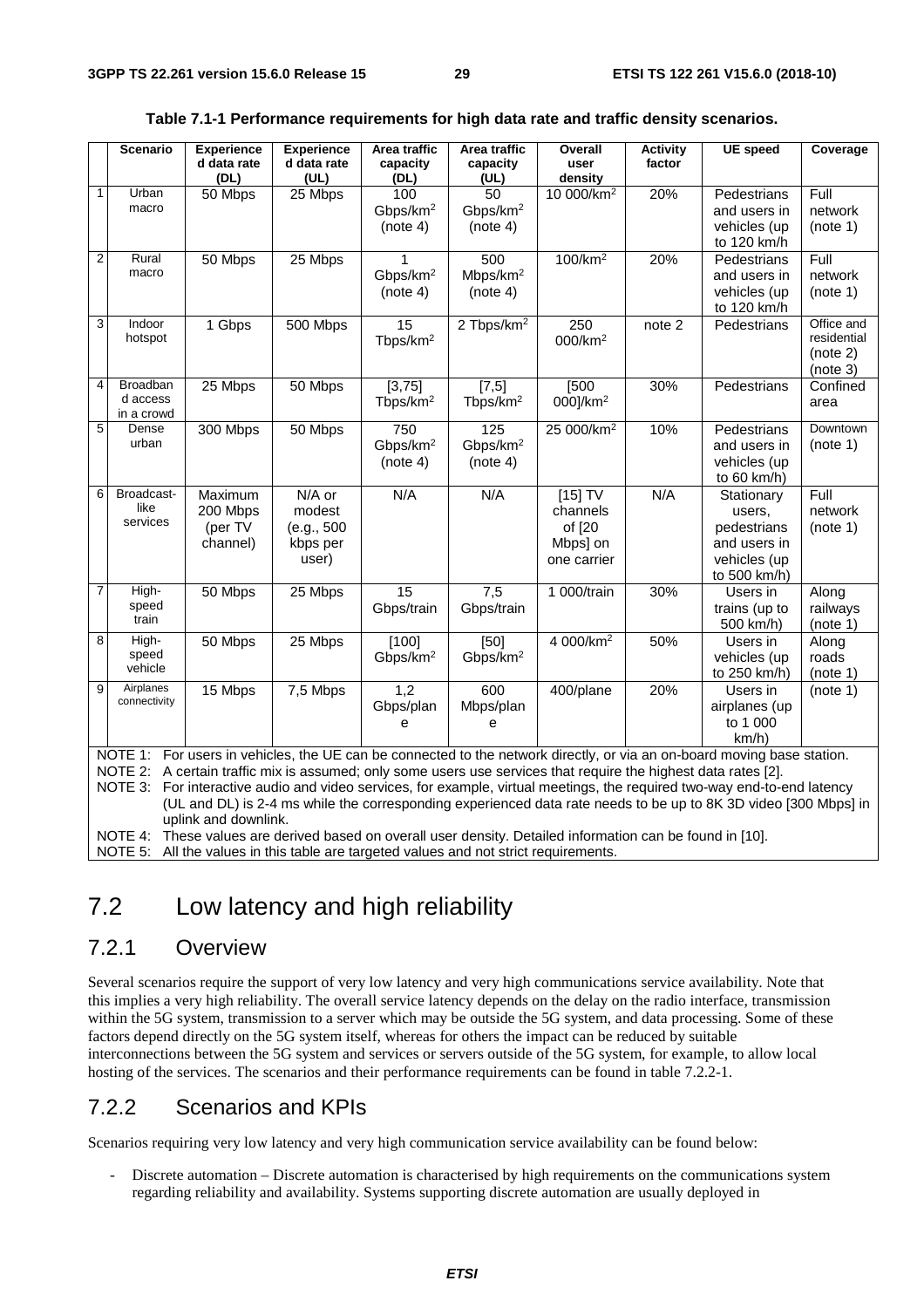|                | <b>Scenario</b>                                                                                            | <b>Experience</b>    | <b>Experience</b>                                                                                               | Area traffic         | Area traffic           | Overall                | <b>Activity</b> | <b>UE</b> speed                                                                                                         | Coverage    |
|----------------|------------------------------------------------------------------------------------------------------------|----------------------|-----------------------------------------------------------------------------------------------------------------|----------------------|------------------------|------------------------|-----------------|-------------------------------------------------------------------------------------------------------------------------|-------------|
|                |                                                                                                            | d data rate          | d data rate                                                                                                     | capacity             | capacity               | user                   | factor          |                                                                                                                         |             |
| $\mathbf{1}$   |                                                                                                            | (DL)                 | (UL)                                                                                                            | (DL)                 | (UL)                   | density                |                 |                                                                                                                         |             |
|                | Urban<br>macro                                                                                             | 50 Mbps              | 25 Mbps                                                                                                         | 100                  | 50                     | 10 000/km <sup>2</sup> | 20%             | Pedestrians                                                                                                             | Full        |
|                |                                                                                                            |                      |                                                                                                                 | Gbps/km <sup>2</sup> | Gbps/km <sup>2</sup>   |                        |                 | and users in                                                                                                            | network     |
|                |                                                                                                            |                      |                                                                                                                 | (note 4)             | (note 4)               |                        |                 | vehicles (up                                                                                                            | (note 1)    |
| $\overline{2}$ | Rural                                                                                                      |                      |                                                                                                                 |                      |                        |                        |                 | to 120 km/h                                                                                                             |             |
|                | macro                                                                                                      | 50 Mbps              | 25 Mbps                                                                                                         | 1                    | 500                    | 100/km <sup>2</sup>    | 20%             | Pedestrians                                                                                                             | Full        |
|                |                                                                                                            |                      |                                                                                                                 | Gbps/km <sup>2</sup> | Mbps/km <sup>2</sup>   |                        |                 | and users in                                                                                                            | network     |
|                |                                                                                                            |                      |                                                                                                                 | (note 4)             | (note 4)               |                        |                 | vehicles (up                                                                                                            | (note 1)    |
| 3              | Indoor                                                                                                     |                      |                                                                                                                 |                      |                        |                        |                 | to 120 km/h                                                                                                             | Office and  |
|                | hotspot                                                                                                    | 1 Gbps               | 500 Mbps                                                                                                        | 15                   | 2 Tbps/km <sup>2</sup> | 250                    | note 2          | Pedestrians                                                                                                             | residential |
|                |                                                                                                            |                      |                                                                                                                 | Tbps/km <sup>2</sup> |                        | 000/km <sup>2</sup>    |                 |                                                                                                                         | (note 2)    |
|                |                                                                                                            |                      |                                                                                                                 |                      |                        |                        |                 |                                                                                                                         | (note 3)    |
| 4              | Broadban                                                                                                   | 25 Mbps              | 50 Mbps                                                                                                         | [3,75]               | $[7,5]$                | [500]                  | 30%             | Pedestrians                                                                                                             | Confined    |
|                | d access                                                                                                   |                      |                                                                                                                 | Tbps/km <sup>2</sup> | Tbps/km <sup>2</sup>   | 000]/km <sup>2</sup>   |                 |                                                                                                                         | area        |
|                | in a crowd                                                                                                 |                      |                                                                                                                 |                      |                        |                        |                 |                                                                                                                         |             |
| 5              | Dense                                                                                                      | 300 Mbps             | 50 Mbps                                                                                                         | 750                  | $\frac{1}{25}$         | 25 000/km <sup>2</sup> | 10%             | Pedestrians                                                                                                             | Downtown    |
|                | urban                                                                                                      |                      |                                                                                                                 | Gbps/km <sup>2</sup> | Gbps/km <sup>2</sup>   |                        |                 | and users in                                                                                                            | (note 1)    |
|                |                                                                                                            |                      |                                                                                                                 | (note 4)             | (note 4)               |                        |                 | vehicles (up                                                                                                            |             |
|                |                                                                                                            |                      |                                                                                                                 |                      |                        |                        |                 | to $60 \text{ km/h}$                                                                                                    |             |
| 6              | Broadcast-                                                                                                 | Maximum              | N/A or                                                                                                          | N/A                  | N/A                    | $[15]$ TV              | N/A             | Stationary                                                                                                              | Full        |
|                | like                                                                                                       | 200 Mbps             | modest                                                                                                          |                      |                        | channels               |                 | users,                                                                                                                  | network     |
|                | services                                                                                                   | (per TV              | (e.g., 500)                                                                                                     |                      |                        | of [20                 |                 | pedestrians                                                                                                             | (note 1)    |
|                |                                                                                                            | channel)             | kbps per                                                                                                        |                      |                        | Mbps] on               |                 | and users in                                                                                                            |             |
|                |                                                                                                            |                      | user)                                                                                                           |                      |                        | one carrier            |                 | vehicles (up                                                                                                            |             |
|                |                                                                                                            |                      |                                                                                                                 |                      |                        |                        |                 | to 500 km/h)                                                                                                            |             |
| $\overline{7}$ | High-                                                                                                      | 50 Mbps              | 25 Mbps                                                                                                         | 15                   | 7,5                    | 1 000/train            | 30%             | Users in                                                                                                                | Along       |
|                | speed                                                                                                      |                      |                                                                                                                 | Gbps/train           | Gbps/train             |                        |                 | trains (up to                                                                                                           | railways    |
|                | train                                                                                                      |                      |                                                                                                                 |                      |                        |                        |                 | 500 km/h)                                                                                                               | (note 1)    |
| 8              | High-                                                                                                      | 50 Mbps              | 25 Mbps                                                                                                         | [100]                | [50]                   | 4 000/km <sup>2</sup>  | 50%             | Users in                                                                                                                | Along       |
|                | speed<br>vehicle                                                                                           |                      |                                                                                                                 | Gbps/km <sup>2</sup> | Gbps/km <sup>2</sup>   |                        |                 | vehicles (up                                                                                                            | roads       |
|                |                                                                                                            |                      |                                                                                                                 |                      |                        |                        |                 | to 250 km/h)                                                                                                            | (note 1)    |
| 9              | Airplanes<br>connectivity                                                                                  | 15 Mbps              | 7,5 Mbps                                                                                                        | 1,2                  | 600                    | 400/plane              | 20%             | Users in                                                                                                                | (note 1)    |
|                |                                                                                                            |                      |                                                                                                                 | Gbps/plan            | Mbps/plan              |                        |                 | airplanes (up                                                                                                           |             |
|                |                                                                                                            |                      |                                                                                                                 | e                    | e                      |                        |                 | to 1 000                                                                                                                |             |
|                |                                                                                                            |                      |                                                                                                                 |                      |                        |                        |                 | km/h)                                                                                                                   |             |
|                |                                                                                                            |                      |                                                                                                                 |                      |                        |                        |                 | NOTE 1: For users in vehicles, the UE can be connected to the network directly, or via an on-board moving base station. |             |
|                |                                                                                                            |                      | NOTE 2: A certain traffic mix is assumed; only some users use services that require the highest data rates [2]. |                      |                        |                        |                 |                                                                                                                         |             |
|                | NOTE 3:                                                                                                    |                      |                                                                                                                 |                      |                        |                        |                 | For interactive audio and video services, for example, virtual meetings, the required two-way end-to-end latency        |             |
|                |                                                                                                            |                      |                                                                                                                 |                      |                        |                        |                 | (UL and DL) is 2-4 ms while the corresponding experienced data rate needs to be up to 8K 3D video [300 Mbps] in         |             |
|                |                                                                                                            | uplink and downlink. |                                                                                                                 |                      |                        |                        |                 |                                                                                                                         |             |
|                | NOTE 4: These values are derived based on overall user density. Detailed information can be found in [10]. |                      |                                                                                                                 |                      |                        |                        |                 |                                                                                                                         |             |

#### **Table 7.1-1 Performance requirements for high data rate and traffic density scenarios.**

NOTE 4: These values are derived based on overall user density. Detailed information can be found in [10].

NOTE 5: All the values in this table are targeted values and not strict requirements.

### 7.2 Low latency and high reliability

#### 7.2.1 Overview

Several scenarios require the support of very low latency and very high communications service availability. Note that this implies a very high reliability. The overall service latency depends on the delay on the radio interface, transmission within the 5G system, transmission to a server which may be outside the 5G system, and data processing. Some of these factors depend directly on the 5G system itself, whereas for others the impact can be reduced by suitable interconnections between the 5G system and services or servers outside of the 5G system, for example, to allow local hosting of the services. The scenarios and their performance requirements can be found in table 7.2.2-1.

#### 7.2.2 Scenarios and KPIs

Scenarios requiring very low latency and very high communication service availability can be found below:

- Discrete automation – Discrete automation is characterised by high requirements on the communications system regarding reliability and availability. Systems supporting discrete automation are usually deployed in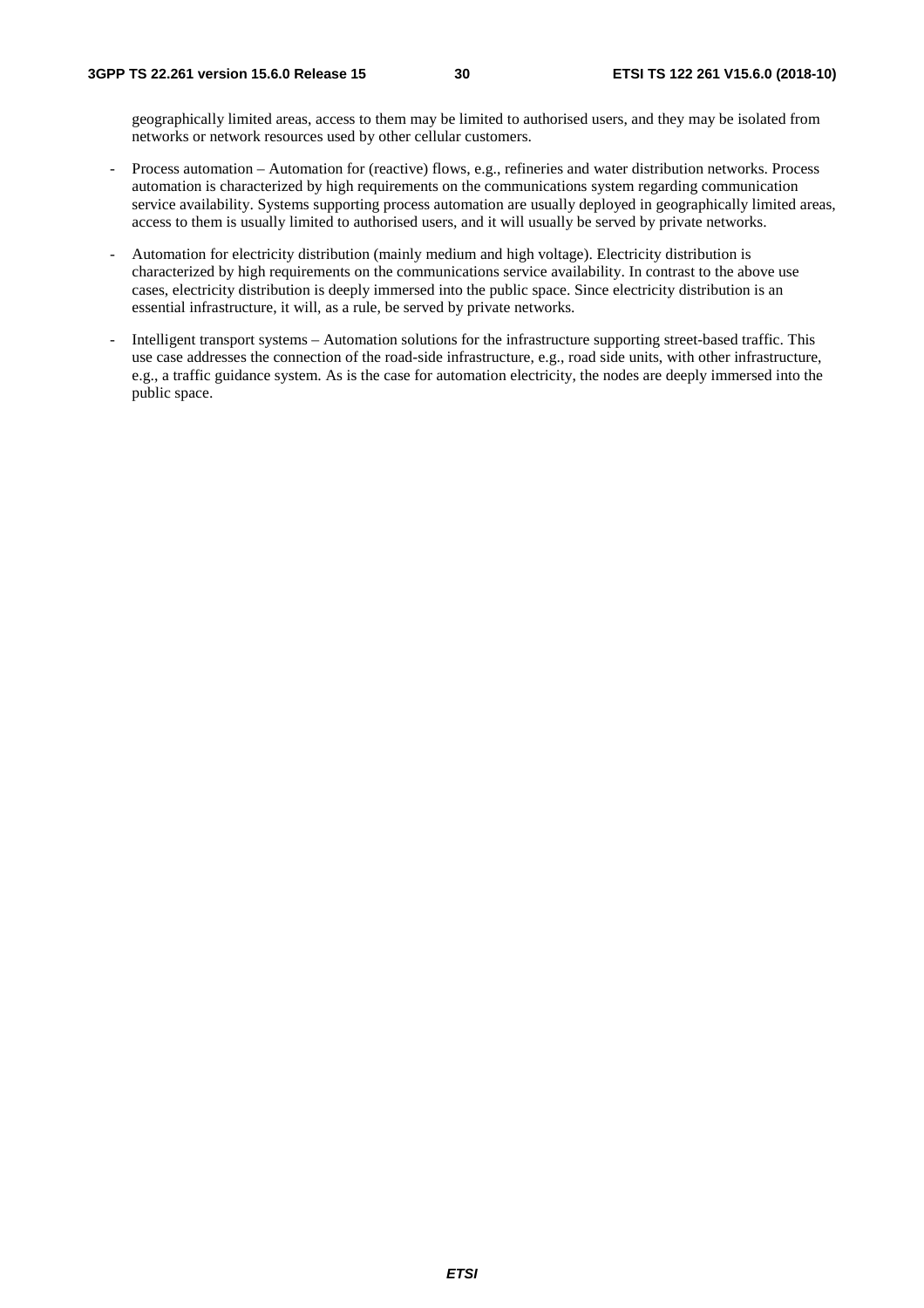geographically limited areas, access to them may be limited to authorised users, and they may be isolated from networks or network resources used by other cellular customers.

- Process automation Automation for (reactive) flows, e.g., refineries and water distribution networks. Process automation is characterized by high requirements on the communications system regarding communication service availability. Systems supporting process automation are usually deployed in geographically limited areas, access to them is usually limited to authorised users, and it will usually be served by private networks.
- Automation for electricity distribution (mainly medium and high voltage). Electricity distribution is characterized by high requirements on the communications service availability. In contrast to the above use cases, electricity distribution is deeply immersed into the public space. Since electricity distribution is an essential infrastructure, it will, as a rule, be served by private networks.
- Intelligent transport systems Automation solutions for the infrastructure supporting street-based traffic. This use case addresses the connection of the road-side infrastructure, e.g., road side units, with other infrastructure, e.g., a traffic guidance system. As is the case for automation electricity, the nodes are deeply immersed into the public space.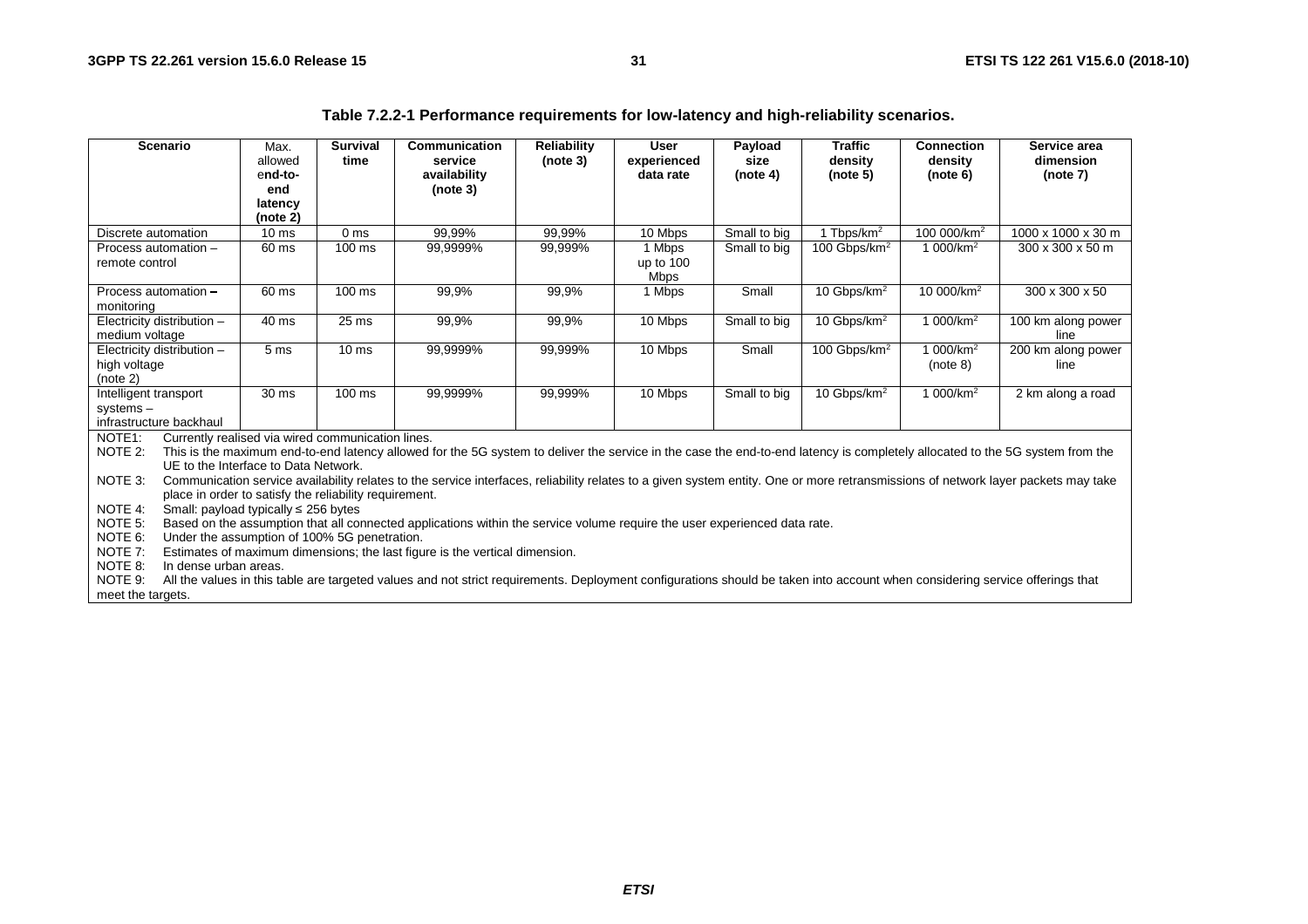| <b>Scenario</b>                              |                                                                                                                                      | Max.<br>allowed                                        | <b>Survival</b><br>time | Communication<br>service                                                                                                                                                     | <b>Reliability</b><br>(note 3) | <b>User</b><br>experienced | Payload<br>size | <b>Traffic</b><br>density | <b>Connection</b><br>density | Service area<br>dimension                                                                                                                                                         |
|----------------------------------------------|--------------------------------------------------------------------------------------------------------------------------------------|--------------------------------------------------------|-------------------------|------------------------------------------------------------------------------------------------------------------------------------------------------------------------------|--------------------------------|----------------------------|-----------------|---------------------------|------------------------------|-----------------------------------------------------------------------------------------------------------------------------------------------------------------------------------|
|                                              |                                                                                                                                      | end-to-<br>end                                         |                         | availability<br>(note 3)                                                                                                                                                     |                                | data rate                  | (note 4)        | (note 5)                  | (note 6)                     | (note 7)                                                                                                                                                                          |
|                                              |                                                                                                                                      | latency                                                |                         |                                                                                                                                                                              |                                |                            |                 |                           |                              |                                                                                                                                                                                   |
|                                              |                                                                                                                                      | (note 2)                                               |                         |                                                                                                                                                                              |                                |                            |                 |                           |                              |                                                                                                                                                                                   |
| Discrete automation                          |                                                                                                                                      | 10 <sub>ms</sub>                                       | 0 <sub>ms</sub>         | 99.99%                                                                                                                                                                       | 99,99%                         | 10 Mbps                    | Small to big    | 1 Tbps/km <sup>2</sup>    | 100 000/km <sup>2</sup>      | 1000 x 1000 x 30 m                                                                                                                                                                |
| Process automation -                         |                                                                                                                                      | 60 ms                                                  | $100 \text{ ms}$        | 99,9999%                                                                                                                                                                     | 99,999%                        | 1 Mbps                     | Small to big    | 100 Gbps/km <sup>2</sup>  | 1 000/km <sup>2</sup>        | $300 \times 300 \times 50$ m                                                                                                                                                      |
| remote control                               |                                                                                                                                      |                                                        |                         |                                                                                                                                                                              |                                | up to 100<br><b>Mbps</b>   |                 |                           |                              |                                                                                                                                                                                   |
| Process automation -<br>monitoring           |                                                                                                                                      | 60 ms                                                  | 100 ms                  | 99,9%                                                                                                                                                                        | 99,9%                          | 1 Mbps                     | Small           | 10 Gbps/km <sup>2</sup>   | 10 000/km <sup>2</sup>       | 300 x 300 x 50                                                                                                                                                                    |
| Electricity distribution -<br>medium voltage |                                                                                                                                      | 40 ms                                                  | 25 <sub>ms</sub>        | 99,9%                                                                                                                                                                        | 99,9%                          | 10 Mbps                    | Small to big    | 10 Gbps/km <sup>2</sup>   | 1 000/km <sup>2</sup>        | 100 km along power<br>line                                                                                                                                                        |
| Electricity distribution -                   |                                                                                                                                      | 5 <sub>ms</sub>                                        | 10 <sub>ms</sub>        | 99,9999%                                                                                                                                                                     | 99,999%                        | 10 Mbps                    | Small           | 100 Gbps/km <sup>2</sup>  | 1 000/km <sup>2</sup>        | $\overline{200}$ km along power                                                                                                                                                   |
| high voltage                                 |                                                                                                                                      |                                                        |                         |                                                                                                                                                                              |                                |                            |                 |                           | (note 8)                     | line                                                                                                                                                                              |
| (note 2)                                     |                                                                                                                                      |                                                        |                         |                                                                                                                                                                              |                                |                            |                 |                           |                              |                                                                                                                                                                                   |
| Intelligent transport                        |                                                                                                                                      | 30 <sub>ms</sub>                                       | $100$ ms                | 99,9999%                                                                                                                                                                     | 99,999%                        | 10 Mbps                    | Small to big    | $10$ Gbps/km <sup>2</sup> | 1 000/km <sup>2</sup>        | 2 km along a road                                                                                                                                                                 |
| systems-<br>infrastructure backhaul          |                                                                                                                                      |                                                        |                         |                                                                                                                                                                              |                                |                            |                 |                           |                              |                                                                                                                                                                                   |
| NOTE <sub>1</sub> :                          |                                                                                                                                      | Currently realised via wired communication lines.      |                         |                                                                                                                                                                              |                                |                            |                 |                           |                              |                                                                                                                                                                                   |
| NOTE 2:                                      |                                                                                                                                      |                                                        |                         | This is the maximum end-to-end latency allowed for the 5G system to deliver the service in the case the end-to-end latency is completely allocated to the 5G system from the |                                |                            |                 |                           |                              |                                                                                                                                                                                   |
|                                              |                                                                                                                                      | UE to the Interface to Data Network.                   |                         |                                                                                                                                                                              |                                |                            |                 |                           |                              |                                                                                                                                                                                   |
| NOTE 3:                                      |                                                                                                                                      |                                                        |                         |                                                                                                                                                                              |                                |                            |                 |                           |                              | Communication service availability relates to the service interfaces, reliability relates to a given system entity. One or more retransmissions of network layer packets may take |
|                                              |                                                                                                                                      | place in order to satisfy the reliability requirement. |                         |                                                                                                                                                                              |                                |                            |                 |                           |                              |                                                                                                                                                                                   |
| NOTE 4:                                      |                                                                                                                                      | Small: payload typically $\leq$ 256 bytes              |                         |                                                                                                                                                                              |                                |                            |                 |                           |                              |                                                                                                                                                                                   |
|                                              | NOTE 5:<br>Based on the assumption that all connected applications within the service volume require the user experienced data rate. |                                                        |                         |                                                                                                                                                                              |                                |                            |                 |                           |                              |                                                                                                                                                                                   |
| NOTE 6:                                      |                                                                                                                                      | Under the assumption of 100% 5G penetration.           |                         |                                                                                                                                                                              |                                |                            |                 |                           |                              |                                                                                                                                                                                   |
| NOTE 7:                                      |                                                                                                                                      |                                                        |                         | Estimates of maximum dimensions; the last figure is the vertical dimension.                                                                                                  |                                |                            |                 |                           |                              |                                                                                                                                                                                   |
| NOTE 8:                                      | In dense urban areas.                                                                                                                |                                                        |                         |                                                                                                                                                                              |                                |                            |                 |                           |                              |                                                                                                                                                                                   |
| NOTE 9:<br>meet the targets.                 |                                                                                                                                      |                                                        |                         | All the values in this table are targeted values and not strict requirements. Deployment configurations should be taken into account when considering service offerings that |                                |                            |                 |                           |                              |                                                                                                                                                                                   |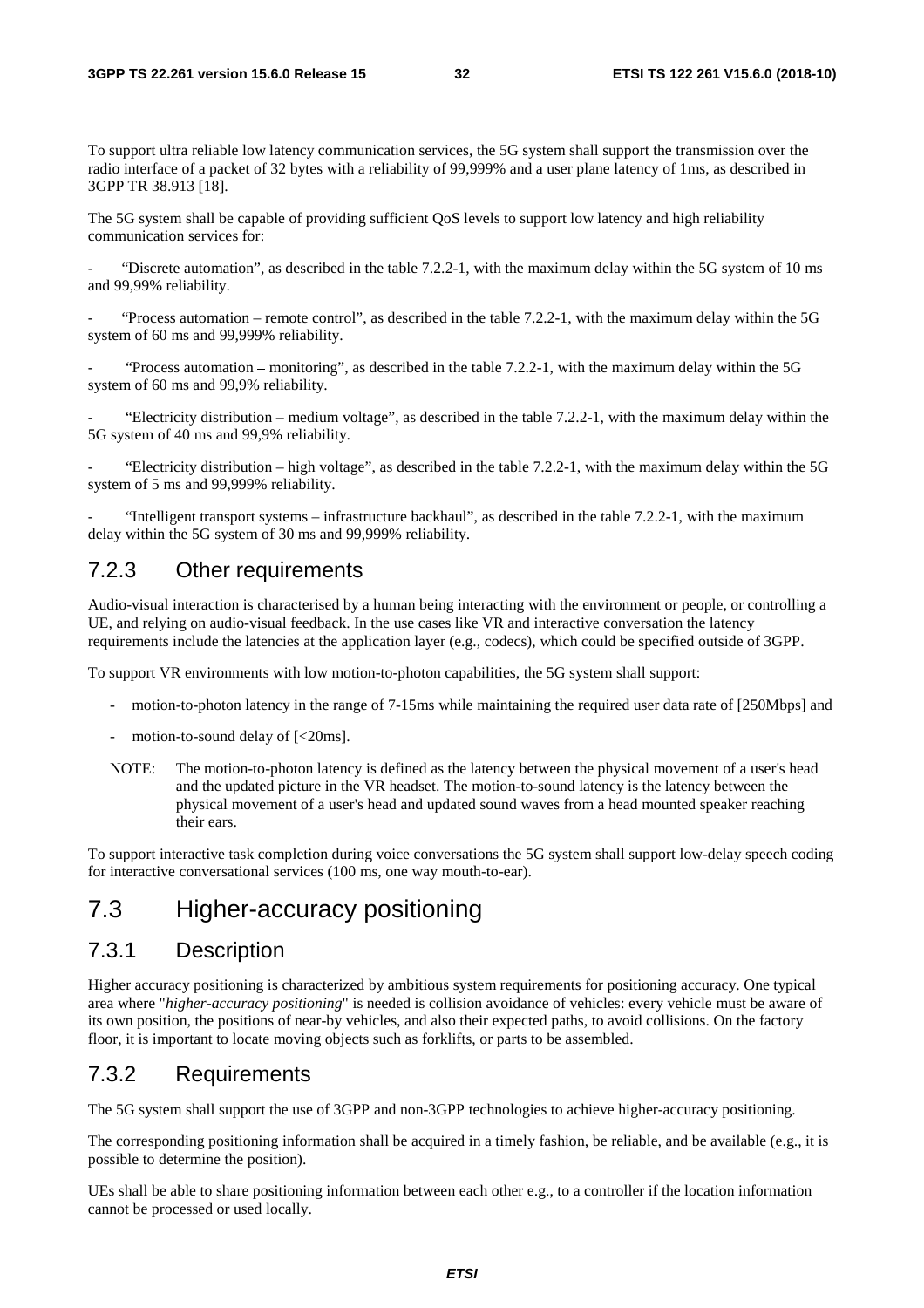To support ultra reliable low latency communication services, the 5G system shall support the transmission over the radio interface of a packet of 32 bytes with a reliability of 99,999% and a user plane latency of 1ms, as described in 3GPP TR 38.913 [18].

The 5G system shall be capable of providing sufficient QoS levels to support low latency and high reliability communication services for:

"Discrete automation", as described in the table  $7.2.2$ -1, with the maximum delay within the 5G system of 10 ms and 99,99% reliability.

"Process automation – remote control", as described in the table  $7.2.2$ -1, with the maximum delay within the 5G system of 60 ms and 99,999% reliability.

- "Process automation ‒ monitoring", as described in the table 7.2.2-1, with the maximum delay within the 5G system of 60 ms and 99,9% reliability.

"Electricity distribution – medium voltage", as described in the table  $7.2.2$ -1, with the maximum delay within the 5G system of 40 ms and 99,9% reliability.

- "Electricity distribution – high voltage", as described in the table 7.2.2-1, with the maximum delay within the 5G system of 5 ms and 99,999% reliability.

- "Intelligent transport systems – infrastructure backhaul", as described in the table 7.2.2-1, with the maximum delay within the 5G system of 30 ms and 99,999% reliability.

#### 7.2.3 Other requirements

Audio-visual interaction is characterised by a human being interacting with the environment or people, or controlling a UE, and relying on audio-visual feedback. In the use cases like VR and interactive conversation the latency requirements include the latencies at the application layer (e.g., codecs), which could be specified outside of 3GPP.

To support VR environments with low motion-to-photon capabilities, the 5G system shall support:

- motion-to-photon latency in the range of 7-15ms while maintaining the required user data rate of [250Mbps] and
- motion-to-sound delay of  $\left[ < 20 \text{ms} \right]$ .
- NOTE: The motion-to-photon latency is defined as the latency between the physical movement of a user's head and the updated picture in the VR headset. The motion-to-sound latency is the latency between the physical movement of a user's head and updated sound waves from a head mounted speaker reaching their ears.

To support interactive task completion during voice conversations the 5G system shall support low-delay speech coding for interactive conversational services (100 ms, one way mouth-to-ear).

### 7.3 Higher-accuracy positioning

#### 7.3.1 Description

Higher accuracy positioning is characterized by ambitious system requirements for positioning accuracy. One typical area where "*higher-accuracy positioning*" is needed is collision avoidance of vehicles: every vehicle must be aware of its own position, the positions of near-by vehicles, and also their expected paths, to avoid collisions. On the factory floor, it is important to locate moving objects such as forklifts, or parts to be assembled.

#### 7.3.2 Requirements

The 5G system shall support the use of 3GPP and non-3GPP technologies to achieve higher-accuracy positioning.

The corresponding positioning information shall be acquired in a timely fashion, be reliable, and be available (e.g., it is possible to determine the position).

UEs shall be able to share positioning information between each other e.g., to a controller if the location information cannot be processed or used locally.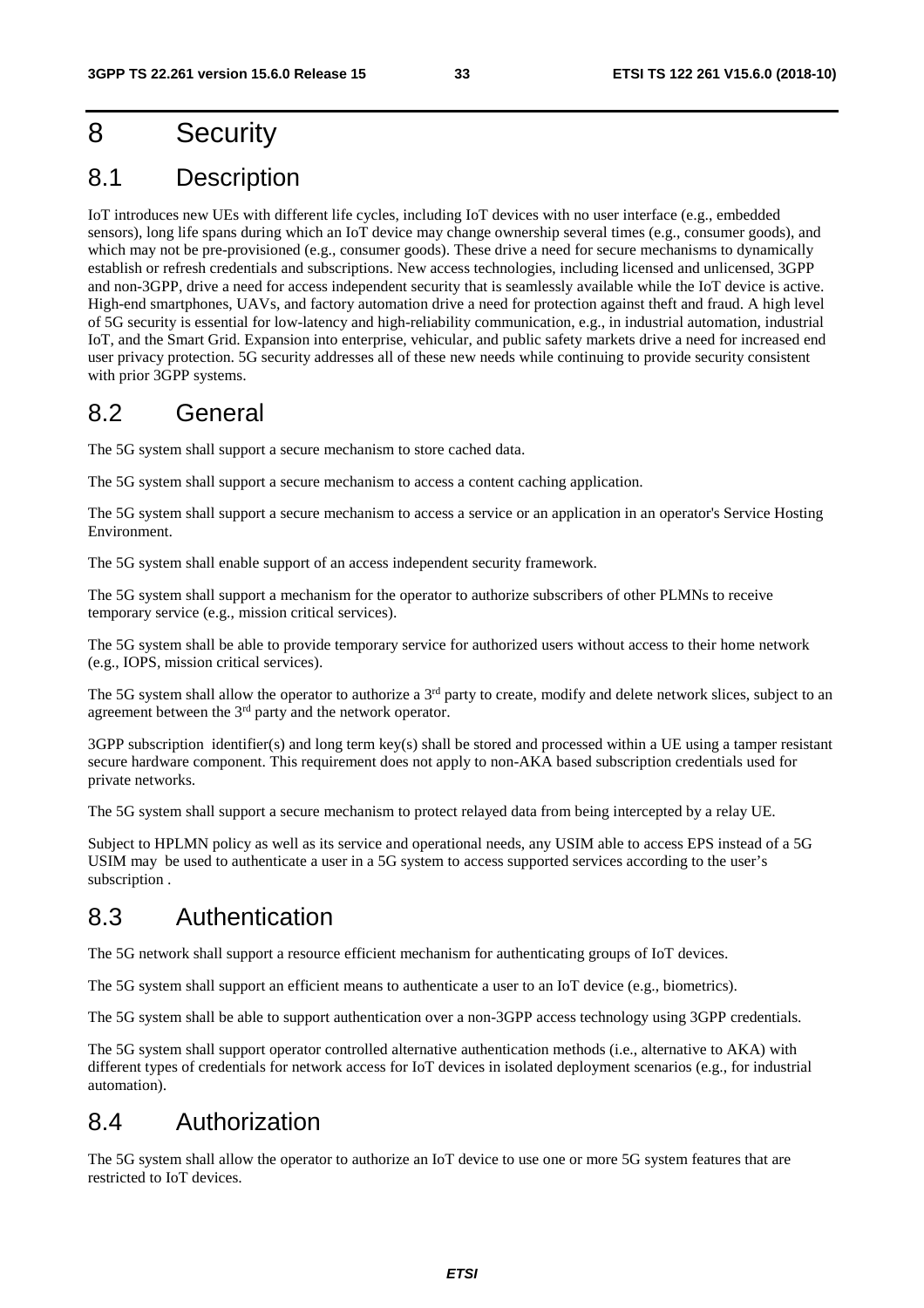## 8 Security

## 8.1 Description

IoT introduces new UEs with different life cycles, including IoT devices with no user interface (e.g., embedded sensors), long life spans during which an IoT device may change ownership several times (e.g., consumer goods), and which may not be pre-provisioned (e.g., consumer goods). These drive a need for secure mechanisms to dynamically establish or refresh credentials and subscriptions. New access technologies, including licensed and unlicensed, 3GPP and non-3GPP, drive a need for access independent security that is seamlessly available while the IoT device is active. High-end smartphones, UAVs, and factory automation drive a need for protection against theft and fraud. A high level of 5G security is essential for low-latency and high-reliability communication, e.g., in industrial automation, industrial IoT, and the Smart Grid. Expansion into enterprise, vehicular, and public safety markets drive a need for increased end user privacy protection. 5G security addresses all of these new needs while continuing to provide security consistent with prior 3GPP systems.

## 8.2 General

The 5G system shall support a secure mechanism to store cached data.

The 5G system shall support a secure mechanism to access a content caching application.

The 5G system shall support a secure mechanism to access a service or an application in an operator's Service Hosting Environment.

The 5G system shall enable support of an access independent security framework.

The 5G system shall support a mechanism for the operator to authorize subscribers of other PLMNs to receive temporary service (e.g., mission critical services).

The 5G system shall be able to provide temporary service for authorized users without access to their home network (e.g., IOPS, mission critical services).

The 5G system shall allow the operator to authorize a 3<sup>rd</sup> party to create, modify and delete network slices, subject to an agreement between the 3rd party and the network operator.

3GPP subscription identifier(s) and long term key(s) shall be stored and processed within a UE using a tamper resistant secure hardware component. This requirement does not apply to non-AKA based subscription credentials used for private networks.

The 5G system shall support a secure mechanism to protect relayed data from being intercepted by a relay UE.

Subject to HPLMN policy as well as its service and operational needs, any USIM able to access EPS instead of a 5G USIM may be used to authenticate a user in a 5G system to access supported services according to the user's subscription .

### 8.3 Authentication

The 5G network shall support a resource efficient mechanism for authenticating groups of IoT devices.

The 5G system shall support an efficient means to authenticate a user to an IoT device (e.g., biometrics).

The 5G system shall be able to support authentication over a non-3GPP access technology using 3GPP credentials.

The 5G system shall support operator controlled alternative authentication methods (i.e., alternative to AKA) with different types of credentials for network access for IoT devices in isolated deployment scenarios (e.g., for industrial automation).

### 8.4 Authorization

The 5G system shall allow the operator to authorize an IoT device to use one or more 5G system features that are restricted to IoT devices.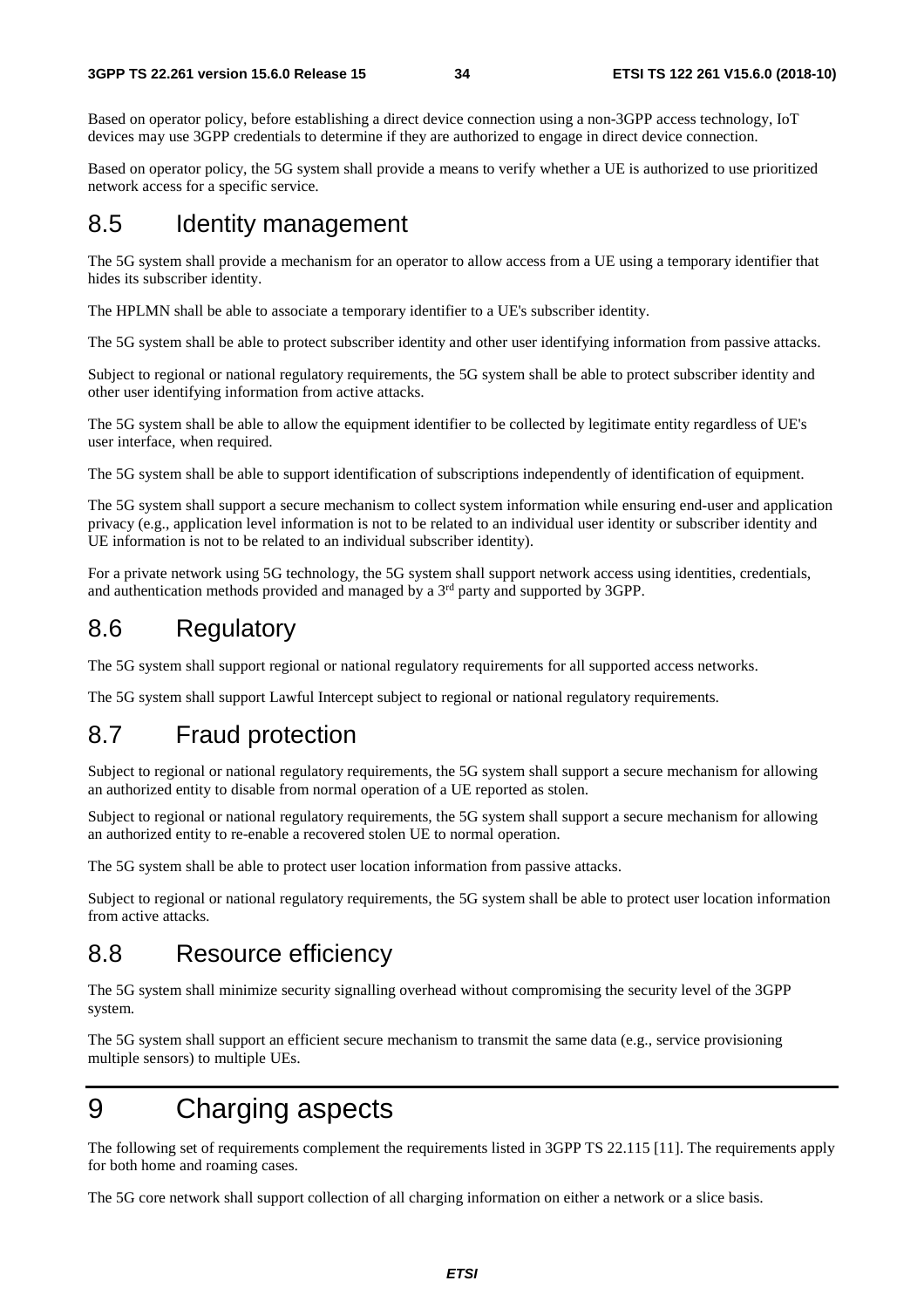Based on operator policy, before establishing a direct device connection using a non-3GPP access technology, IoT devices may use 3GPP credentials to determine if they are authorized to engage in direct device connection.

Based on operator policy, the 5G system shall provide a means to verify whether a UE is authorized to use prioritized network access for a specific service.

## 8.5 Identity management

The 5G system shall provide a mechanism for an operator to allow access from a UE using a temporary identifier that hides its subscriber identity.

The HPLMN shall be able to associate a temporary identifier to a UE's subscriber identity.

The 5G system shall be able to protect subscriber identity and other user identifying information from passive attacks.

Subject to regional or national regulatory requirements, the 5G system shall be able to protect subscriber identity and other user identifying information from active attacks.

The 5G system shall be able to allow the equipment identifier to be collected by legitimate entity regardless of UE's user interface, when required.

The 5G system shall be able to support identification of subscriptions independently of identification of equipment.

The 5G system shall support a secure mechanism to collect system information while ensuring end-user and application privacy (e.g., application level information is not to be related to an individual user identity or subscriber identity and UE information is not to be related to an individual subscriber identity).

For a private network using 5G technology, the 5G system shall support network access using identities, credentials, and authentication methods provided and managed by a 3<sup>rd</sup> party and supported by 3GPP.

### 8.6 Regulatory

The 5G system shall support regional or national regulatory requirements for all supported access networks.

The 5G system shall support Lawful Intercept subject to regional or national regulatory requirements.

## 8.7 Fraud protection

Subject to regional or national regulatory requirements, the 5G system shall support a secure mechanism for allowing an authorized entity to disable from normal operation of a UE reported as stolen.

Subject to regional or national regulatory requirements, the 5G system shall support a secure mechanism for allowing an authorized entity to re-enable a recovered stolen UE to normal operation.

The 5G system shall be able to protect user location information from passive attacks.

Subject to regional or national regulatory requirements, the 5G system shall be able to protect user location information from active attacks.

### 8.8 Resource efficiency

The 5G system shall minimize security signalling overhead without compromising the security level of the 3GPP system.

The 5G system shall support an efficient secure mechanism to transmit the same data (e.g., service provisioning multiple sensors) to multiple UEs.

## 9 Charging aspects

The following set of requirements complement the requirements listed in 3GPP TS 22.115 [11]. The requirements apply for both home and roaming cases.

The 5G core network shall support collection of all charging information on either a network or a slice basis.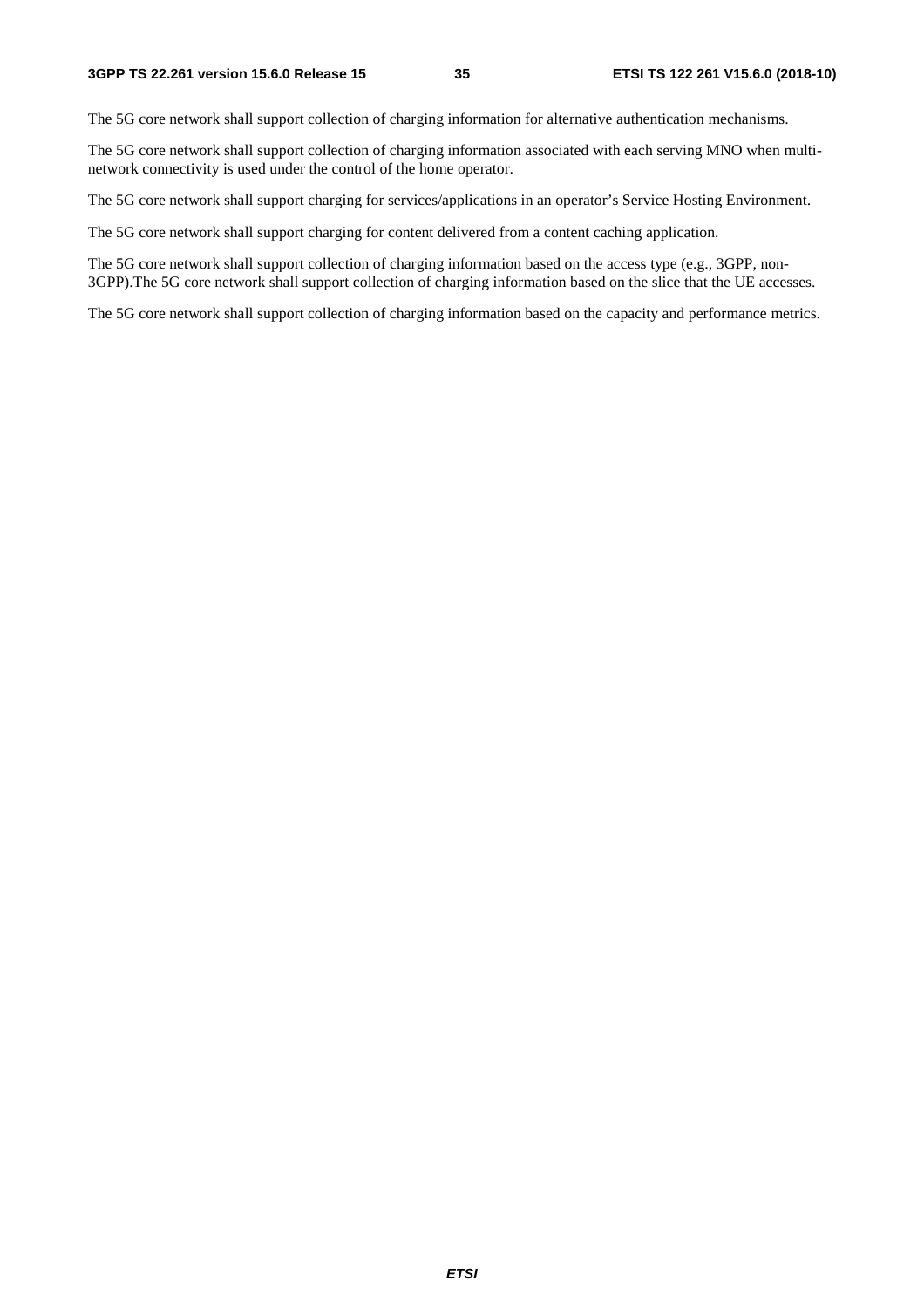The 5G core network shall support collection of charging information for alternative authentication mechanisms.

The 5G core network shall support collection of charging information associated with each serving MNO when multinetwork connectivity is used under the control of the home operator.

The 5G core network shall support charging for services/applications in an operator's Service Hosting Environment.

The 5G core network shall support charging for content delivered from a content caching application.

The 5G core network shall support collection of charging information based on the access type (e.g., 3GPP, non-3GPP).The 5G core network shall support collection of charging information based on the slice that the UE accesses.

The 5G core network shall support collection of charging information based on the capacity and performance metrics.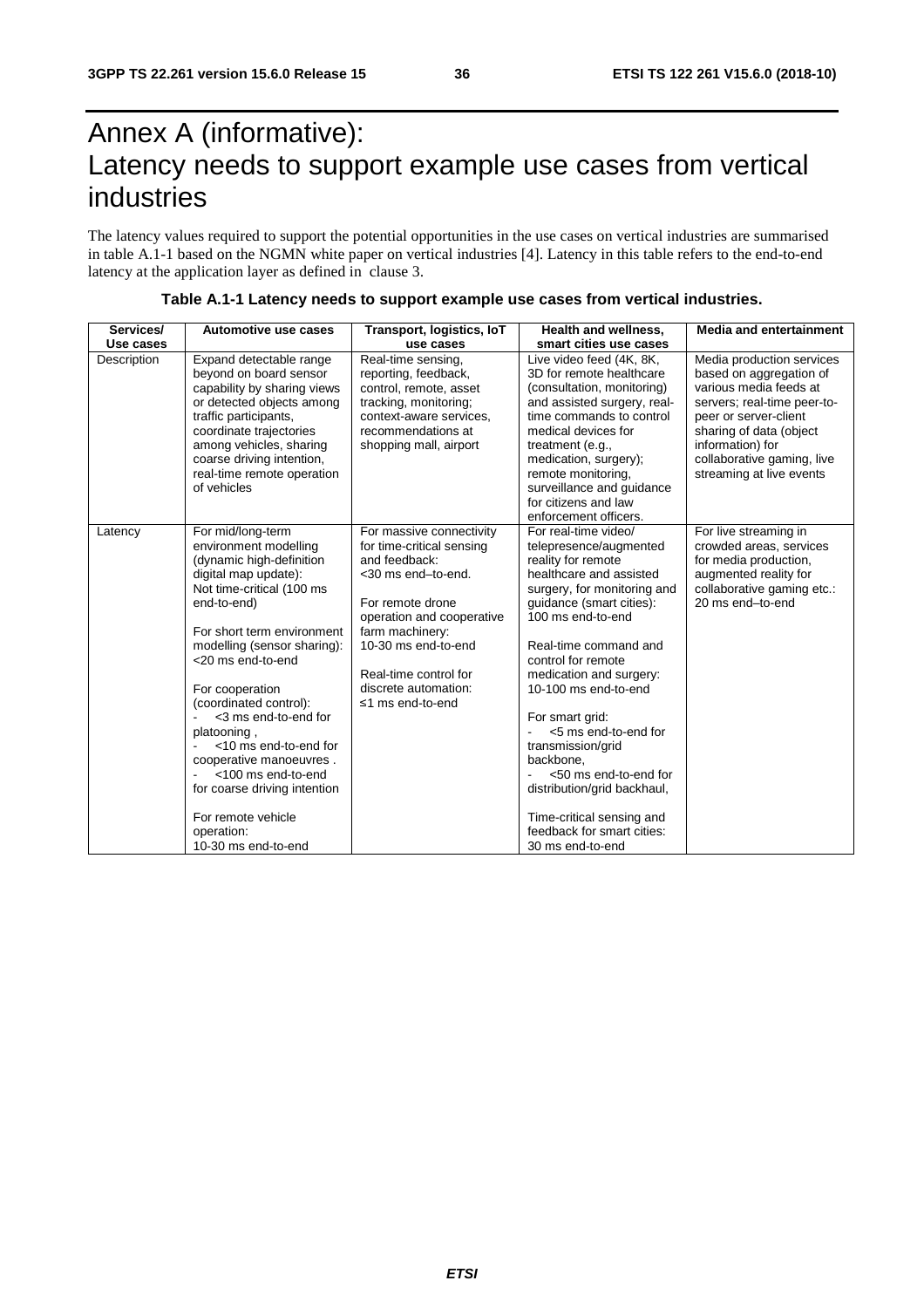## Annex A (informative): Latency needs to support example use cases from vertical industries

The latency values required to support the potential opportunities in the use cases on vertical industries are summarised in table A.1-1 based on the NGMN white paper on vertical industries [4]. Latency in this table refers to the end-to-end latency at the application layer as defined in clause 3.

| Services/   | Automotive use cases                                                                                                                                                                                                                                                                                                                                                                                                                                                                  | Transport, logistics, IoT                                                                                                                                                                                                                                    | <b>Health and wellness,</b>                                                                                                                                                                                                                                                                                                                                                                                                                                                                           | <b>Media and entertainment</b>                                                                                                                                                                                                                  |
|-------------|---------------------------------------------------------------------------------------------------------------------------------------------------------------------------------------------------------------------------------------------------------------------------------------------------------------------------------------------------------------------------------------------------------------------------------------------------------------------------------------|--------------------------------------------------------------------------------------------------------------------------------------------------------------------------------------------------------------------------------------------------------------|-------------------------------------------------------------------------------------------------------------------------------------------------------------------------------------------------------------------------------------------------------------------------------------------------------------------------------------------------------------------------------------------------------------------------------------------------------------------------------------------------------|-------------------------------------------------------------------------------------------------------------------------------------------------------------------------------------------------------------------------------------------------|
| Use cases   |                                                                                                                                                                                                                                                                                                                                                                                                                                                                                       | use cases                                                                                                                                                                                                                                                    | smart cities use cases                                                                                                                                                                                                                                                                                                                                                                                                                                                                                |                                                                                                                                                                                                                                                 |
| Description | Expand detectable range<br>beyond on board sensor<br>capability by sharing views<br>or detected objects among<br>traffic participants,<br>coordinate trajectories<br>among vehicles, sharing<br>coarse driving intention,<br>real-time remote operation<br>of vehicles                                                                                                                                                                                                                | Real-time sensing,<br>reporting, feedback,<br>control, remote, asset<br>tracking, monitoring;<br>context-aware services.<br>recommendations at<br>shopping mall, airport                                                                                     | Live video feed (4K, 8K,<br>3D for remote healthcare<br>(consultation, monitoring)<br>and assisted surgery, real-<br>time commands to control<br>medical devices for<br>treatment (e.g.,<br>medication, surgery);<br>remote monitoring,<br>surveillance and guidance<br>for citizens and law<br>enforcement officers.                                                                                                                                                                                 | Media production services<br>based on aggregation of<br>various media feeds at<br>servers; real-time peer-to-<br>peer or server-client<br>sharing of data (object<br>information) for<br>collaborative gaming, live<br>streaming at live events |
| Latency     | For mid/long-term<br>environment modelling<br>(dynamic high-definition<br>digital map update):<br>Not time-critical (100 ms<br>end-to-end)<br>For short term environment<br>modelling (sensor sharing):<br><20 ms end-to-end<br>For cooperation<br>(coordinated control):<br><3 ms end-to-end for<br>platooning,<br><10 ms end-to-end for<br>cooperative manoeuvres.<br><100 ms end-to-end<br>for coarse driving intention<br>For remote vehicle<br>operation:<br>10-30 ms end-to-end | For massive connectivity<br>for time-critical sensing<br>and feedback:<br><30 ms end-to-end.<br>For remote drone<br>operation and cooperative<br>farm machinery:<br>10-30 ms end-to-end<br>Real-time control for<br>discrete automation:<br>≤1 ms end-to-end | For real-time video/<br>telepresence/augmented<br>reality for remote<br>healthcare and assisted<br>surgery, for monitoring and<br>guidance (smart cities):<br>100 ms end-to-end<br>Real-time command and<br>control for remote<br>medication and surgery:<br>10-100 ms end-to-end<br>For smart grid:<br><5 ms end-to-end for<br>transmission/grid<br>backbone.<br><50 ms end-to-end for<br>distribution/grid backhaul,<br>Time-critical sensing and<br>feedback for smart cities:<br>30 ms end-to-end | For live streaming in<br>crowded areas, services<br>for media production,<br>augmented reality for<br>collaborative gaming etc.:<br>20 ms end-to-end                                                                                            |

#### **Table A.1-1 Latency needs to support example use cases from vertical industries.**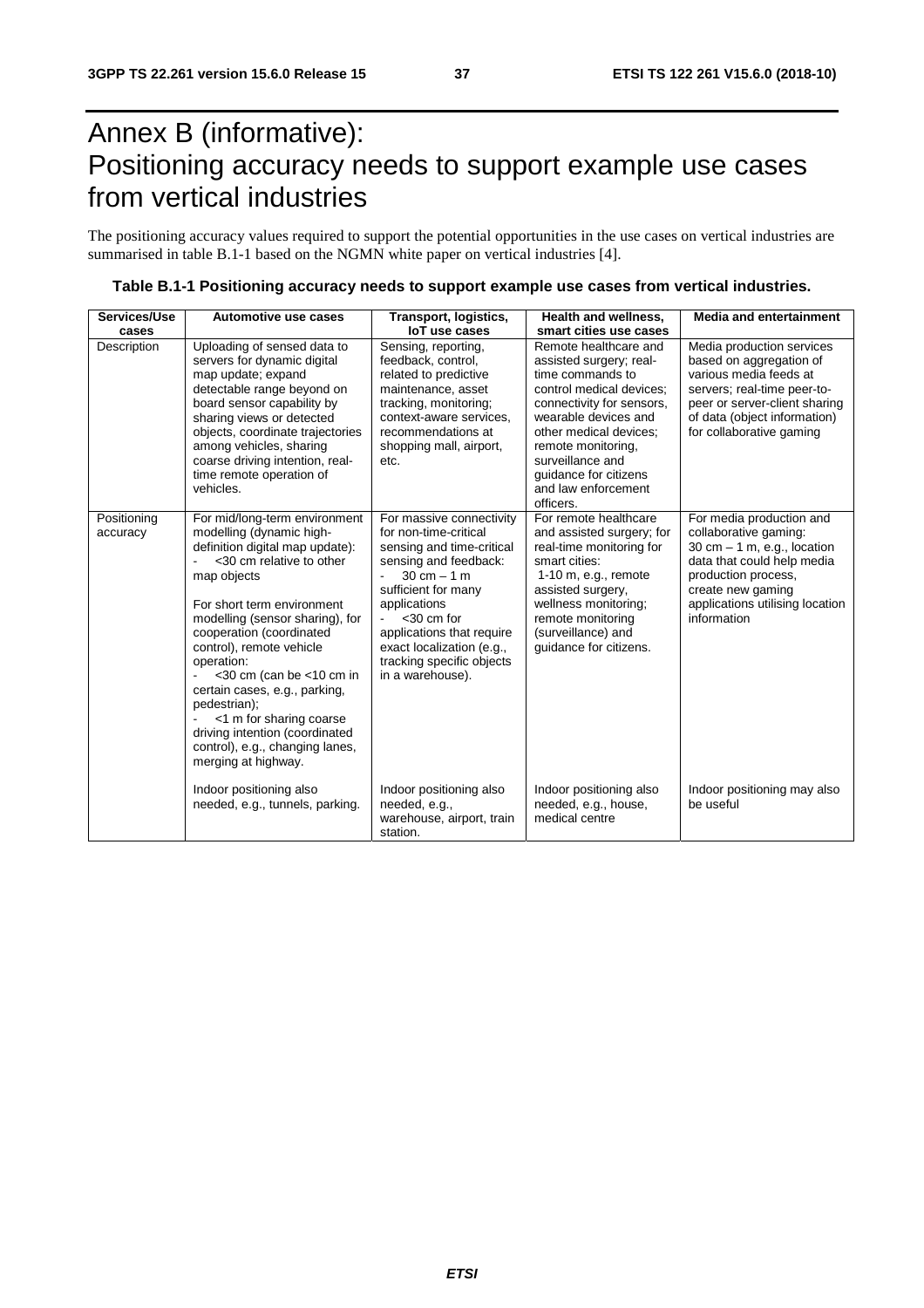## Annex B (informative): Positioning accuracy needs to support example use cases from vertical industries

The positioning accuracy values required to support the potential opportunities in the use cases on vertical industries are summarised in table B.1-1 based on the NGMN white paper on vertical industries [4].

| Services/Use            | Automotive use cases                                                                                                                                                                                                                                                                                                                                                                                                                                                               | Transport, logistics,                                                                                                                                                                                                                                                                                       | Health and wellness,                                                                                                                                                                                                                                                                   | <b>Media and entertainment</b>                                                                                                                                                                                  |
|-------------------------|------------------------------------------------------------------------------------------------------------------------------------------------------------------------------------------------------------------------------------------------------------------------------------------------------------------------------------------------------------------------------------------------------------------------------------------------------------------------------------|-------------------------------------------------------------------------------------------------------------------------------------------------------------------------------------------------------------------------------------------------------------------------------------------------------------|----------------------------------------------------------------------------------------------------------------------------------------------------------------------------------------------------------------------------------------------------------------------------------------|-----------------------------------------------------------------------------------------------------------------------------------------------------------------------------------------------------------------|
| cases                   |                                                                                                                                                                                                                                                                                                                                                                                                                                                                                    | <b>IoT</b> use cases                                                                                                                                                                                                                                                                                        | smart cities use cases                                                                                                                                                                                                                                                                 |                                                                                                                                                                                                                 |
| Description             | Uploading of sensed data to<br>servers for dynamic digital<br>map update; expand<br>detectable range beyond on<br>board sensor capability by<br>sharing views or detected<br>objects, coordinate trajectories<br>among vehicles, sharing<br>coarse driving intention, real-<br>time remote operation of<br>vehicles.                                                                                                                                                               | Sensing, reporting,<br>feedback, control,<br>related to predictive<br>maintenance, asset<br>tracking, monitoring;<br>context-aware services.<br>recommendations at<br>shopping mall, airport,<br>etc.                                                                                                       | Remote healthcare and<br>assisted surgery; real-<br>time commands to<br>control medical devices;<br>connectivity for sensors,<br>wearable devices and<br>other medical devices;<br>remote monitoring,<br>surveillance and<br>quidance for citizens<br>and law enforcement<br>officers. | Media production services<br>based on aggregation of<br>various media feeds at<br>servers; real-time peer-to-<br>peer or server-client sharing<br>of data (object information)<br>for collaborative gaming      |
| Positioning<br>accuracy | For mid/long-term environment<br>modelling (dynamic high-<br>definition digital map update):<br><30 cm relative to other<br>map objects<br>For short term environment<br>modelling (sensor sharing), for<br>cooperation (coordinated<br>control), remote vehicle<br>operation:<br><30 cm (can be <10 cm in<br>certain cases, e.g., parking,<br>pedestrian);<br><1 m for sharing coarse<br>driving intention (coordinated<br>control), e.g., changing lanes,<br>merging at highway. | For massive connectivity<br>for non-time-critical<br>sensing and time-critical<br>sensing and feedback:<br>$30 \text{ cm} - 1 \text{ m}$<br>sufficient for many<br>applications<br>$<$ 30 cm for<br>applications that require<br>exact localization (e.g.,<br>tracking specific objects<br>in a warehouse). | For remote healthcare<br>and assisted surgery; for<br>real-time monitoring for<br>smart cities:<br>$1-10$ m, e.g., remote<br>assisted surgery,<br>wellness monitoring;<br>remote monitoring<br>(surveillance) and<br>guidance for citizens.                                            | For media production and<br>collaborative gaming:<br>$30$ cm $-1$ m, e.g., location<br>data that could help media<br>production process,<br>create new gaming<br>applications utilising location<br>information |
|                         | Indoor positioning also<br>needed, e.g., tunnels, parking.                                                                                                                                                                                                                                                                                                                                                                                                                         | Indoor positioning also<br>needed, e.g.,<br>warehouse, airport, train<br>station.                                                                                                                                                                                                                           | Indoor positioning also<br>needed, e.g., house,<br>medical centre                                                                                                                                                                                                                      | Indoor positioning may also<br>be useful                                                                                                                                                                        |

|  | Table B.1-1 Positioning accuracy needs to support example use cases from vertical industries. |
|--|-----------------------------------------------------------------------------------------------|
|--|-----------------------------------------------------------------------------------------------|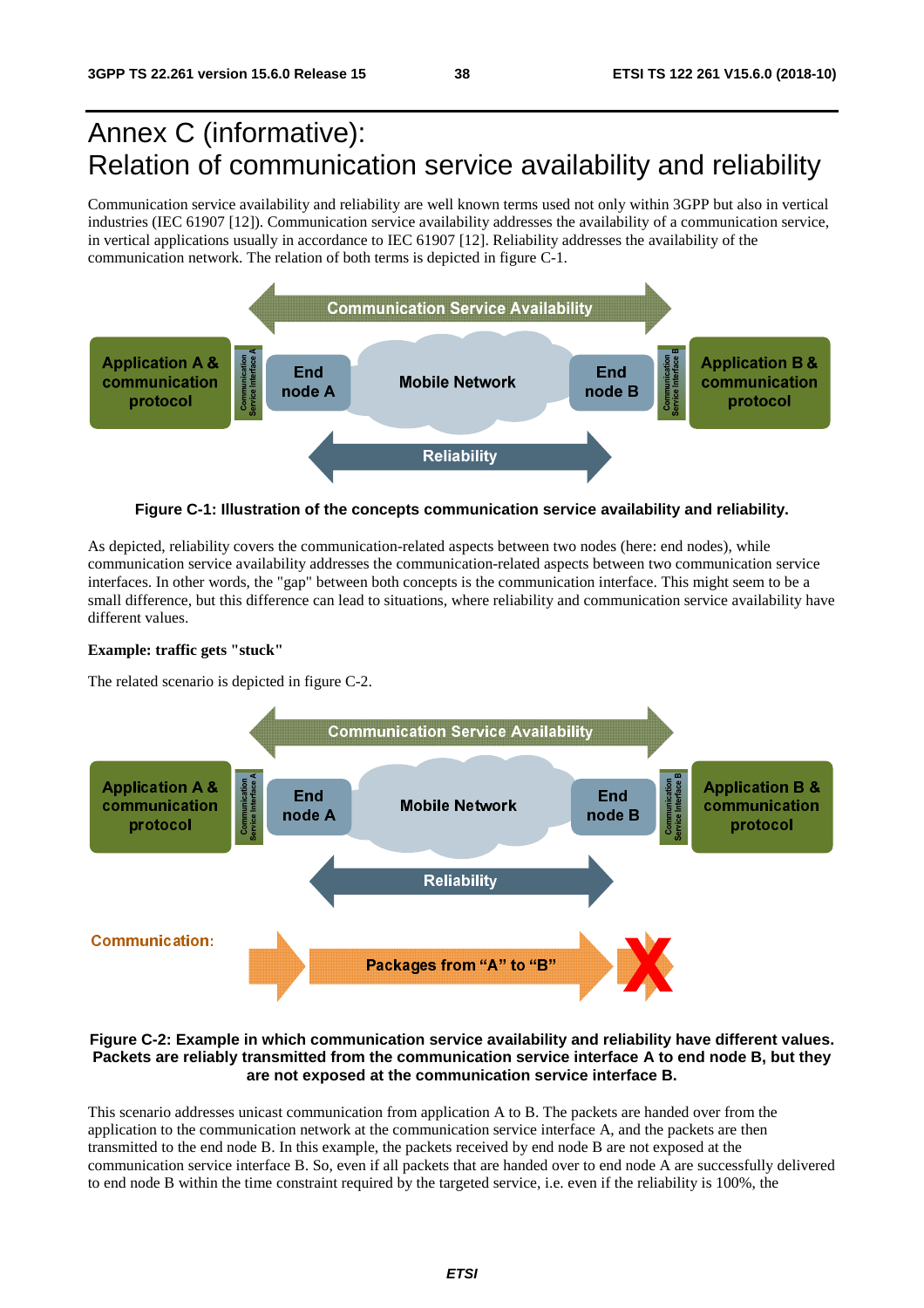## Annex C (informative): Relation of communication service availability and reliability

Communication service availability and reliability are well known terms used not only within 3GPP but also in vertical industries (IEC 61907 [12]). Communication service availability addresses the availability of a communication service, in vertical applications usually in accordance to IEC 61907 [12]. Reliability addresses the availability of the communication network. The relation of both terms is depicted in figure C-1.



**Figure C-1: Illustration of the concepts communication service availability and reliability.** 

As depicted, reliability covers the communication-related aspects between two nodes (here: end nodes), while communication service availability addresses the communication-related aspects between two communication service interfaces. In other words, the "gap" between both concepts is the communication interface. This might seem to be a small difference, but this difference can lead to situations, where reliability and communication service availability have different values.

#### **Example: traffic gets "stuck"**

The related scenario is depicted in figure C-2.



#### **Figure C-2: Example in which communication service availability and reliability have different values. Packets are reliably transmitted from the communication service interface A to end node B, but they are not exposed at the communication service interface B.**

This scenario addresses unicast communication from application A to B. The packets are handed over from the application to the communication network at the communication service interface A, and the packets are then transmitted to the end node B. In this example, the packets received by end node B are not exposed at the communication service interface B. So, even if all packets that are handed over to end node A are successfully delivered to end node B within the time constraint required by the targeted service, i.e. even if the reliability is 100%, the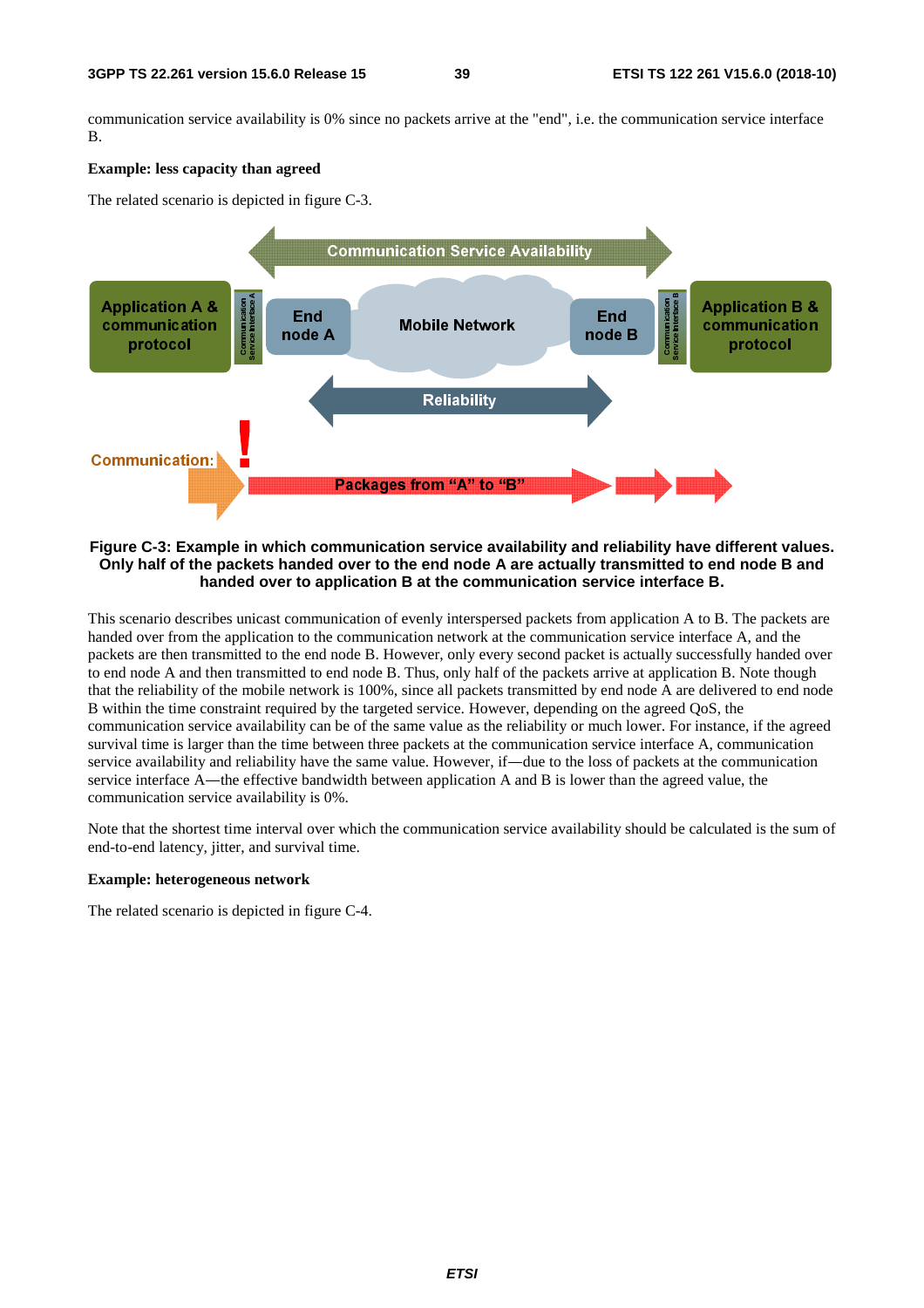communication service availability is 0% since no packets arrive at the "end", i.e. the communication service interface B.

#### **Example: less capacity than agreed**

The related scenario is depicted in figure C-3.



**Figure C-3: Example in which communication service availability and reliability have different values. Only half of the packets handed over to the end node A are actually transmitted to end node B and handed over to application B at the communication service interface B.** 

This scenario describes unicast communication of evenly interspersed packets from application A to B. The packets are handed over from the application to the communication network at the communication service interface A, and the packets are then transmitted to the end node B. However, only every second packet is actually successfully handed over to end node A and then transmitted to end node B. Thus, only half of the packets arrive at application B. Note though that the reliability of the mobile network is 100%, since all packets transmitted by end node A are delivered to end node B within the time constraint required by the targeted service. However, depending on the agreed QoS, the communication service availability can be of the same value as the reliability or much lower. For instance, if the agreed survival time is larger than the time between three packets at the communication service interface A, communication service availability and reliability have the same value. However, if―due to the loss of packets at the communication service interface A—the effective bandwidth between application A and B is lower than the agreed value, the communication service availability is 0%.

Note that the shortest time interval over which the communication service availability should be calculated is the sum of end-to-end latency, jitter, and survival time.

#### **Example: heterogeneous network**

The related scenario is depicted in figure C-4.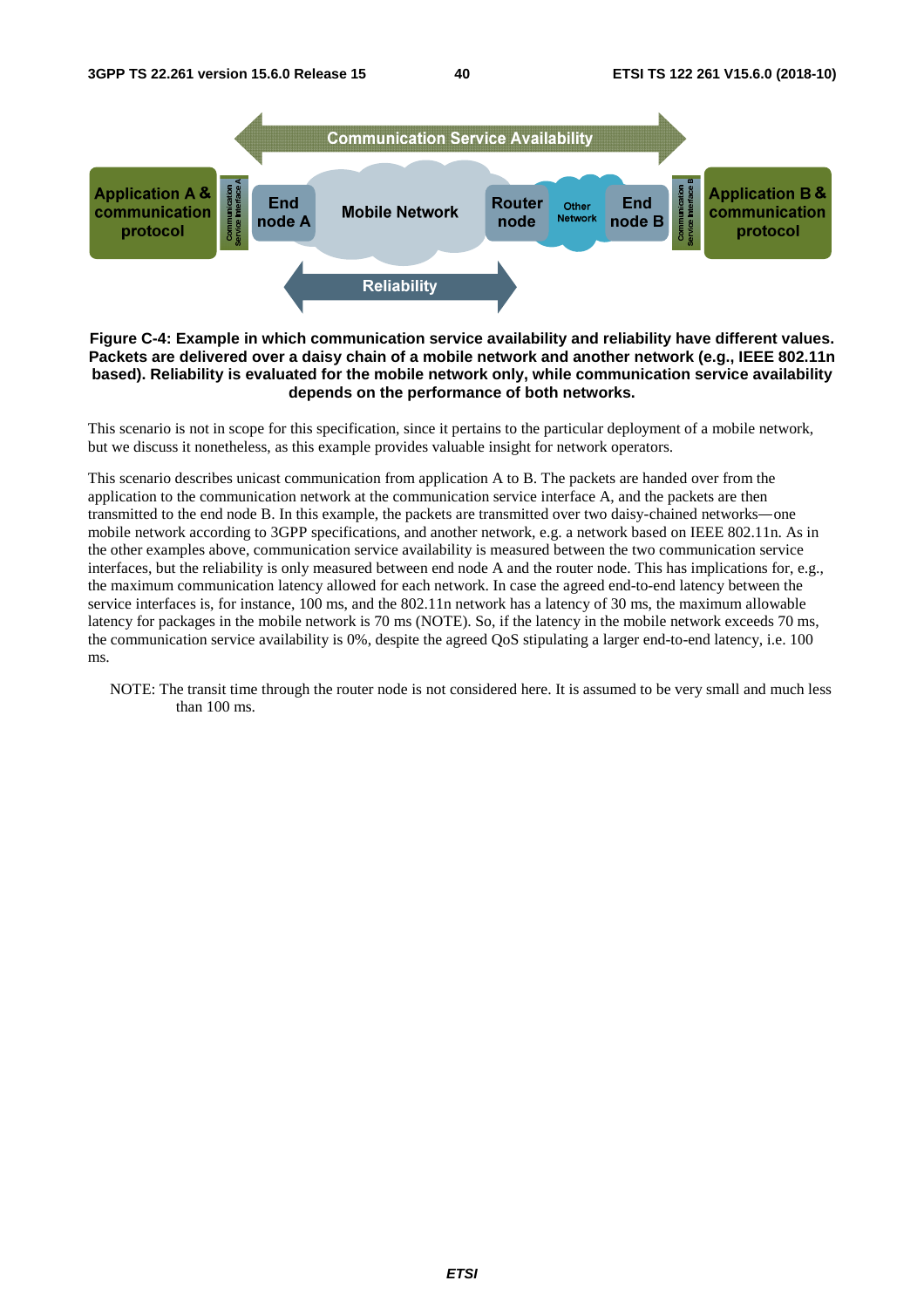

#### **Figure C-4: Example in which communication service availability and reliability have different values. Packets are delivered over a daisy chain of a mobile network and another network (e.g., IEEE 802.11n based). Reliability is evaluated for the mobile network only, while communication service availability depends on the performance of both networks.**

This scenario is not in scope for this specification, since it pertains to the particular deployment of a mobile network, but we discuss it nonetheless, as this example provides valuable insight for network operators.

This scenario describes unicast communication from application A to B. The packets are handed over from the application to the communication network at the communication service interface A, and the packets are then transmitted to the end node B. In this example, the packets are transmitted over two daisy-chained networks―one mobile network according to 3GPP specifications, and another network, e.g. a network based on IEEE 802.11n. As in the other examples above, communication service availability is measured between the two communication service interfaces, but the reliability is only measured between end node A and the router node. This has implications for, e.g., the maximum communication latency allowed for each network. In case the agreed end-to-end latency between the service interfaces is, for instance, 100 ms, and the 802.11n network has a latency of 30 ms, the maximum allowable latency for packages in the mobile network is 70 ms (NOTE). So, if the latency in the mobile network exceeds 70 ms, the communication service availability is 0%, despite the agreed QoS stipulating a larger end-to-end latency, i.e. 100 ms.

NOTE: The transit time through the router node is not considered here. It is assumed to be very small and much less than 100 ms.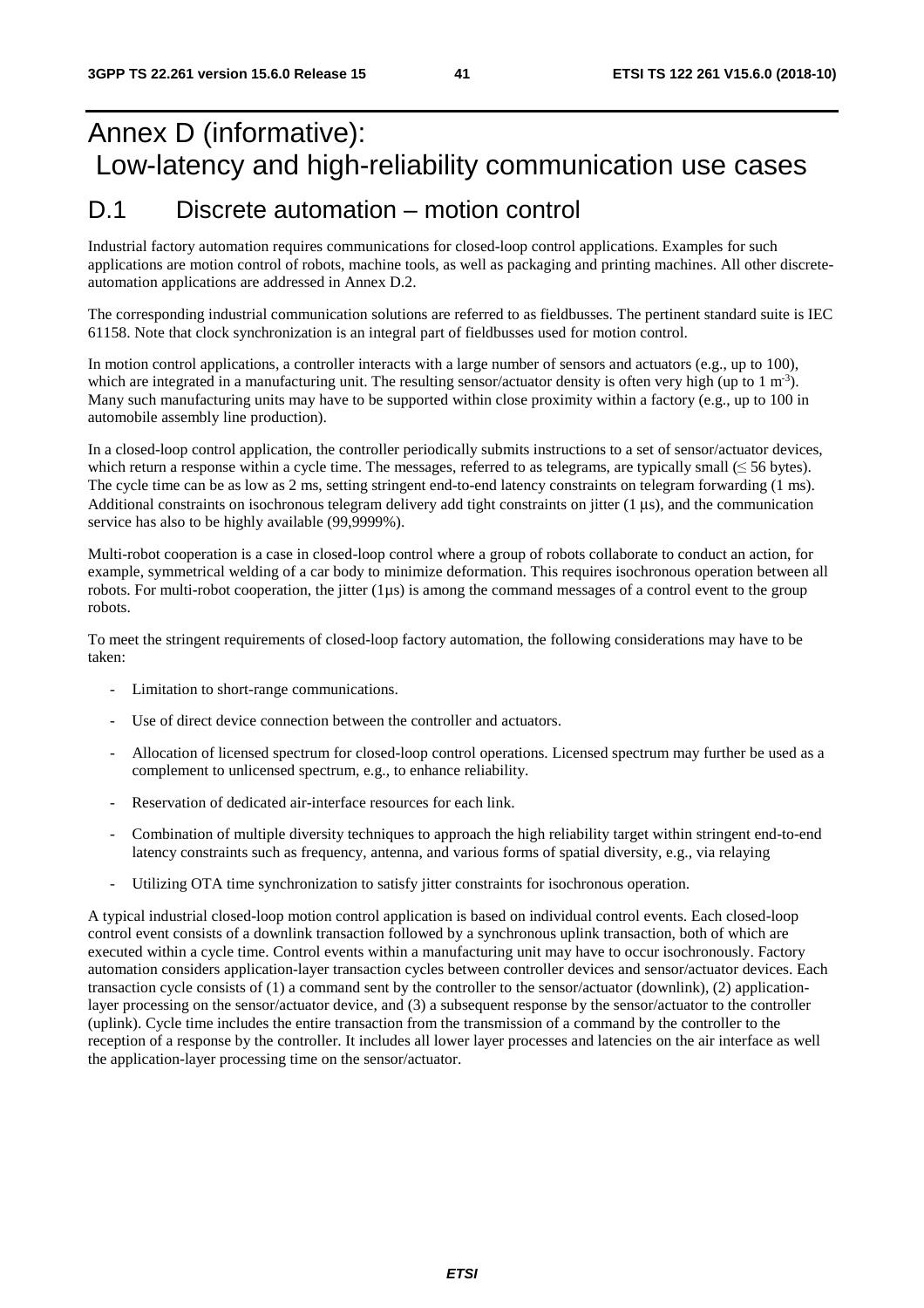## Annex D (informative): Low-latency and high-reliability communication use cases

### D.1 Discrete automation – motion control

Industrial factory automation requires communications for closed-loop control applications. Examples for such applications are motion control of robots, machine tools, as well as packaging and printing machines. All other discreteautomation applications are addressed in Annex D.2.

The corresponding industrial communication solutions are referred to as fieldbusses. The pertinent standard suite is IEC 61158. Note that clock synchronization is an integral part of fieldbusses used for motion control.

In motion control applications, a controller interacts with a large number of sensors and actuators (e.g., up to 100), which are integrated in a manufacturing unit. The resulting sensor/actuator density is often very high (up to 1 m<sup>-3</sup>). Many such manufacturing units may have to be supported within close proximity within a factory (e.g., up to 100 in automobile assembly line production).

In a closed-loop control application, the controller periodically submits instructions to a set of sensor/actuator devices, which return a response within a cycle time. The messages, referred to as telegrams, are typically small  $(\leq 56$  bytes). The cycle time can be as low as 2 ms, setting stringent end-to-end latency constraints on telegram forwarding (1 ms). Additional constraints on isochronous telegram delivery add tight constraints on jitter (1 us), and the communication service has also to be highly available (99,9999%).

Multi-robot cooperation is a case in closed-loop control where a group of robots collaborate to conduct an action, for example, symmetrical welding of a car body to minimize deformation. This requires isochronous operation between all robots. For multi-robot cooperation, the jitter  $(1\mu s)$  is among the command messages of a control event to the group robots.

To meet the stringent requirements of closed-loop factory automation, the following considerations may have to be taken:

- Limitation to short-range communications.
- Use of direct device connection between the controller and actuators.
- Allocation of licensed spectrum for closed-loop control operations. Licensed spectrum may further be used as a complement to unlicensed spectrum, e.g., to enhance reliability.
- Reservation of dedicated air-interface resources for each link.
- Combination of multiple diversity techniques to approach the high reliability target within stringent end-to-end latency constraints such as frequency, antenna, and various forms of spatial diversity, e.g., via relaying
- Utilizing OTA time synchronization to satisfy jitter constraints for isochronous operation.

A typical industrial closed-loop motion control application is based on individual control events. Each closed-loop control event consists of a downlink transaction followed by a synchronous uplink transaction, both of which are executed within a cycle time. Control events within a manufacturing unit may have to occur isochronously. Factory automation considers application-layer transaction cycles between controller devices and sensor/actuator devices. Each transaction cycle consists of (1) a command sent by the controller to the sensor/actuator (downlink), (2) applicationlayer processing on the sensor/actuator device, and (3) a subsequent response by the sensor/actuator to the controller (uplink). Cycle time includes the entire transaction from the transmission of a command by the controller to the reception of a response by the controller. It includes all lower layer processes and latencies on the air interface as well the application-layer processing time on the sensor/actuator.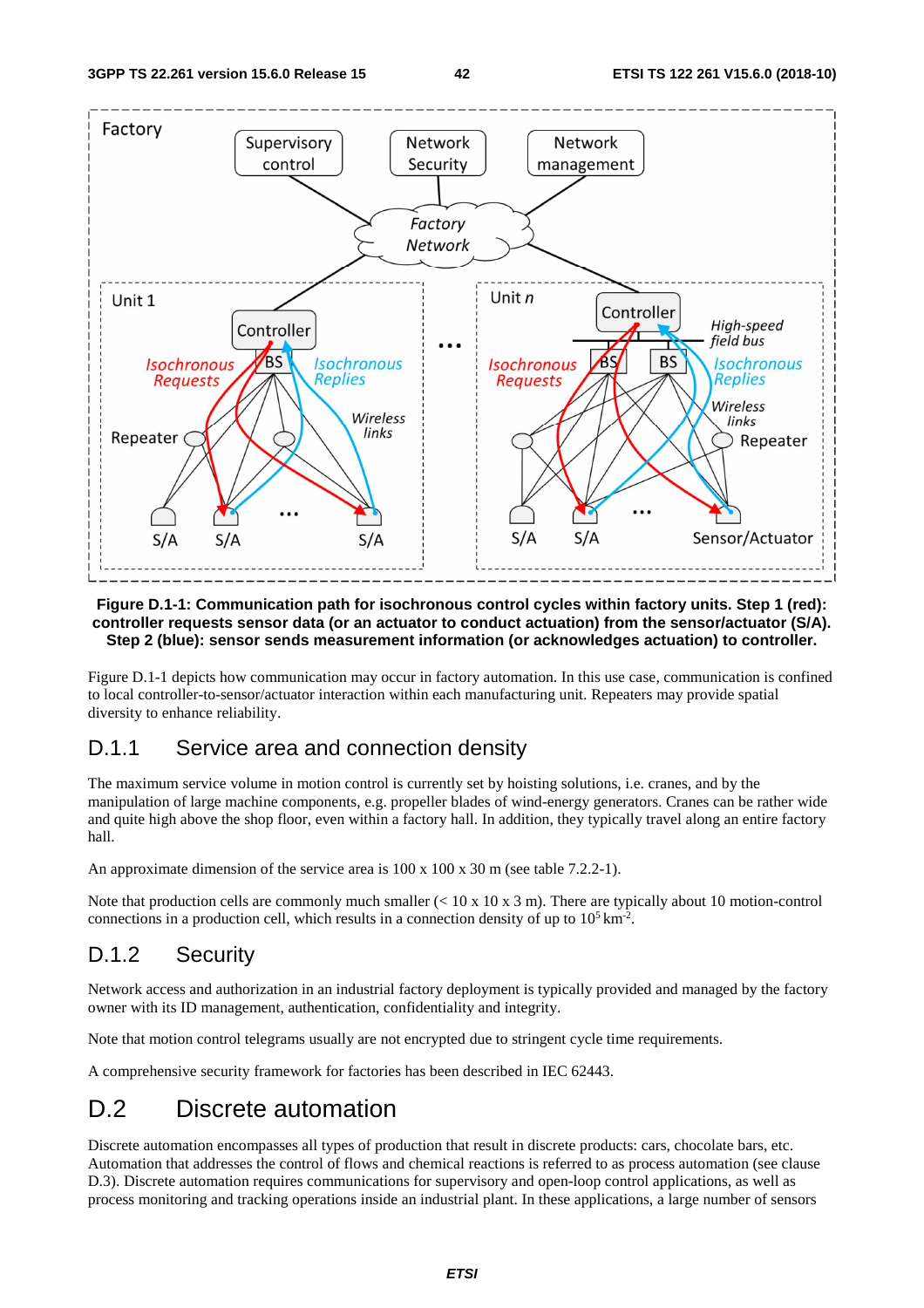

#### **Figure D.1-1: Communication path for isochronous control cycles within factory units. Step 1 (red): controller requests sensor data (or an actuator to conduct actuation) from the sensor/actuator (S/A). Step 2 (blue): sensor sends measurement information (or acknowledges actuation) to controller.**

Figure D.1-1 depicts how communication may occur in factory automation. In this use case, communication is confined to local controller-to-sensor/actuator interaction within each manufacturing unit. Repeaters may provide spatial diversity to enhance reliability.

#### D.1.1 Service area and connection density

The maximum service volume in motion control is currently set by hoisting solutions, i.e. cranes, and by the manipulation of large machine components, e.g. propeller blades of wind-energy generators. Cranes can be rather wide and quite high above the shop floor, even within a factory hall. In addition, they typically travel along an entire factory hall.

An approximate dimension of the service area is 100 x 100 x 30 m (see table 7.2.2-1).

Note that production cells are commonly much smaller  $(< 10 \times 10 \times 3 \text{ m})$ . There are typically about 10 motion-control connections in a production cell, which results in a connection density of up to  $10^5 \text{ km}^2$ .

#### D.1.2 Security

Network access and authorization in an industrial factory deployment is typically provided and managed by the factory owner with its ID management, authentication, confidentiality and integrity.

Note that motion control telegrams usually are not encrypted due to stringent cycle time requirements.

A comprehensive security framework for factories has been described in IEC 62443.

### D.2 Discrete automation

Discrete automation encompasses all types of production that result in discrete products: cars, chocolate bars, etc. Automation that addresses the control of flows and chemical reactions is referred to as process automation (see clause D.3). Discrete automation requires communications for supervisory and open-loop control applications, as well as process monitoring and tracking operations inside an industrial plant. In these applications, a large number of sensors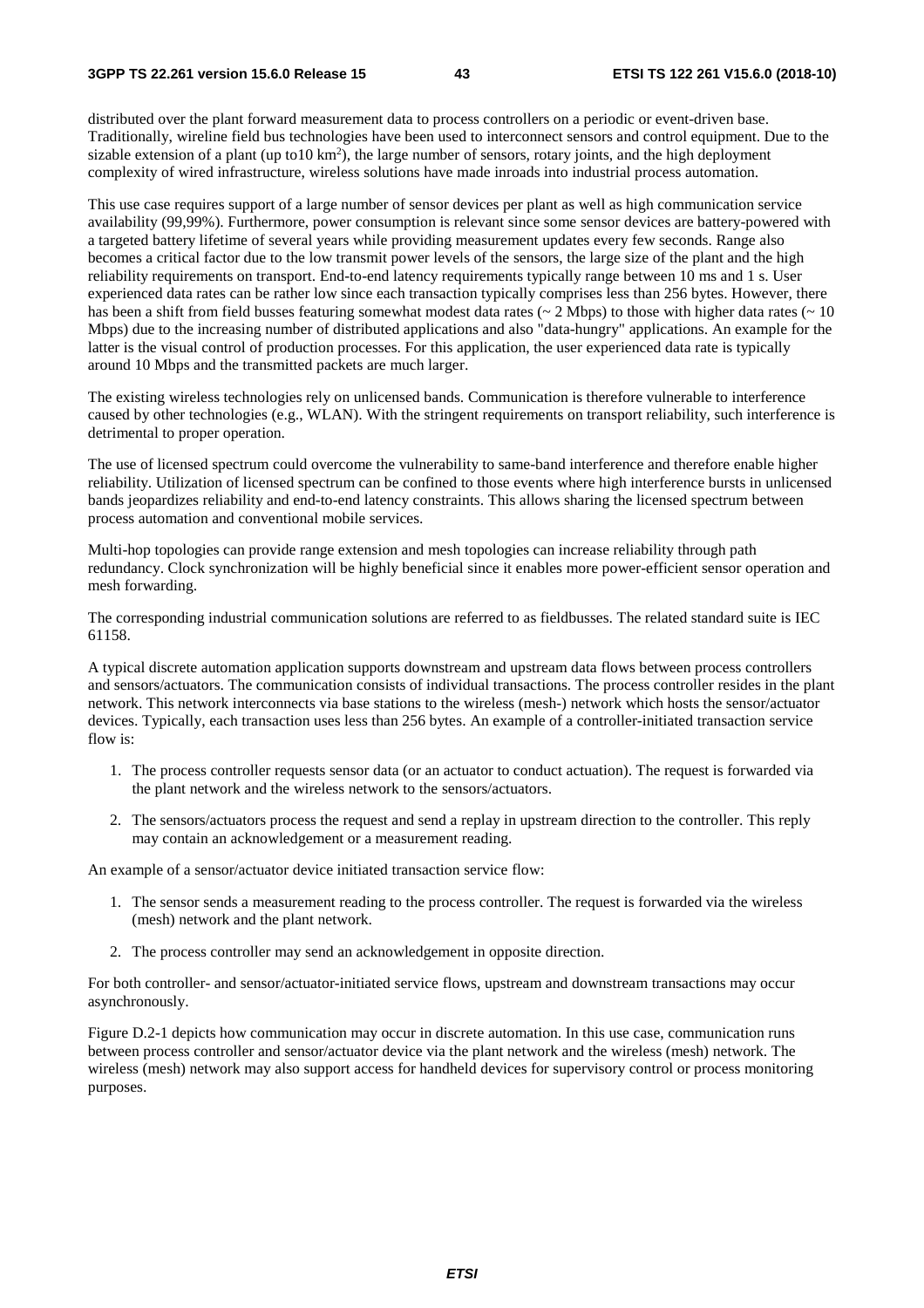**3GPP TS 22.261 version 15.6.0 Release 15 43 ETSI TS 122 261 V15.6.0 (2018-10)**

distributed over the plant forward measurement data to process controllers on a periodic or event-driven base. Traditionally, wireline field bus technologies have been used to interconnect sensors and control equipment. Due to the sizable extension of a plant (up to10  $km<sup>2</sup>$ ), the large number of sensors, rotary joints, and the high deployment complexity of wired infrastructure, wireless solutions have made inroads into industrial process automation.

This use case requires support of a large number of sensor devices per plant as well as high communication service availability (99,99%). Furthermore, power consumption is relevant since some sensor devices are battery-powered with a targeted battery lifetime of several years while providing measurement updates every few seconds. Range also becomes a critical factor due to the low transmit power levels of the sensors, the large size of the plant and the high reliability requirements on transport. End-to-end latency requirements typically range between 10 ms and 1 s. User experienced data rates can be rather low since each transaction typically comprises less than 256 bytes. However, there has been a shift from field busses featuring somewhat modest data rates ( $\sim 2$  Mbps) to those with higher data rates ( $\sim 10$ Mbps) due to the increasing number of distributed applications and also "data-hungry" applications. An example for the latter is the visual control of production processes. For this application, the user experienced data rate is typically around 10 Mbps and the transmitted packets are much larger.

The existing wireless technologies rely on unlicensed bands. Communication is therefore vulnerable to interference caused by other technologies (e.g., WLAN). With the stringent requirements on transport reliability, such interference is detrimental to proper operation.

The use of licensed spectrum could overcome the vulnerability to same-band interference and therefore enable higher reliability. Utilization of licensed spectrum can be confined to those events where high interference bursts in unlicensed bands jeopardizes reliability and end-to-end latency constraints. This allows sharing the licensed spectrum between process automation and conventional mobile services.

Multi-hop topologies can provide range extension and mesh topologies can increase reliability through path redundancy. Clock synchronization will be highly beneficial since it enables more power-efficient sensor operation and mesh forwarding.

The corresponding industrial communication solutions are referred to as fieldbusses. The related standard suite is IEC 61158.

A typical discrete automation application supports downstream and upstream data flows between process controllers and sensors/actuators. The communication consists of individual transactions. The process controller resides in the plant network. This network interconnects via base stations to the wireless (mesh-) network which hosts the sensor/actuator devices. Typically, each transaction uses less than 256 bytes. An example of a controller-initiated transaction service flow is:

- 1. The process controller requests sensor data (or an actuator to conduct actuation). The request is forwarded via the plant network and the wireless network to the sensors/actuators.
- 2. The sensors/actuators process the request and send a replay in upstream direction to the controller. This reply may contain an acknowledgement or a measurement reading.

An example of a sensor/actuator device initiated transaction service flow:

- 1. The sensor sends a measurement reading to the process controller. The request is forwarded via the wireless (mesh) network and the plant network.
- 2. The process controller may send an acknowledgement in opposite direction.

For both controller- and sensor/actuator-initiated service flows, upstream and downstream transactions may occur asynchronously.

Figure D.2-1 depicts how communication may occur in discrete automation. In this use case, communication runs between process controller and sensor/actuator device via the plant network and the wireless (mesh) network. The wireless (mesh) network may also support access for handheld devices for supervisory control or process monitoring purposes.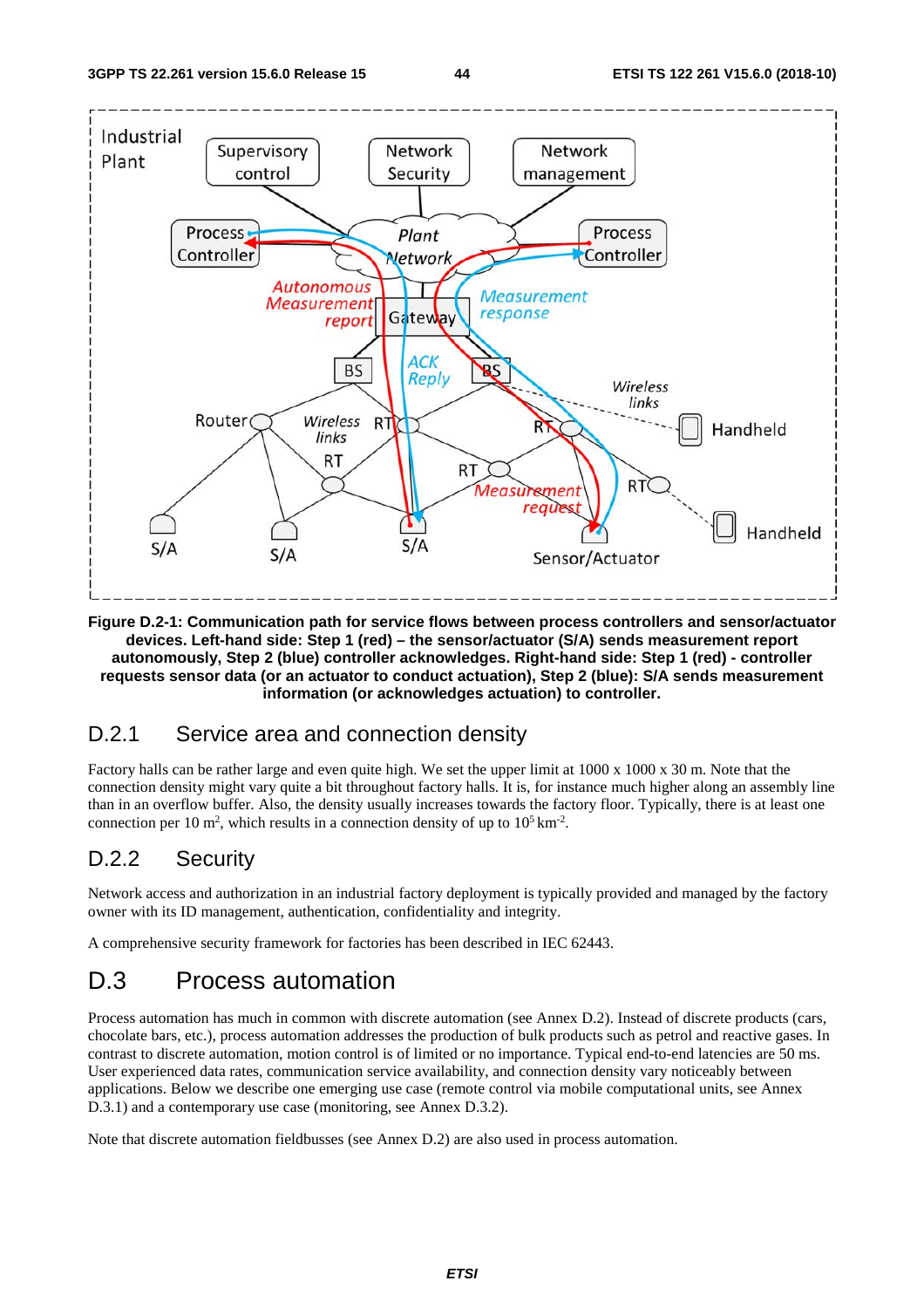

**Figure D.2-1: Communication path for service flows between process controllers and sensor/actuator devices. Left-hand side: Step 1 (red) – the sensor/actuator (S/A) sends measurement report autonomously, Step 2 (blue) controller acknowledges. Right-hand side: Step 1 (red) - controller requests sensor data (or an actuator to conduct actuation), Step 2 (blue): S/A sends measurement information (or acknowledges actuation) to controller.** 

### D.2.1 Service area and connection density

Factory halls can be rather large and even quite high. We set the upper limit at 1000 x 1000 x 30 m. Note that the connection density might vary quite a bit throughout factory halls. It is, for instance much higher along an assembly line than in an overflow buffer. Also, the density usually increases towards the factory floor. Typically, there is at least one connection per 10 m<sup>2</sup>, which results in a connection density of up to  $10^5 \text{ km}^2$ .

### D.2.2 Security

Network access and authorization in an industrial factory deployment is typically provided and managed by the factory owner with its ID management, authentication, confidentiality and integrity.

A comprehensive security framework for factories has been described in IEC 62443.

## D.3 Process automation

Process automation has much in common with discrete automation (see Annex D.2). Instead of discrete products (cars, chocolate bars, etc.), process automation addresses the production of bulk products such as petrol and reactive gases. In contrast to discrete automation, motion control is of limited or no importance. Typical end-to-end latencies are 50 ms. User experienced data rates, communication service availability, and connection density vary noticeably between applications. Below we describe one emerging use case (remote control via mobile computational units, see Annex D.3.1) and a contemporary use case (monitoring, see Annex D.3.2).

Note that discrete automation fieldbusses (see Annex D.2) are also used in process automation.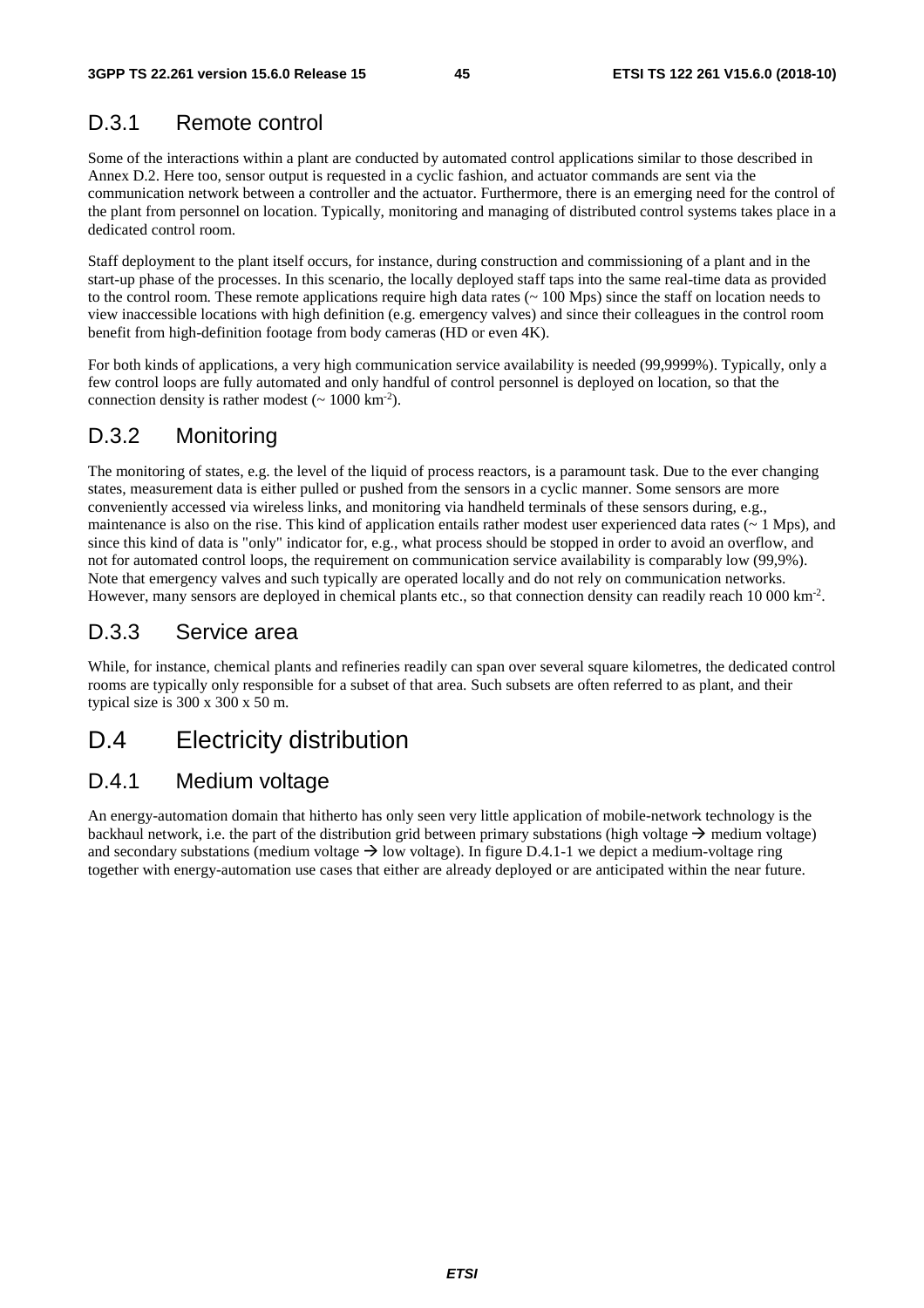### D.3.1 Remote control

Some of the interactions within a plant are conducted by automated control applications similar to those described in Annex D.2. Here too, sensor output is requested in a cyclic fashion, and actuator commands are sent via the communication network between a controller and the actuator. Furthermore, there is an emerging need for the control of the plant from personnel on location. Typically, monitoring and managing of distributed control systems takes place in a dedicated control room.

Staff deployment to the plant itself occurs, for instance, during construction and commissioning of a plant and in the start-up phase of the processes. In this scenario, the locally deployed staff taps into the same real-time data as provided to the control room. These remote applications require high data rates (~ 100 Mps) since the staff on location needs to view inaccessible locations with high definition (e.g. emergency valves) and since their colleagues in the control room benefit from high-definition footage from body cameras (HD or even 4K).

For both kinds of applications, a very high communication service availability is needed (99,9999%). Typically, only a few control loops are fully automated and only handful of control personnel is deployed on location, so that the connection density is rather modest  $({\sim 1000 \text{ km}^{-2}})$ .

#### D.3.2 Monitoring

The monitoring of states, e.g. the level of the liquid of process reactors, is a paramount task. Due to the ever changing states, measurement data is either pulled or pushed from the sensors in a cyclic manner. Some sensors are more conveniently accessed via wireless links, and monitoring via handheld terminals of these sensors during, e.g., maintenance is also on the rise. This kind of application entails rather modest user experienced data rates  $($   $\sim$  1 Mps), and since this kind of data is "only" indicator for, e.g., what process should be stopped in order to avoid an overflow, and not for automated control loops, the requirement on communication service availability is comparably low (99,9%). Note that emergency valves and such typically are operated locally and do not rely on communication networks. However, many sensors are deployed in chemical plants etc., so that connection density can readily reach 10 000 km<sup>-2</sup>.

### D.3.3 Service area

While, for instance, chemical plants and refineries readily can span over several square kilometres, the dedicated control rooms are typically only responsible for a subset of that area. Such subsets are often referred to as plant, and their typical size is 300 x 300 x 50 m.

### D.4 Electricity distribution

#### D.4.1 Medium voltage

An energy-automation domain that hitherto has only seen very little application of mobile-network technology is the backhaul network, i.e. the part of the distribution grid between primary substations (high voltage  $\rightarrow$  medium voltage) and secondary substations (medium voltage  $\rightarrow$  low voltage). In figure D.4.1-1 we depict a medium-voltage ring together with energy-automation use cases that either are already deployed or are anticipated within the near future.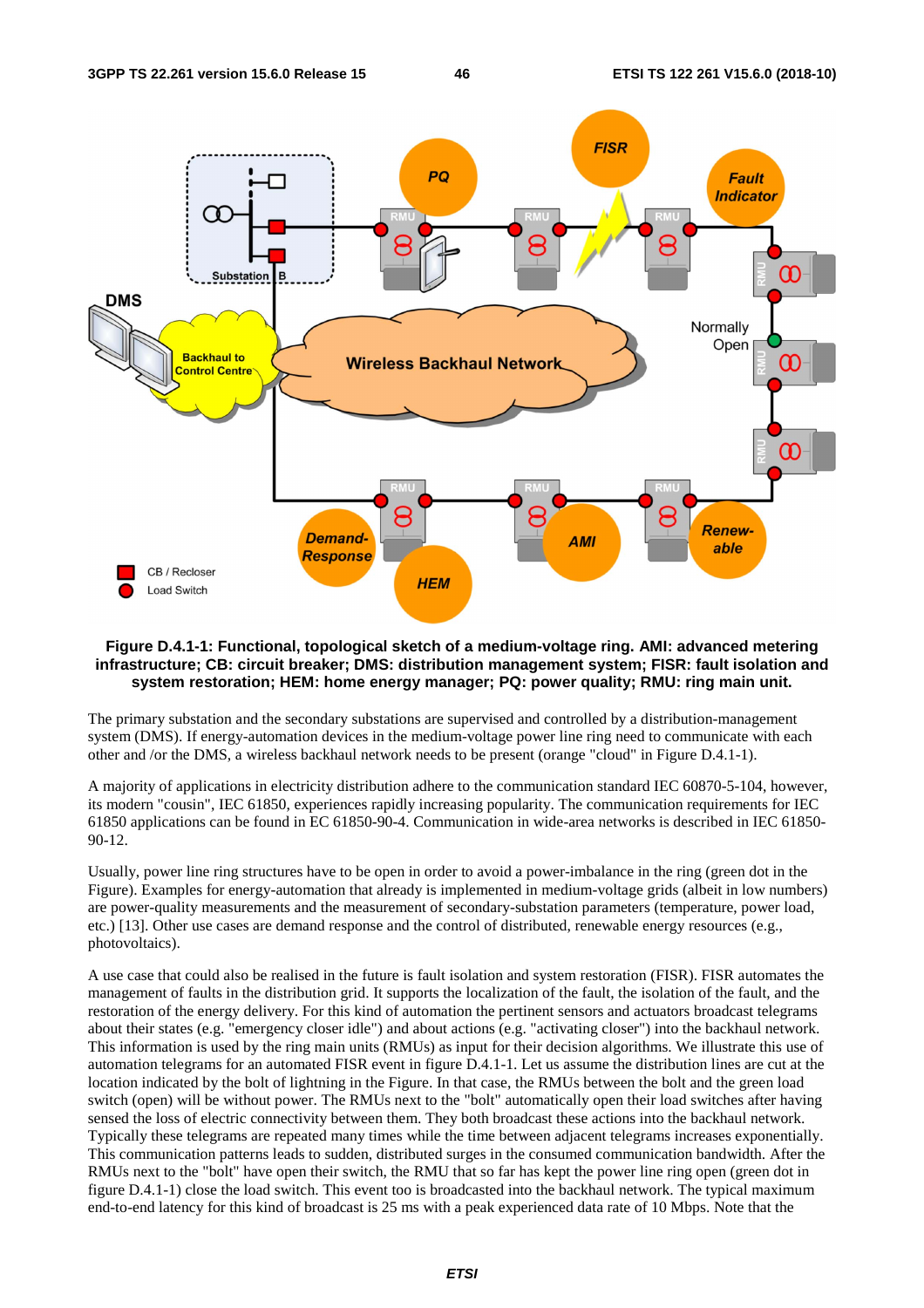

#### **Figure D.4.1-1: Functional, topological sketch of a medium-voltage ring. AMI: advanced metering infrastructure; CB: circuit breaker; DMS: distribution management system; FISR: fault isolation and system restoration; HEM: home energy manager; PQ: power quality; RMU: ring main unit.**

The primary substation and the secondary substations are supervised and controlled by a distribution-management system (DMS). If energy-automation devices in the medium-voltage power line ring need to communicate with each other and /or the DMS, a wireless backhaul network needs to be present (orange "cloud" in Figure D.4.1-1).

A majority of applications in electricity distribution adhere to the communication standard IEC 60870-5-104, however, its modern "cousin", IEC 61850, experiences rapidly increasing popularity. The communication requirements for IEC 61850 applications can be found in EC 61850-90-4. Communication in wide-area networks is described in IEC 61850- 90-12.

Usually, power line ring structures have to be open in order to avoid a power-imbalance in the ring (green dot in the Figure). Examples for energy-automation that already is implemented in medium-voltage grids (albeit in low numbers) are power-quality measurements and the measurement of secondary-substation parameters (temperature, power load, etc.) [13]. Other use cases are demand response and the control of distributed, renewable energy resources (e.g., photovoltaics).

A use case that could also be realised in the future is fault isolation and system restoration (FISR). FISR automates the management of faults in the distribution grid. It supports the localization of the fault, the isolation of the fault, and the restoration of the energy delivery. For this kind of automation the pertinent sensors and actuators broadcast telegrams about their states (e.g. "emergency closer idle") and about actions (e.g. "activating closer") into the backhaul network. This information is used by the ring main units (RMUs) as input for their decision algorithms. We illustrate this use of automation telegrams for an automated FISR event in figure D.4.1-1. Let us assume the distribution lines are cut at the location indicated by the bolt of lightning in the Figure. In that case, the RMUs between the bolt and the green load switch (open) will be without power. The RMUs next to the "bolt" automatically open their load switches after having sensed the loss of electric connectivity between them. They both broadcast these actions into the backhaul network. Typically these telegrams are repeated many times while the time between adjacent telegrams increases exponentially. This communication patterns leads to sudden, distributed surges in the consumed communication bandwidth. After the RMUs next to the "bolt" have open their switch, the RMU that so far has kept the power line ring open (green dot in figure D.4.1-1) close the load switch. This event too is broadcasted into the backhaul network. The typical maximum end-to-end latency for this kind of broadcast is 25 ms with a peak experienced data rate of 10 Mbps. Note that the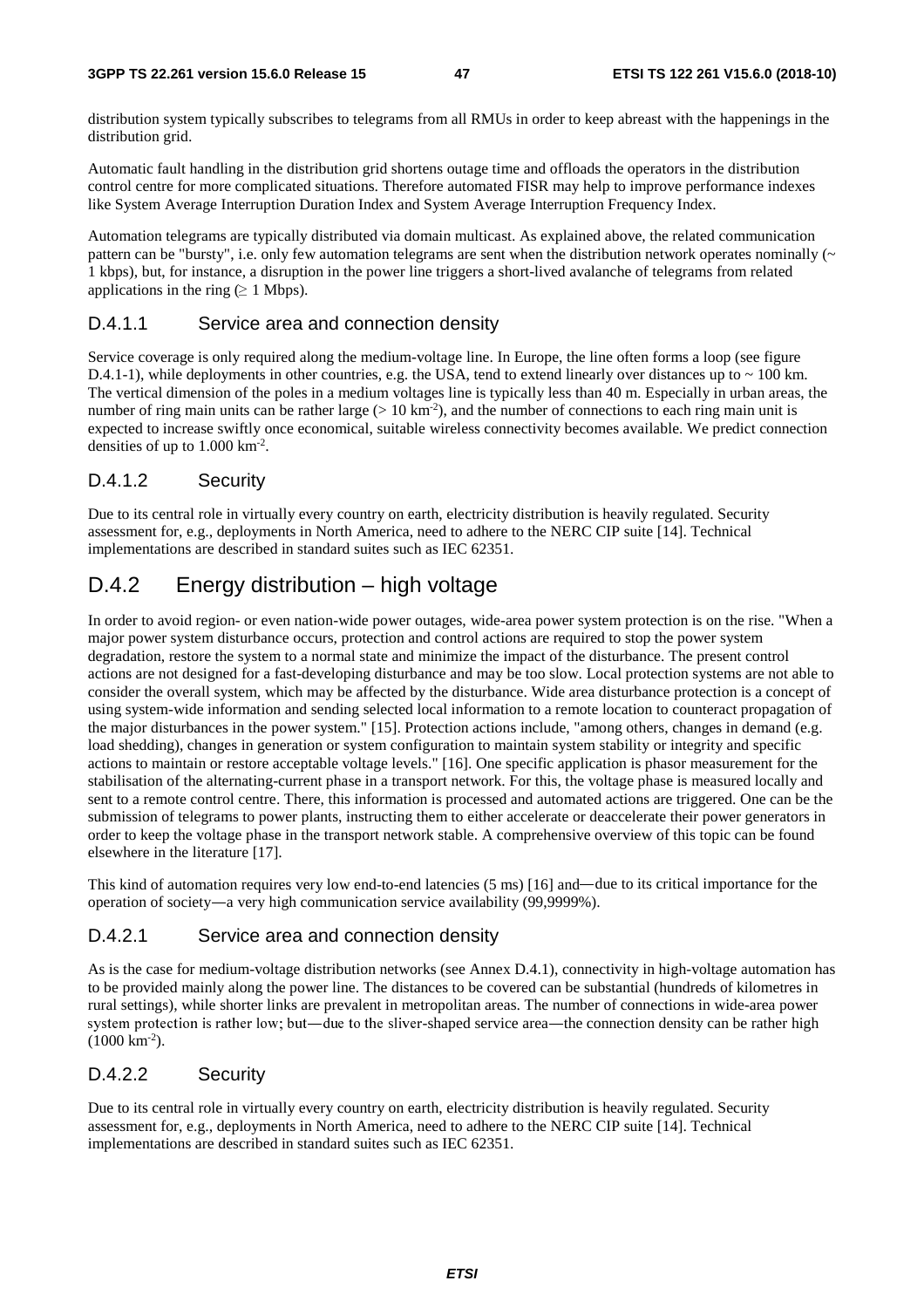distribution system typically subscribes to telegrams from all RMUs in order to keep abreast with the happenings in the distribution grid.

Automatic fault handling in the distribution grid shortens outage time and offloads the operators in the distribution control centre for more complicated situations. Therefore automated FISR may help to improve performance indexes like System Average Interruption Duration Index and System Average Interruption Frequency Index.

Automation telegrams are typically distributed via domain multicast. As explained above, the related communication pattern can be "bursty", i.e. only few automation telegrams are sent when the distribution network operates nominally  $(\sim$ 1 kbps), but, for instance, a disruption in the power line triggers a short-lived avalanche of telegrams from related applications in the ring ( $\geq 1$  Mbps).

#### D.4.1.1 Service area and connection density

Service coverage is only required along the medium-voltage line. In Europe, the line often forms a loop (see figure D.4.1-1), while deployments in other countries, e.g. the USA, tend to extend linearly over distances up to  $\sim$  100 km. The vertical dimension of the poles in a medium voltages line is typically less than 40 m. Especially in urban areas, the number of ring main units can be rather large ( $> 10 \text{ km}^{-2}$ ), and the number of connections to each ring main unit is expected to increase swiftly once economical, suitable wireless connectivity becomes available. We predict connection densities of up to 1.000 km-2.

#### D.4.1.2 Security

Due to its central role in virtually every country on earth, electricity distribution is heavily regulated. Security assessment for, e.g., deployments in North America, need to adhere to the NERC CIP suite [14]. Technical implementations are described in standard suites such as IEC 62351.

### D.4.2 Energy distribution – high voltage

In order to avoid region- or even nation-wide power outages, wide-area power system protection is on the rise. "When a major power system disturbance occurs, protection and control actions are required to stop the power system degradation, restore the system to a normal state and minimize the impact of the disturbance. The present control actions are not designed for a fast-developing disturbance and may be too slow. Local protection systems are not able to consider the overall system, which may be affected by the disturbance. Wide area disturbance protection is a concept of using system-wide information and sending selected local information to a remote location to counteract propagation of the major disturbances in the power system." [15]. Protection actions include, "among others, changes in demand (e.g. load shedding), changes in generation or system configuration to maintain system stability or integrity and specific actions to maintain or restore acceptable voltage levels." [16]. One specific application is phasor measurement for the stabilisation of the alternating-current phase in a transport network. For this, the voltage phase is measured locally and sent to a remote control centre. There, this information is processed and automated actions are triggered. One can be the submission of telegrams to power plants, instructing them to either accelerate or deaccelerate their power generators in order to keep the voltage phase in the transport network stable. A comprehensive overview of this topic can be found elsewhere in the literature [17].

This kind of automation requires very low end-to-end latencies (5 ms) [16] and—due to its critical importance for the operation of society―a very high communication service availability (99,9999%).

#### D.4.2.1 Service area and connection density

As is the case for medium-voltage distribution networks (see Annex D.4.1), connectivity in high-voltage automation has to be provided mainly along the power line. The distances to be covered can be substantial (hundreds of kilometres in rural settings), while shorter links are prevalent in metropolitan areas. The number of connections in wide-area power system protection is rather low; but—due to the sliver-shaped service area—the connection density can be rather high  $(1000 \text{ km}^{-2})$ .

#### D.4.2.2 Security

Due to its central role in virtually every country on earth, electricity distribution is heavily regulated. Security assessment for, e.g., deployments in North America, need to adhere to the NERC CIP suite [14]. Technical implementations are described in standard suites such as IEC 62351.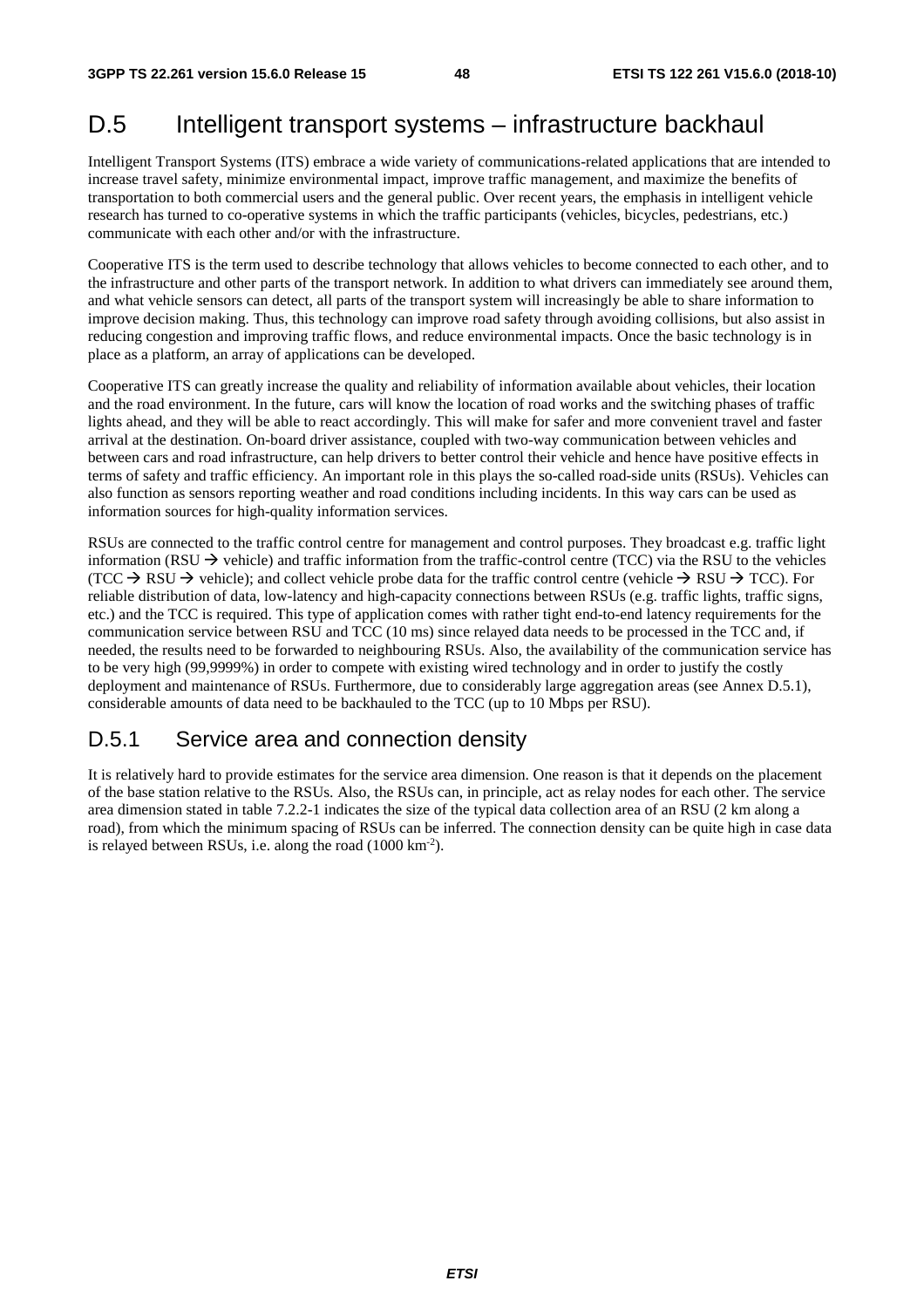## D.5 Intelligent transport systems – infrastructure backhaul

Intelligent Transport Systems (ITS) embrace a wide variety of communications-related applications that are intended to increase travel safety, minimize environmental impact, improve traffic management, and maximize the benefits of transportation to both commercial users and the general public. Over recent years, the emphasis in intelligent vehicle research has turned to co-operative systems in which the traffic participants (vehicles, bicycles, pedestrians, etc.) communicate with each other and/or with the infrastructure.

Cooperative ITS is the term used to describe technology that allows vehicles to become connected to each other, and to the infrastructure and other parts of the transport network. In addition to what drivers can immediately see around them, and what vehicle sensors can detect, all parts of the transport system will increasingly be able to share information to improve decision making. Thus, this technology can improve road safety through avoiding collisions, but also assist in reducing congestion and improving traffic flows, and reduce environmental impacts. Once the basic technology is in place as a platform, an array of applications can be developed.

Cooperative ITS can greatly increase the quality and reliability of information available about vehicles, their location and the road environment. In the future, cars will know the location of road works and the switching phases of traffic lights ahead, and they will be able to react accordingly. This will make for safer and more convenient travel and faster arrival at the destination. On-board driver assistance, coupled with two-way communication between vehicles and between cars and road infrastructure, can help drivers to better control their vehicle and hence have positive effects in terms of safety and traffic efficiency. An important role in this plays the so-called road-side units (RSUs). Vehicles can also function as sensors reporting weather and road conditions including incidents. In this way cars can be used as information sources for high-quality information services.

RSUs are connected to the traffic control centre for management and control purposes. They broadcast e.g. traffic light information (RSU  $\rightarrow$  vehicle) and traffic information from the traffic-control centre (TCC) via the RSU to the vehicles (TCC  $\rightarrow$  RSU  $\rightarrow$  vehicle); and collect vehicle probe data for the traffic control centre (vehicle  $\rightarrow$  RSU  $\rightarrow$  TCC). For reliable distribution of data, low-latency and high-capacity connections between RSUs (e.g. traffic lights, traffic signs, etc.) and the TCC is required. This type of application comes with rather tight end-to-end latency requirements for the communication service between RSU and TCC (10 ms) since relayed data needs to be processed in the TCC and, if needed, the results need to be forwarded to neighbouring RSUs. Also, the availability of the communication service has to be very high (99,9999%) in order to compete with existing wired technology and in order to justify the costly deployment and maintenance of RSUs. Furthermore, due to considerably large aggregation areas (see Annex D.5.1), considerable amounts of data need to be backhauled to the TCC (up to 10 Mbps per RSU).

### D.5.1 Service area and connection density

It is relatively hard to provide estimates for the service area dimension. One reason is that it depends on the placement of the base station relative to the RSUs. Also, the RSUs can, in principle, act as relay nodes for each other. The service area dimension stated in table 7.2.2-1 indicates the size of the typical data collection area of an RSU (2 km along a road), from which the minimum spacing of RSUs can be inferred. The connection density can be quite high in case data is relayed between RSUs, i.e. along the road (1000 km-2).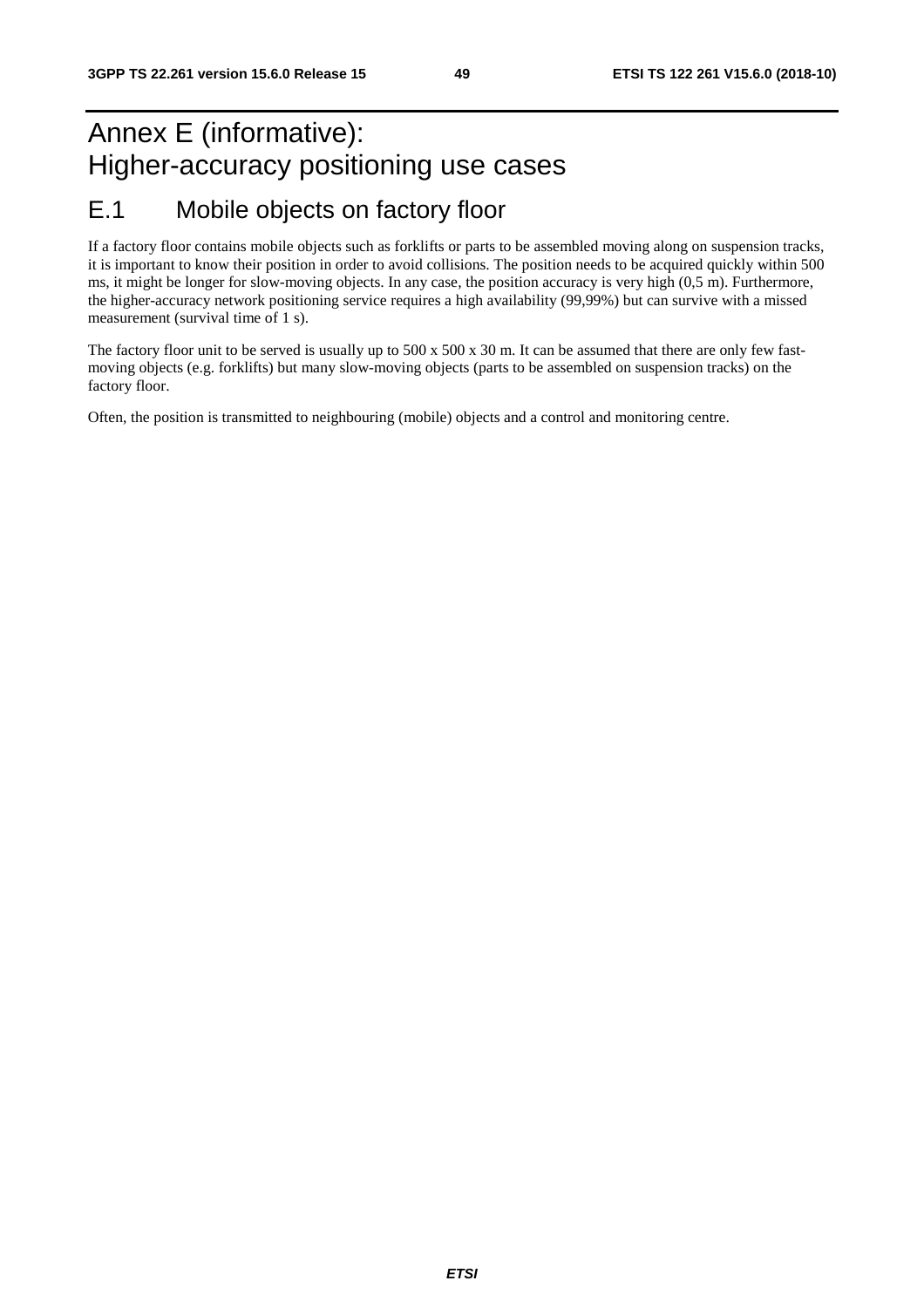## Annex E (informative): Higher-accuracy positioning use cases E.1 Mobile objects on factory floor

If a factory floor contains mobile objects such as forklifts or parts to be assembled moving along on suspension tracks, it is important to know their position in order to avoid collisions. The position needs to be acquired quickly within 500 ms, it might be longer for slow-moving objects. In any case, the position accuracy is very high (0,5 m). Furthermore, the higher-accuracy network positioning service requires a high availability (99,99%) but can survive with a missed measurement (survival time of 1 s).

The factory floor unit to be served is usually up to 500 x 500 x 30 m. It can be assumed that there are only few fastmoving objects (e.g. forklifts) but many slow-moving objects (parts to be assembled on suspension tracks) on the factory floor.

Often, the position is transmitted to neighbouring (mobile) objects and a control and monitoring centre.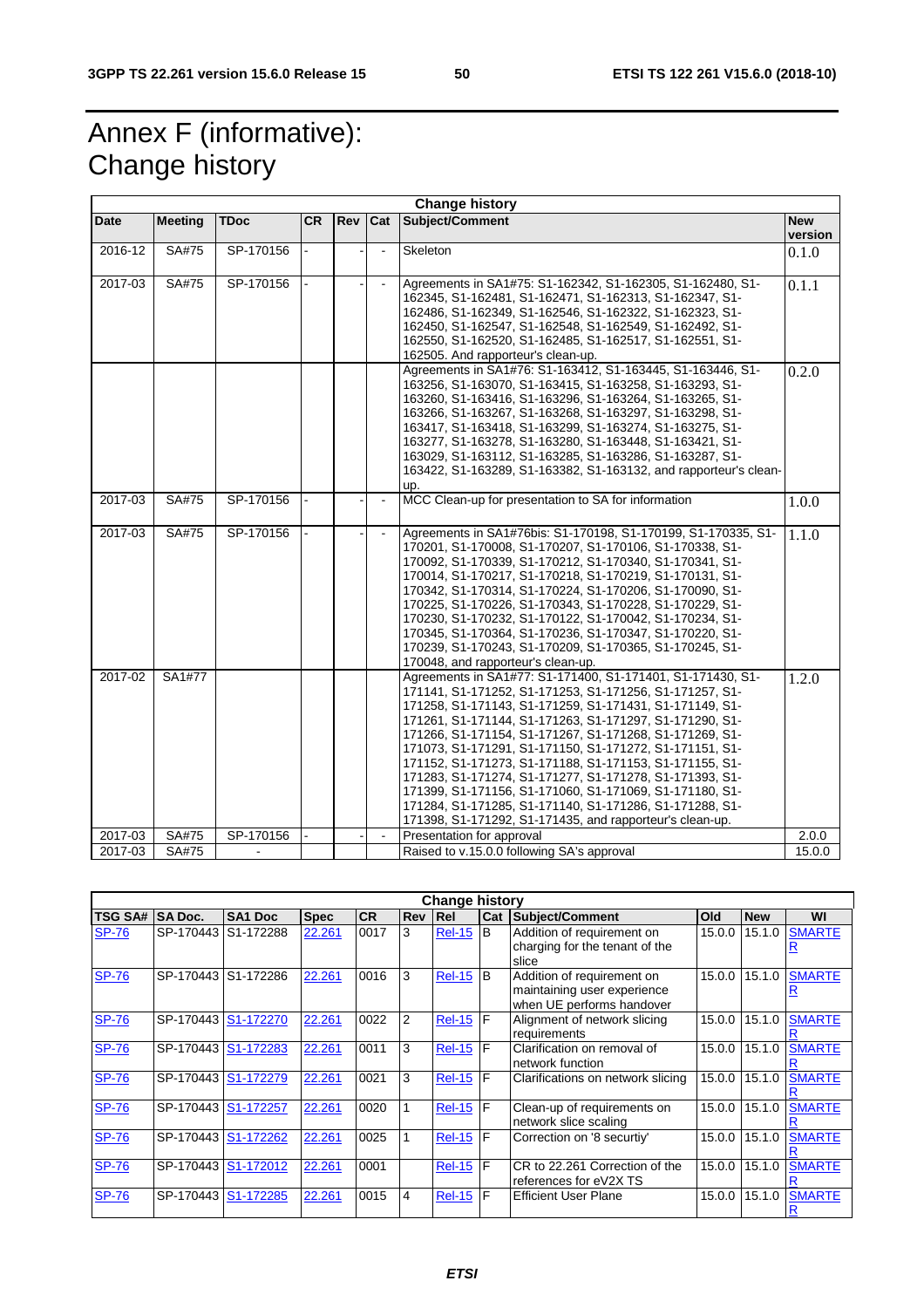## Annex F (informative): Change history

| <b>Change history</b> |                |             |           |     |                |                                                                                                                                                                                                                                                                                                                                                                                                                                                                                                                                                                                                                                                                           |                       |  |
|-----------------------|----------------|-------------|-----------|-----|----------------|---------------------------------------------------------------------------------------------------------------------------------------------------------------------------------------------------------------------------------------------------------------------------------------------------------------------------------------------------------------------------------------------------------------------------------------------------------------------------------------------------------------------------------------------------------------------------------------------------------------------------------------------------------------------------|-----------------------|--|
| Date                  | <b>Meeting</b> | <b>TDoc</b> | <b>CR</b> | Rev | <b>Cat</b>     | Subject/Comment                                                                                                                                                                                                                                                                                                                                                                                                                                                                                                                                                                                                                                                           | <b>New</b><br>version |  |
| 2016-12               | SA#75          | SP-170156   |           |     |                | Skeleton                                                                                                                                                                                                                                                                                                                                                                                                                                                                                                                                                                                                                                                                  | 0.1.0                 |  |
| 2017-03               | SA#75          | SP-170156   |           |     | $\blacksquare$ | Agreements in SA1#75: S1-162342, S1-162305, S1-162480, S1-<br>162345, S1-162481, S1-162471, S1-162313, S1-162347, S1-<br>162486, S1-162349, S1-162546, S1-162322, S1-162323, S1-<br>162450, S1-162547, S1-162548, S1-162549, S1-162492, S1-<br>162550, S1-162520, S1-162485, S1-162517, S1-162551, S1-<br>162505. And rapporteur's clean-up.                                                                                                                                                                                                                                                                                                                              | 0.1.1                 |  |
|                       |                |             |           |     |                | Agreements in SA1#76: S1-163412, S1-163445, S1-163446, S1-<br>163256, S1-163070, S1-163415, S1-163258, S1-163293, S1-<br>163260, S1-163416, S1-163296, S1-163264, S1-163265, S1-<br>163266, S1-163267, S1-163268, S1-163297, S1-163298, S1-<br>163417, S1-163418, S1-163299, S1-163274, S1-163275, S1-<br>163277, S1-163278, S1-163280, S1-163448, S1-163421, S1-<br>163029, S1-163112, S1-163285, S1-163286, S1-163287, S1-<br>163422, S1-163289, S1-163382, S1-163132, and rapporteur's clean-<br>up.                                                                                                                                                                   | 0.2.0                 |  |
| 2017-03               | SA#75          | SP-170156   |           |     | $\blacksquare$ | MCC Clean-up for presentation to SA for information                                                                                                                                                                                                                                                                                                                                                                                                                                                                                                                                                                                                                       | 1.0.0                 |  |
| 2017-03               | SA#75          | SP-170156   |           |     |                | Agreements in SA1#76bis: S1-170198, S1-170199, S1-170335, S1-<br>170201, S1-170008, S1-170207, S1-170106, S1-170338, S1-<br>170092, S1-170339, S1-170212, S1-170340, S1-170341, S1-<br>170014, S1-170217, S1-170218, S1-170219, S1-170131, S1-<br>170342, S1-170314, S1-170224, S1-170206, S1-170090, S1-<br>170225, S1-170226, S1-170343, S1-170228, S1-170229, S1-<br>170230, S1-170232, S1-170122, S1-170042, S1-170234, S1-<br>170345, S1-170364, S1-170236, S1-170347, S1-170220, S1-<br>170239, S1-170243, S1-170209, S1-170365, S1-170245, S1-<br>170048, and rapporteur's clean-up.                                                                               | 1.1.0                 |  |
| 2017-02               | SA1#77         |             |           |     |                | Agreements in SA1#77: S1-171400, S1-171401, S1-171430, S1-<br>171141, S1-171252, S1-171253, S1-171256, S1-171257, S1-<br>171258, S1-171143, S1-171259, S1-171431, S1-171149, S1-<br>171261, S1-171144, S1-171263, S1-171297, S1-171290, S1-<br>171266, S1-171154, S1-171267, S1-171268, S1-171269, S1-<br>171073, S1-171291, S1-171150, S1-171272, S1-171151, S1-<br>171152, S1-171273, S1-171188, S1-171153, S1-171155, S1-<br>171283, S1-171274, S1-171277, S1-171278, S1-171393, S1-<br>171399, S1-171156, S1-171060, S1-171069, S1-171180, S1-<br>171284, S1-171285, S1-171140, S1-171286, S1-171288, S1-<br>171398, S1-171292, S1-171435, and rapporteur's clean-up. | 1.2.0                 |  |
| 2017-03               | SA#75          | SP-170156   |           |     | $\blacksquare$ | Presentation for approval                                                                                                                                                                                                                                                                                                                                                                                                                                                                                                                                                                                                                                                 | 2.0.0                 |  |
| 2017-03               | SA#75          |             |           |     |                | Raised to v.15.0.0 following SA's approval                                                                                                                                                                                                                                                                                                                                                                                                                                                                                                                                                                                                                                | 15.0.0                |  |

| <b>Change history</b> |                     |                     |             |           |                |                 |     |                                                                                        |        |            |               |
|-----------------------|---------------------|---------------------|-------------|-----------|----------------|-----------------|-----|----------------------------------------------------------------------------------------|--------|------------|---------------|
| <b>TSG SA#</b>        | <b>SA Doc.</b>      | SA <sub>1</sub> Doc | <b>Spec</b> | <b>CR</b> | <b>Rev Rel</b> |                 | Cat | <b>Subject/Comment</b>                                                                 | Old    | <b>New</b> | WI            |
| <b>SP-76</b>          | SP-170443           | S1-172288           | 22.261      | 0017      | 3              | <b>Rel-15</b>   | B   | Addition of requirement on<br>charging for the tenant of the<br>slice                  | 15.0.0 | 15.1.0     | <b>SMARTE</b> |
| <b>SP-76</b>          | SP-170443           | S1-172286           | 22.261      | 0016      | 3              | <b>Rel-15</b>   | B   | Addition of requirement on<br>maintaining user experience<br>when UE performs handover | 15.0.0 | 15.1.0     | <b>SMARTE</b> |
| <b>SP-76</b>          | SP-170443 S1-172270 |                     | 22.261      | 0022      | 2              | $Rel-15$ $F$    |     | Alignment of network slicing<br>requirements                                           | 15.0.0 | 15.1.0     | <b>SMARTE</b> |
| <b>SP-76</b>          | SP-170443           | S1-172283           | 22.261      | 0011      | 3              | $Rel-15$ $F$    |     | Clarification on removal of<br>network function                                        | 15.0.0 | 15.1.0     | <b>SMARTE</b> |
| <b>SP-76</b>          | SP-170443 S1-172279 |                     | 22.261      | 0021      | 3              | <b>Rel-15 F</b> |     | Clarifications on network slicing                                                      | 15.0.0 | 15.1.0     | <b>SMARTE</b> |
| <b>SP-76</b>          | SP-170443           | S1-172257           | 22.261      | 0020      |                | <b>Rel-15 F</b> |     | Clean-up of requirements on<br>network slice scaling                                   | 15.0.0 | 15.1.0     | <b>SMARTE</b> |
| <b>SP-76</b>          | SP-170443 S1-172262 |                     | 22.261      | 0025      |                | <b>Rel-15</b>   | F   | Correction on '8 securtiy'                                                             | 15.0.0 | 15.1.0     | <b>SMARTE</b> |
| <b>SP-76</b>          | SP-170443           | S1-172012           | 22.261      | 0001      |                | $Rel-15$ F      |     | CR to 22.261 Correction of the<br>references for eV2X TS                               | 15.0.0 | 15.1.0     | <b>SMARTE</b> |
| <b>SP-76</b>          | SP-170443           | S1-172285           | 22.261      | 0015      | 4              | <b>Rel-15 F</b> |     | <b>Efficient User Plane</b>                                                            | 15.0.0 | 15.1.0     | <b>SMARTE</b> |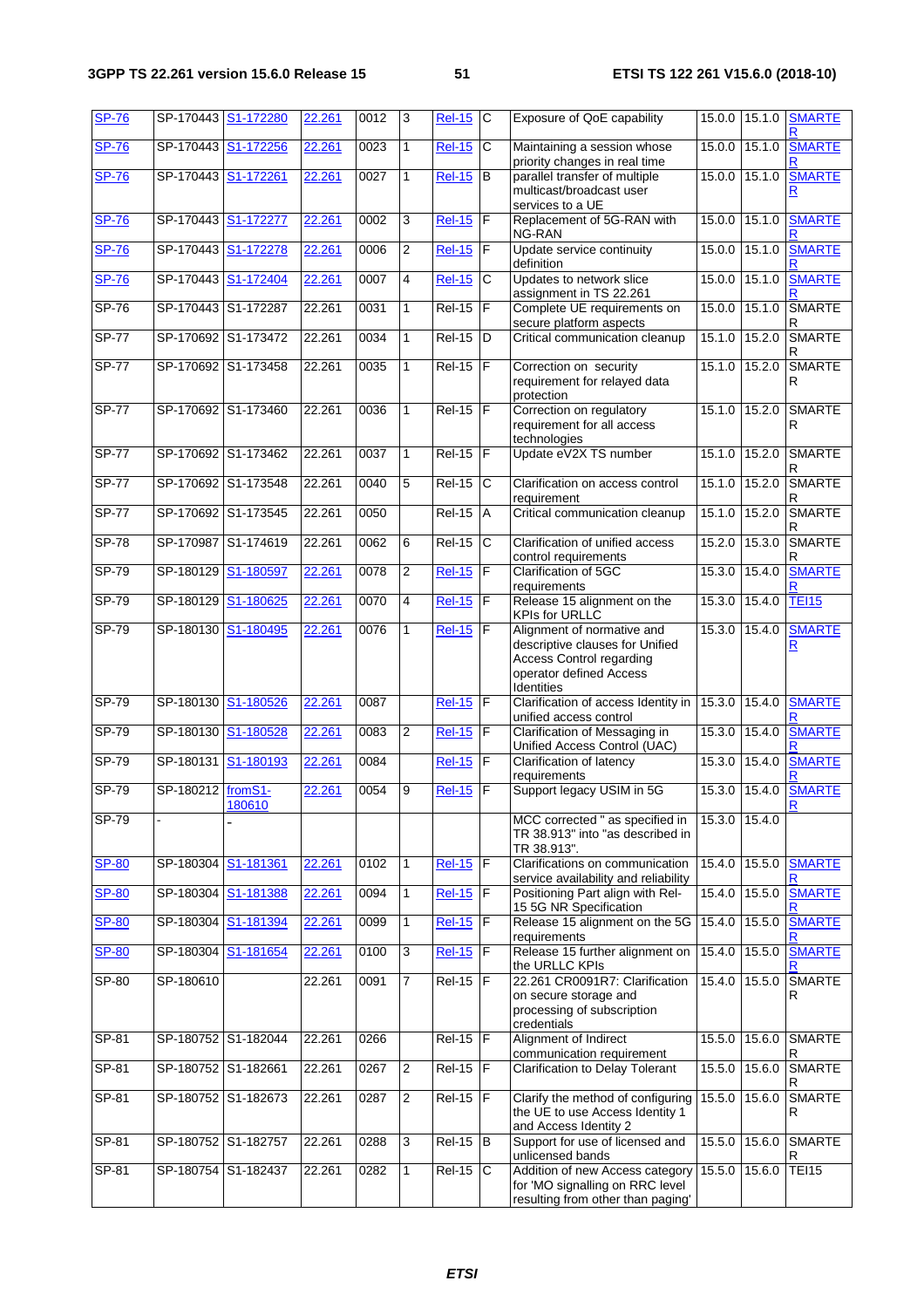| <b>SP-76</b> |                     | SP-170443 S1-172280    | 22.261 | 0012 | 3              | <b>Rel-15</b>       | $\mathsf{C}$          | Exposure of QoE capability                                                                                                                | 15.0.0        | 15.1.0        | <b>SMARTE</b>                |
|--------------|---------------------|------------------------|--------|------|----------------|---------------------|-----------------------|-------------------------------------------------------------------------------------------------------------------------------------------|---------------|---------------|------------------------------|
| <b>SP-76</b> | SP-170443           | S1-172256              | 22.261 | 0023 | 1              | <b>Rel-15</b>       | С                     | Maintaining a session whose<br>priority changes in real time                                                                              | 15.0.0        | 15.1.0        | <b>SMARTE</b>                |
| <b>SP-76</b> | SP-170443           | S <sub>1</sub> -172261 | 22.261 | 0027 | $\mathbf{1}$   | <b>Rel-15</b>       | B                     | parallel transfer of multiple<br>multicast/broadcast user<br>services to a UE                                                             | 15.0.0        | 15.1.0        | <b>SMARTE</b><br>R           |
| <b>SP-76</b> |                     | SP-170443 S1-172277    | 22.261 | 0002 | 3              | <b>Rel-15</b>       | F                     | Replacement of 5G-RAN with<br>NG-RAN                                                                                                      | 15.0.0        | 15.1.0        | <b>SMARTE</b>                |
| <b>SP-76</b> | SP-170443           | S1-172278              | 22.261 | 0006 | 2              | <b>Rel-15</b>       | F                     | Update service continuity<br>definition                                                                                                   | 15.0.0        | 15.1.0        | <b>SMARTE</b>                |
| <b>SP-76</b> | SP-170443           | S1-172404              | 22.261 | 0007 | 4              | <b>Rel-15</b>       | С                     | Updates to network slice<br>assignment in TS 22.261                                                                                       | 15.0.0        | 15.1.0        | <b>SMARTE</b>                |
| <b>SP-76</b> |                     | SP-170443 S1-172287    | 22.261 | 0031 | $\mathbf{1}$   | $Rel-15$            | F                     | Complete UE requirements on<br>secure platform aspects                                                                                    | 15.0.0 15.1.0 |               | <b>SMARTE</b><br>R           |
| <b>SP-77</b> |                     | SP-170692 S1-173472    | 22.261 | 0034 | $\mathbf{1}$   | $Rel-15$            | D                     | Critical communication cleanup                                                                                                            | 15.1.0        | 15.2.0        | <b>SMARTE</b><br>R           |
| <b>SP-77</b> |                     | SP-170692 S1-173458    | 22.261 | 0035 | 1              | <b>Rel-15</b>       | F                     | Correction on security<br>requirement for relayed data<br>protection                                                                      | 15.1.0 15.2.0 |               | <b>SMARTE</b><br>R           |
| <b>SP-77</b> | SP-170692 S1-173460 |                        | 22.261 | 0036 | 1              | $\overline{Rel-15}$ | F                     | Correction on regulatory<br>requirement for all access<br>technologies                                                                    | 15.1.0        | 15.2.0        | <b>SMARTE</b><br>R           |
| <b>SP-77</b> |                     | SP-170692 S1-173462    | 22.261 | 0037 | $\mathbf{1}$   | <b>Rel-15</b>       | F                     | Update eV2X TS number                                                                                                                     | 15.1.0        | 15.2.0        | SMARTE<br>R                  |
| $SP-77$      |                     | SP-170692 S1-173548    | 22.261 | 0040 | 5              | $Rel-15$            | C                     | Clarification on access control<br>requirement                                                                                            | 15.1.0        | 15.2.0        | <b>SMARTE</b>                |
| $SP-77$      |                     | SP-170692 S1-173545    | 22.261 | 0050 |                | $Rel-15$            | A                     | Critical communication cleanup                                                                                                            | 15.1.0        | 15.2.0        | <b>SMARTE</b><br>R           |
| $SP-78$      |                     | SP-170987 S1-174619    | 22.261 | 0062 | 6              | $Rel-15$            | $\overline{\text{c}}$ | Clarification of unified access<br>control requirements                                                                                   | 15.2.0        | 15.3.0        | <b>SMARTE</b><br>R           |
| SP-79        | SP-180129           | S1-180597              | 22.261 | 0078 | $\overline{2}$ | <b>Rel-15</b>       | $\overline{F}$        | Clarification of 5GC<br>requirements                                                                                                      | 15.3.0        | 15.4.0        | <b>SMARTE</b>                |
| $SP-79$      |                     | SP-180129 S1-180625    | 22.261 | 0070 | $\overline{4}$ | <b>Rel-15</b>       | F                     | Release 15 alignment on the<br><b>KPIs for URLLC</b>                                                                                      | 15.3.0 15.4.0 |               | <b>TEI15</b>                 |
| $SP-79$      |                     | SP-180130 S1-180495    | 22.261 | 0076 | 1              | <b>Rel-15</b>       | F                     | Alignment of normative and<br>descriptive clauses for Unified<br>Access Control regarding<br>operator defined Access<br><b>Identities</b> | 15.3.0 15.4.0 |               | <b>SMARTE</b><br>$\mathbf R$ |
| $SP-79$      |                     | SP-180130 S1-180526    | 22.261 | 0087 |                | <b>Rel-15</b>       | $\mathsf F$           | Clarification of access Identity in<br>unified access control                                                                             | 15.3.0        | 15.4.0        | <b>SMARTE</b>                |
| $SP-79$      |                     | SP-180130 S1-180528    | 22.261 | 0083 | 2              | <b>Rel-15</b>       | F                     | Clarification of Messaging in<br>Unified Access Control (UAC)                                                                             | 15.3.0 15.4.0 |               | <b>SMARTE</b>                |
| $SP-79$      | SP-180131           | S1-180193              | 22.261 | 0084 |                | <b>Rel-15</b>       | F                     | Clarification of latency<br>requirements                                                                                                  | 15.3.0        | 15.4.0        | <b>SMARTE</b>                |
| SP-79        | SP-180212 fromS1-   | 180610                 | 22.261 | 0054 | 9              | <b>Rel-15</b>       | $\overline{F}$        | Support legacy USIM in 5G                                                                                                                 | 15.3.0 15.4.0 |               | <b>SMARTE</b>                |
| SP-79        |                     |                        |        |      |                |                     |                       | MCC corrected " as specified in<br>TR 38.913" into "as described in<br>TR 38.913".                                                        | 15.3.0 15.4.0 |               |                              |
| <b>SP-80</b> | SP-180304           | S1-181361              | 22.261 | 0102 | $\mathbf{1}$   | <b>Rel-15</b>       | $\mathsf F$           | Clarifications on communication<br>service availability and reliability                                                                   | 15.4.0 15.5.0 |               | <b>SMARTE</b>                |
| <b>SP-80</b> | SP-180304           | S1-181388              | 22.261 | 0094 | 1              | <b>Rel-15</b>       | F                     | Positioning Part align with Rel-<br>15 5G NR Specification                                                                                | 15.4.0        | 15.5.0        | <b>SMARTE</b>                |
| <b>SP-80</b> | SP-180304           | S1-181394              | 22.261 | 0099 | $\mathbf{1}$   | <b>Rel-15</b>       | $\mathsf F$           | Release 15 alignment on the 5G<br>requirements                                                                                            | 15.4.0        | 15.5.0        | <b>SMARTE</b><br>R           |
| <b>SP-80</b> | SP-180304           | S1-181654              | 22.261 | 0100 | ς              | $Rel-15$            | $\mathsf F$           | Release 15 further alignment on<br>the URLLC KPIs                                                                                         | 15.4.0 15.5.0 |               | <b>SMARTE</b>                |
| $SP-80$      | SP-180610           |                        | 22.261 | 0091 | 7              | <b>Rel-15</b>       | F                     | 22.261 CR0091R7: Clarification<br>on secure storage and<br>processing of subscription                                                     | 15.4.0 15.5.0 |               | <b>SMARTE</b><br>R           |
| SP-81        |                     | SP-180752 S1-182044    | 22.261 | 0266 |                | $Rel-15$ $ F $      |                       | credentials<br>Alignment of Indirect                                                                                                      |               | 15.5.0 15.6.0 | <b>SMARTE</b>                |
| $SP-81$      |                     | SP-180752 S1-182661    | 22.261 | 0267 | 2              | <b>Rel-15</b>       | F                     | communication requirement<br>Clarification to Delay Tolerant                                                                              | 15.5.0 15.6.0 |               | R<br><b>SMARTE</b>           |
| SP-81        |                     | SP-180752 S1-182673    | 22.261 | 0287 | 2              | <b>Rel-15</b>       | F                     | Clarify the method of configuring<br>the UE to use Access Identity 1                                                                      | 15.5.0 15.6.0 |               | R<br><b>SMARTE</b><br>R      |
| SP-81        |                     | SP-180752 S1-182757    | 22.261 | 0288 | 3              | $Rel-15$ B          |                       | and Access Identity 2<br>Support for use of licensed and                                                                                  | 15.5.0 15.6.0 |               | <b>SMARTE</b>                |
| SP-81        |                     | SP-180754 S1-182437    | 22.261 | 0282 | 1              | Rel-15              | C                     | unlicensed bands<br>Addition of new Access category<br>for 'MO signalling on RRC level<br>resulting from other than paging'               | 15.5.0 15.6.0 |               | R<br><b>TEI15</b>            |